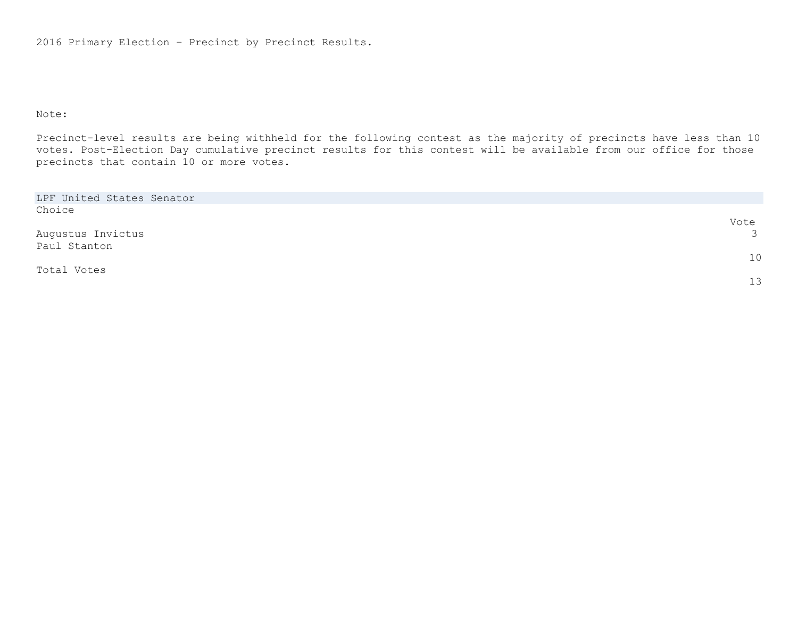2016 Primary Election – Precinct by Precinct Results.

## Note:

Precinct-level results are being withheld for the following contest as the majority of precincts have less than 10 votes. Post-Election Day cumulative precinct results for this contest will be available from our office for those precincts that contain 10 or more votes.

| LPF United States Senator |               |
|---------------------------|---------------|
| Choice                    |               |
|                           | Vote          |
| Augustus Invictus         | $\mathcal{S}$ |
| Paul Stanton              |               |
|                           | 10            |
| Total Votes               |               |
|                           | 13            |
|                           |               |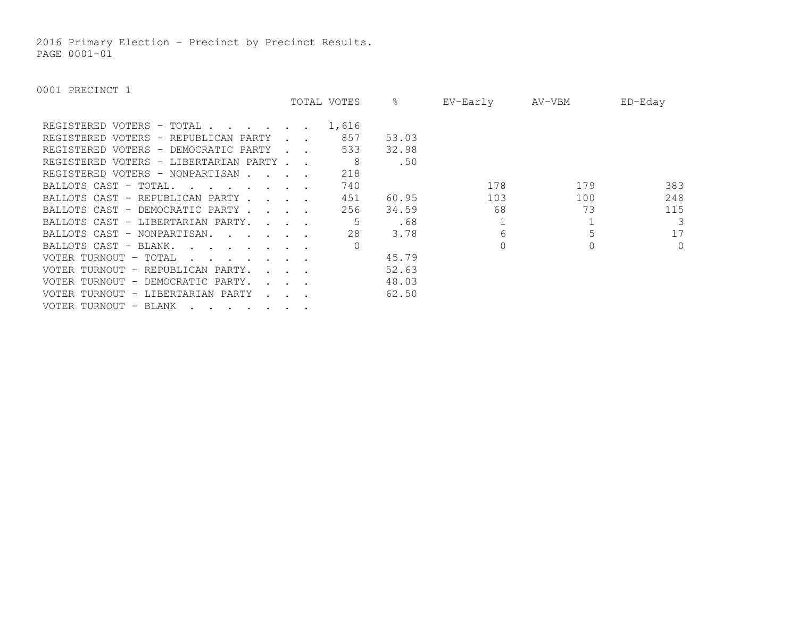2016 Primary Election – Precinct by Precinct Results. PAGE 0001-01

|                                                                                                   |                                            | TOTAL VOTES | &     | EV-Early | AV-VBM | ED-Eday  |
|---------------------------------------------------------------------------------------------------|--------------------------------------------|-------------|-------|----------|--------|----------|
| REGISTERED VOTERS - TOTAL                                                                         |                                            | 1,616       |       |          |        |          |
| REGISTERED VOTERS - REPUBLICAN PARTY                                                              |                                            | 857         | 53.03 |          |        |          |
| REGISTERED VOTERS - DEMOCRATIC PARTY                                                              |                                            | 533         | 32.98 |          |        |          |
| REGISTERED VOTERS - LIBERTARIAN PARTY                                                             |                                            | -8          | .50   |          |        |          |
| REGISTERED VOTERS - NONPARTISAN                                                                   |                                            | 218         |       |          |        |          |
| BALLOTS CAST - TOTAL.<br>$\mathbf{r}$ , $\mathbf{r}$ , $\mathbf{r}$ , $\mathbf{r}$ , $\mathbf{r}$ |                                            | 740         |       | 178      | 179    | 383      |
| BALLOTS CAST - REPUBLICAN PARTY                                                                   |                                            | 451         | 60.95 | 103      | 100    | 248      |
| BALLOTS CAST - DEMOCRATIC PARTY                                                                   |                                            | 256         | 34.59 | 68       | 73     | 115      |
| BALLOTS CAST - LIBERTARIAN PARTY.                                                                 |                                            |             | .68   |          |        | 3        |
| BALLOTS CAST - NONPARTISAN.                                                                       |                                            | 28          | 3.78  |          |        | 17       |
| BALLOTS CAST - BLANK.<br>$\mathbf{r}$                                                             |                                            |             |       |          |        | $\Omega$ |
| VOTER TURNOUT - TOTAL<br>$\mathbf{r}$ . The set of the set of $\mathbf{r}$                        |                                            |             | 45.79 |          |        |          |
| VOTER TURNOUT - REPUBLICAN PARTY.                                                                 | $\mathbf{L}$ and $\mathbf{L}$              |             | 52.63 |          |        |          |
| VOTER TURNOUT - DEMOCRATIC PARTY.                                                                 | $\mathbf{r}$ , $\mathbf{r}$ , $\mathbf{r}$ |             | 48.03 |          |        |          |
| VOTER TURNOUT - LIBERTARIAN PARTY                                                                 |                                            |             | 62.50 |          |        |          |
| VOTER TURNOUT - BLANK                                                                             |                                            |             |       |          |        |          |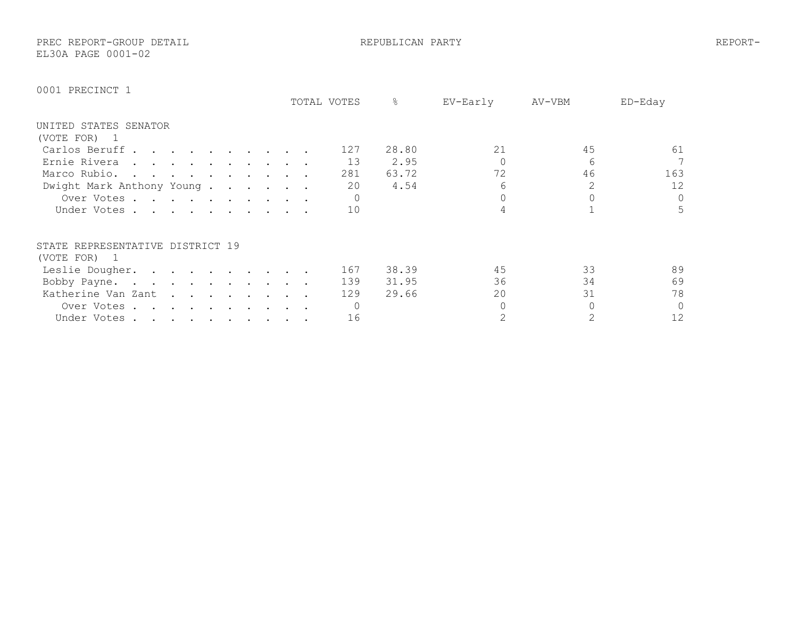PREC REPORT-GROUP DETAIL REPUBLICAN PARTY REPORT-EL30A PAGE 0001-02

|                                                                                                                                 | TOTAL VOTES |     | ⊱     | EV-Early | AV-VBM | ED-Eday |
|---------------------------------------------------------------------------------------------------------------------------------|-------------|-----|-------|----------|--------|---------|
| UNITED STATES SENATOR                                                                                                           |             |     |       |          |        |         |
| (VOTE FOR)<br>$\mathbf{1}$                                                                                                      |             |     |       |          |        |         |
| Carlos Beruff                                                                                                                   |             | 127 | 28.80 | 21       | 45     | 61      |
| Ernie Rivera<br>the contract of the contract of the contract of the contract of the contract of the contract of the contract of |             | 13  | 2.95  |          | 6      | 7       |
| Marco Rubio.                                                                                                                    |             | 281 | 63.72 | 72       | 46     | 163     |
| Dwight Mark Anthony Young                                                                                                       |             | 20  | 4.54  |          | 2      | 12      |
| Over Votes                                                                                                                      |             |     |       |          |        | $\circ$ |
| Under Votes                                                                                                                     |             | 10  |       |          |        | 5       |
| STATE REPRESENTATIVE DISTRICT 19                                                                                                |             |     |       |          |        |         |
| (VOTE FOR) 1                                                                                                                    |             |     |       |          |        |         |
| Leslie Dougher.                                                                                                                 |             | 167 | 38.39 | 45       | 33     | 89      |
| Bobby Payne.<br>the contract of the contract of the contract of the contract of the contract of the contract of the contract of |             | 139 | 31.95 | 36       | 34     | 69      |
| Katherine Van Zant                                                                                                              |             | 129 | 29.66 | 20       | 31     | 78      |
| Over Votes.<br>$\mathbf{r}$ , and $\mathbf{r}$ , and $\mathbf{r}$ , and $\mathbf{r}$                                            |             |     |       |          |        | $\circ$ |
| Under Votes                                                                                                                     |             | 16  |       |          |        | 12      |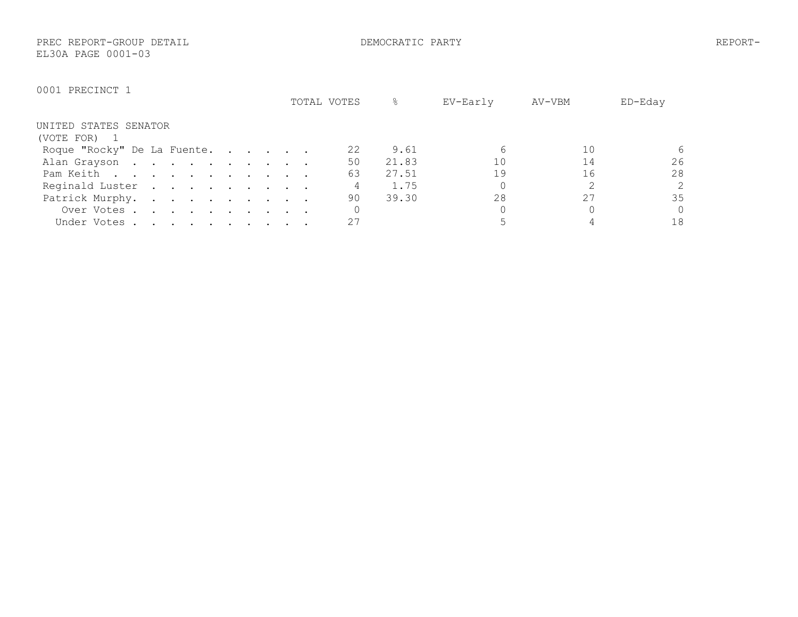PREC REPORT-GROUP DETAIL DEMOCRATIC PARTY REPORT-EL30A PAGE 0001-03

|                             | TOTAL VOTES | &     | EV-Early | AV-VBM | ED-Eday        |
|-----------------------------|-------------|-------|----------|--------|----------------|
| UNITED STATES SENATOR       |             |       |          |        |                |
| (VOTE FOR)                  |             |       |          |        |                |
| Roque "Rocky" De La Fuente. | 22          | 9.61  |          | 10     | 6              |
| Alan Grayson                | 50          | 21.83 | 10       | 14     | 26             |
| Pam Keith                   | 63          | 27.51 | 19       | 16     | 28             |
| Reginald Luster             |             | 1.75  |          |        | $\overline{2}$ |
| Patrick Murphy.             | 90          | 39.30 | 28       |        | 35             |
| Over Votes                  |             |       |          |        | $\Omega$       |
| Under Votes                 | 27          |       |          |        | 18             |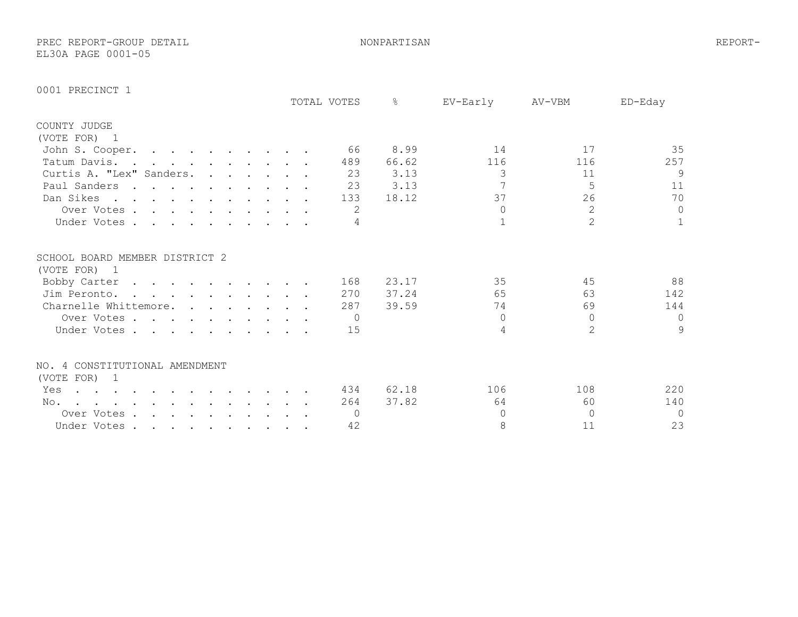PREC REPORT-GROUP DETAIL NONPARTISAN REPORT-EL30A PAGE 0001-05

|                                                                                                                    |                                                                                                                 |  |  | TOTAL VOTES | $\frac{6}{5}$ | EV-Early | AV-VBM         | ED-Eday      |
|--------------------------------------------------------------------------------------------------------------------|-----------------------------------------------------------------------------------------------------------------|--|--|-------------|---------------|----------|----------------|--------------|
| COUNTY JUDGE                                                                                                       |                                                                                                                 |  |  |             |               |          |                |              |
| (VOTE FOR) 1                                                                                                       |                                                                                                                 |  |  |             |               |          |                |              |
| John S. Cooper.                                                                                                    |                                                                                                                 |  |  | - 66        | 8.99          | 14       | 17             | 35           |
| Tatum Davis. .                                                                                                     | $\mathbf{r}$ , $\mathbf{r}$ , $\mathbf{r}$ , $\mathbf{r}$ , $\mathbf{r}$ , $\mathbf{r}$                         |  |  | 489         | 66.62         | 116      | 116            | 257          |
| Curtis A. "Lex" Sanders.                                                                                           |                                                                                                                 |  |  | 23          | 3.13          | 3        | 11             | 9            |
| Paul Sanders                                                                                                       | the contract of the contract of the contract of the contract of the contract of the contract of the contract of |  |  | 23          | 3.13          |          | 5              | 11           |
| Dan Sikes                                                                                                          |                                                                                                                 |  |  | 133         | 18.12         | 37       | 26             | 70           |
| Over Votes                                                                                                         |                                                                                                                 |  |  | 2           |               | $\cap$   | $\overline{2}$ | $\circ$      |
| Under Votes                                                                                                        |                                                                                                                 |  |  | 4           |               |          | $\overline{2}$ | $\mathbf{1}$ |
| SCHOOL BOARD MEMBER DISTRICT 2                                                                                     |                                                                                                                 |  |  |             |               |          |                |              |
| (VOTE FOR) 1                                                                                                       |                                                                                                                 |  |  |             |               |          |                |              |
| Bobby Carter                                                                                                       |                                                                                                                 |  |  | 168         | 23.17         | 35       | 45             | 88           |
| Jim Peronto.                                                                                                       | $\mathbf{r}$ , and $\mathbf{r}$ , and $\mathbf{r}$ , and $\mathbf{r}$ , and $\mathbf{r}$                        |  |  | 270         | 37.24         | 65       | 63             | 142          |
| Charnelle Whittemore.                                                                                              |                                                                                                                 |  |  | 287         | 39.59         | 74       | 69             | 144          |
| Over Votes                                                                                                         |                                                                                                                 |  |  | $\bigcirc$  |               | $\Omega$ | $\Omega$       | $\mathbf 0$  |
| Under Votes                                                                                                        |                                                                                                                 |  |  | 15          |               | 4        | $\mathcal{L}$  | 9            |
| NO. 4 CONSTITUTIONAL AMENDMENT                                                                                     |                                                                                                                 |  |  |             |               |          |                |              |
| (VOTE FOR) 1                                                                                                       |                                                                                                                 |  |  |             |               |          |                |              |
| Yes                                                                                                                |                                                                                                                 |  |  | 434         | 62.18         | 106      | 108            | 220          |
| No.<br>$\mathbf{r}$ , and $\mathbf{r}$ , and $\mathbf{r}$ , and $\mathbf{r}$ , and $\mathbf{r}$ , and $\mathbf{r}$ |                                                                                                                 |  |  | 264         | 37.82         | 64       | 60             | 140          |
| Over Votes                                                                                                         |                                                                                                                 |  |  | $\Omega$    |               | $\cap$   | $\cap$         | $\Omega$     |
| Under Votes                                                                                                        |                                                                                                                 |  |  | 42          |               | 8        | 11             | 23           |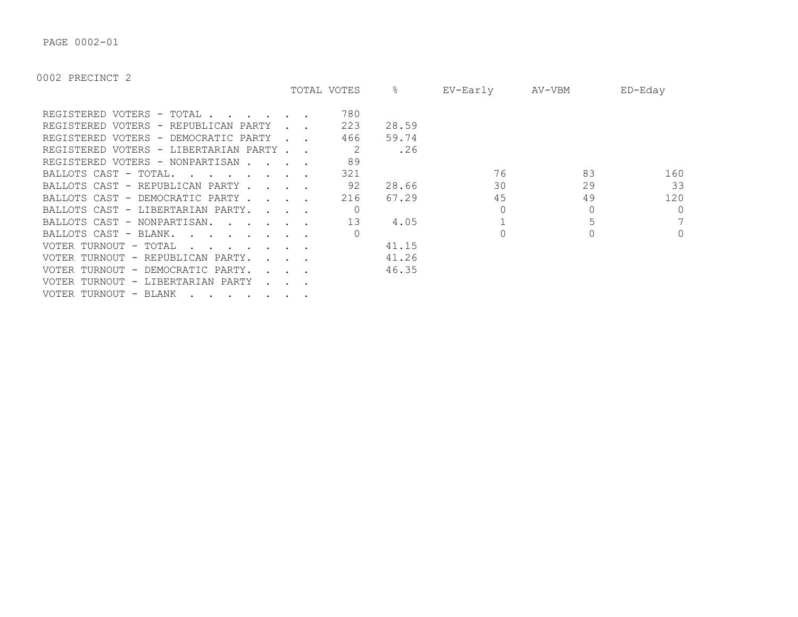PAGE 0002-01

|                                                                                                   |                                            | TOTAL VOTES | ိဝ    | EV-Early | AV-VBM | $ED$ –Eday |
|---------------------------------------------------------------------------------------------------|--------------------------------------------|-------------|-------|----------|--------|------------|
| REGISTERED VOTERS - TOTAL                                                                         |                                            | 780         |       |          |        |            |
| REGISTERED VOTERS - REPUBLICAN PARTY                                                              |                                            | 223         | 28.59 |          |        |            |
| REGISTERED VOTERS - DEMOCRATIC PARTY                                                              |                                            | 466         | 59.74 |          |        |            |
| REGISTERED VOTERS - LIBERTARIAN PARTY.                                                            |                                            |             | .26   |          |        |            |
| REGISTERED VOTERS - NONPARTISAN.                                                                  |                                            | 89          |       |          |        |            |
| BALLOTS CAST - TOTAL.<br>$\mathbf{r}$ , $\mathbf{r}$ , $\mathbf{r}$ , $\mathbf{r}$ , $\mathbf{r}$ |                                            | 321         |       | 76       | 83     | 160        |
| BALLOTS CAST - REPUBLICAN PARTY.                                                                  | $\mathbf{r}$ , $\mathbf{r}$ , $\mathbf{r}$ | 92          | 28.66 | 30       | 29     | 33         |
| BALLOTS CAST - DEMOCRATIC PARTY.                                                                  | $\sim$ $\sim$ $\sim$                       | 216         | 67.29 | 45       | 49     | 120        |
| BALLOTS CAST - LIBERTARIAN PARTY.                                                                 | $\sim$ $\sim$ $\sim$ $\sim$                |             |       |          |        | $\Omega$   |
| BALLOTS CAST - NONPARTISAN.                                                                       |                                            | 13          | 4.05  |          |        | 7          |
| BALLOTS CAST - BLANK.<br>$\mathbf{r}$ . The contract of the contract of $\mathbf{r}$              |                                            |             |       |          |        | $\circ$    |
| VOTER TURNOUT - TOTAL                                                                             |                                            |             | 41.15 |          |        |            |
| VOTER TURNOUT - REPUBLICAN PARTY.                                                                 |                                            |             | 41.26 |          |        |            |
| VOTER TURNOUT - DEMOCRATIC PARTY.                                                                 |                                            |             | 46.35 |          |        |            |
| VOTER TURNOUT - LIBERTARIAN PARTY                                                                 |                                            |             |       |          |        |            |
| VOTER TURNOUT - BLANK                                                                             |                                            |             |       |          |        |            |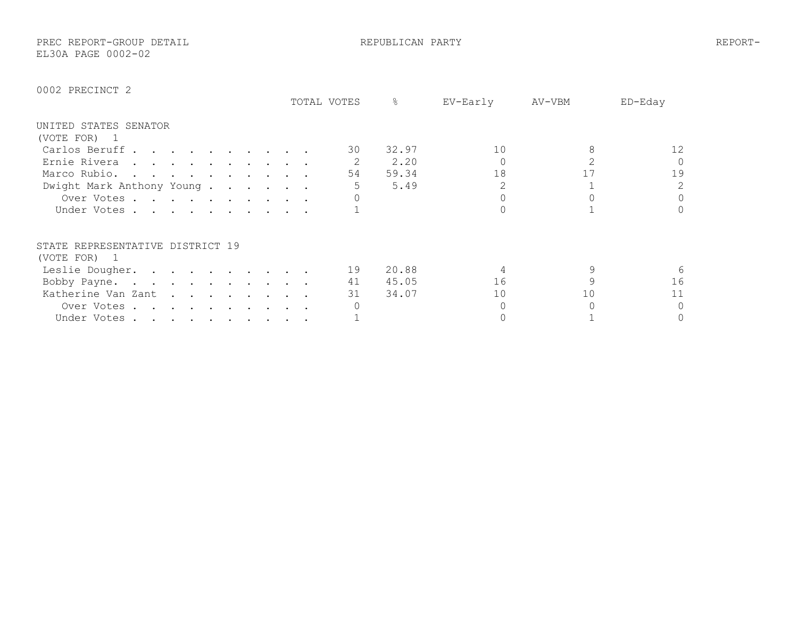PREC REPORT-GROUP DETAIL REPUBLICAN PARTY REPORT-EL30A PAGE 0002-02

|                                                                                                        | TOTAL VOTES | 옹     | EV-Early | AV-VBM | ED-Eday  |
|--------------------------------------------------------------------------------------------------------|-------------|-------|----------|--------|----------|
| UNITED STATES SENATOR                                                                                  |             |       |          |        |          |
| (VOTE FOR)<br>$\perp$                                                                                  |             |       |          |        |          |
| Carlos Beruff                                                                                          | 30          | 32.97 | 10       |        | 12       |
| Ernie Rivera                                                                                           |             | 2.20  |          |        | $\Omega$ |
| Marco Rubio.                                                                                           | 54          | 59.34 | 18       |        | 19       |
| Dwight Mark Anthony Young.                                                                             |             | 5.49  |          |        | 2        |
| Over Votes                                                                                             |             |       |          |        | $\Omega$ |
| Under Votes                                                                                            |             |       |          |        | $\Omega$ |
| STATE REPRESENTATIVE DISTRICT 19                                                                       |             |       |          |        |          |
| (VOTE FOR) 1                                                                                           |             |       |          |        |          |
| Leslie Dougher.                                                                                        | 19          | 20.88 |          |        |          |
| Bobby Payne.                                                                                           | 41          | 45.05 | 16       |        | 16       |
| Katherine Van Zant                                                                                     | 31          | 34.07 | 10       | 10     | 11       |
| Over Votes.<br>$\mathbf{r}$ , $\mathbf{r}$ , $\mathbf{r}$ , $\mathbf{r}$ , $\mathbf{r}$ , $\mathbf{r}$ |             |       |          |        | $\Omega$ |
| Under Votes                                                                                            |             |       |          |        | 0        |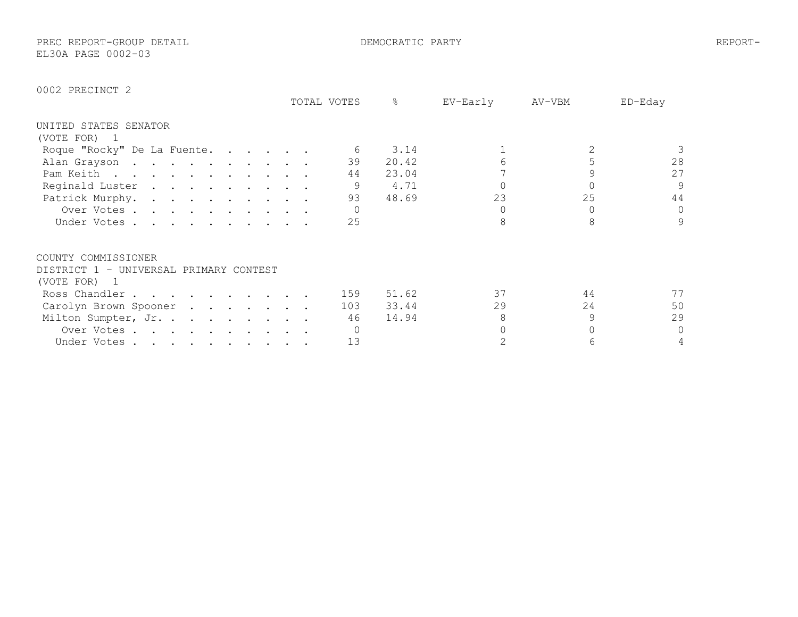PREC REPORT-GROUP DETAIL DEMOCRATIC PARTY REPORT-EL30A PAGE 0002-03

|                                        |                                                                                                                 |  |  | TOTAL VOTES | 옹     | EV-Early | AV-VBM | ED-Eday      |
|----------------------------------------|-----------------------------------------------------------------------------------------------------------------|--|--|-------------|-------|----------|--------|--------------|
| UNITED STATES SENATOR                  |                                                                                                                 |  |  |             |       |          |        |              |
| (VOTE FOR)<br>- 1                      |                                                                                                                 |  |  |             |       |          |        |              |
| Roque "Rocky" De La Fuente.            |                                                                                                                 |  |  | 6           | 3.14  |          |        |              |
| Alan Grayson                           |                                                                                                                 |  |  | 39          | 20.42 |          |        | 28           |
| Pam Keith                              |                                                                                                                 |  |  | 44          | 23.04 |          |        | 27           |
| Reginald Luster                        |                                                                                                                 |  |  | 9           | 4.71  |          |        | 9            |
| Patrick Murphy.                        |                                                                                                                 |  |  | 93          | 48.69 | 23       | 25     | 44           |
| Over Votes                             |                                                                                                                 |  |  |             |       |          |        | $\mathbf{0}$ |
| Under Votes                            |                                                                                                                 |  |  | 25          |       |          |        | 9            |
| COUNTY COMMISSIONER                    |                                                                                                                 |  |  |             |       |          |        |              |
| DISTRICT 1 - UNIVERSAL PRIMARY CONTEST |                                                                                                                 |  |  |             |       |          |        |              |
| (VOTE FOR)<br>$\blacksquare$           |                                                                                                                 |  |  |             |       |          |        |              |
| Ross Chandler                          |                                                                                                                 |  |  | 159         | 51.62 | 37       | 44     | 77           |
| Carolyn Brown Spooner                  | the contract of the contract of the contract of the contract of the contract of the contract of the contract of |  |  | 103         | 33.44 | 29       | 24     | 50           |
| Milton Sumpter, Jr.                    |                                                                                                                 |  |  | 46          | 14.94 |          | 9      | 29           |
| Over Votes                             |                                                                                                                 |  |  |             |       |          |        | $\circ$      |
|                                        |                                                                                                                 |  |  | 13          |       |          |        | 4            |
| Under Votes                            |                                                                                                                 |  |  |             |       |          |        |              |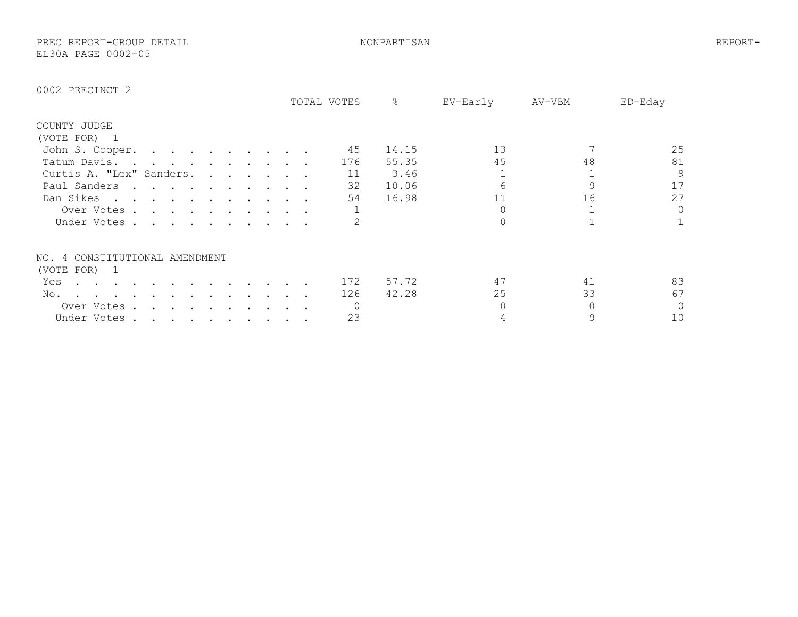PREC REPORT-GROUP DETAIL NONPARTISAN REPORT-EL30A PAGE 0002-05

|                                |                                                                                                                                                                                                                                   |  |  |  |  | TOTAL VOTES | &     | EV-Early | AV-VBM | ED-Eday  |
|--------------------------------|-----------------------------------------------------------------------------------------------------------------------------------------------------------------------------------------------------------------------------------|--|--|--|--|-------------|-------|----------|--------|----------|
| COUNTY JUDGE                   |                                                                                                                                                                                                                                   |  |  |  |  |             |       |          |        |          |
| (VOTE FOR) 1                   |                                                                                                                                                                                                                                   |  |  |  |  |             |       |          |        |          |
| John S. Cooper.                | the contract of the contract of the contract of the contract of the contract of the contract of the contract of                                                                                                                   |  |  |  |  | 45          | 14.15 | 13       |        | 25       |
| Tatum Davis                    | $\mathbf{r}$ . The contract of the contract of the contract of the contract of the contract of the contract of the contract of the contract of the contract of the contract of the contract of the contract of the contract of th |  |  |  |  | 176         | 55.35 | 45       | 48     | 81       |
| Curtis A. "Lex" Sanders.       |                                                                                                                                                                                                                                   |  |  |  |  | 11          | 3.46  |          |        | 9        |
| Paul Sanders                   | $\mathbf{r}$ , and $\mathbf{r}$ , and $\mathbf{r}$ , and $\mathbf{r}$ , and $\mathbf{r}$                                                                                                                                          |  |  |  |  | 32          | 10.06 |          |        | 17       |
| Dan Sikes                      |                                                                                                                                                                                                                                   |  |  |  |  | 54          | 16.98 | 11       | 16     | 27       |
| Over Votes.                    | $\mathbf{r}$ , and $\mathbf{r}$ , and $\mathbf{r}$ , and $\mathbf{r}$ , and $\mathbf{r}$                                                                                                                                          |  |  |  |  |             |       |          |        | $\Omega$ |
| Under Votes                    |                                                                                                                                                                                                                                   |  |  |  |  |             |       |          |        |          |
| NO. 4 CONSTITUTIONAL AMENDMENT |                                                                                                                                                                                                                                   |  |  |  |  |             |       |          |        |          |
| (VOTE FOR) 1                   |                                                                                                                                                                                                                                   |  |  |  |  |             |       |          |        |          |
| Yes                            |                                                                                                                                                                                                                                   |  |  |  |  | 172         | 57.72 | 47       | 41     | 83       |
| No.                            |                                                                                                                                                                                                                                   |  |  |  |  | 126         | 42.28 | 25       | 33     | 67       |
| Over Votes.                    |                                                                                                                                                                                                                                   |  |  |  |  |             |       |          |        | 0        |
| Under Votes.                   | $\mathcal{A}(\mathbf{r})$ , and $\mathcal{A}(\mathbf{r})$ , and $\mathcal{A}(\mathbf{r})$ , and $\mathcal{A}(\mathbf{r})$                                                                                                         |  |  |  |  | 23          |       |          |        | 10       |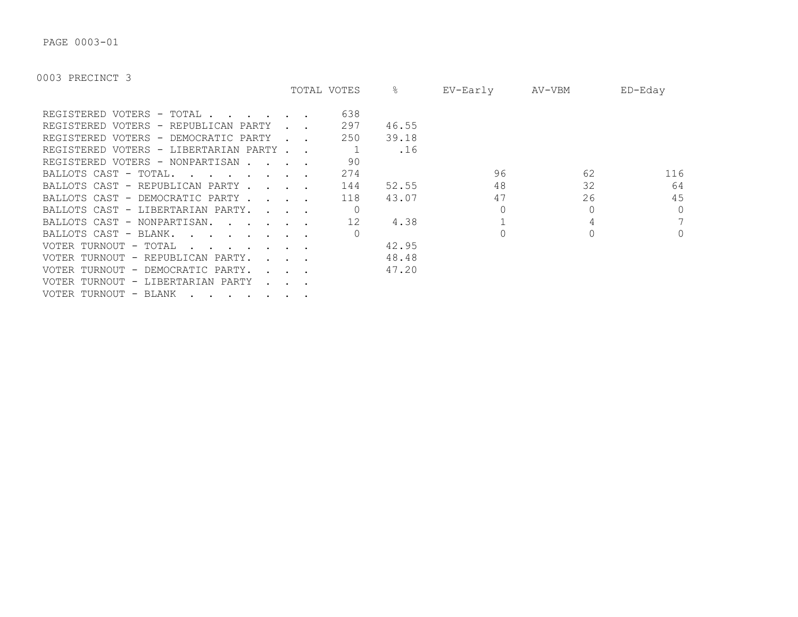PAGE 0003-01

|                                        |                             | TOTAL VOTES | &     | EV-Early | AV-VBM | $ED$ –Eday     |
|----------------------------------------|-----------------------------|-------------|-------|----------|--------|----------------|
| REGISTERED VOTERS - TOTAL              |                             | 638         |       |          |        |                |
| REGISTERED VOTERS - REPUBLICAN PARTY   |                             | 297         | 46.55 |          |        |                |
| REGISTERED VOTERS - DEMOCRATIC PARTY   |                             | 250         | 39.18 |          |        |                |
| REGISTERED VOTERS - LIBERTARIAN PARTY. |                             |             | .16   |          |        |                |
| REGISTERED VOTERS - NONPARTISAN.       |                             | 90          |       |          |        |                |
| BALLOTS CAST - TOTAL.<br>$\cdot$       |                             | 274         |       | 96       | 62     | 116            |
| BALLOTS CAST - REPUBLICAN PARTY.       | $\sim$ $\sim$ $\sim$ $\sim$ | 144         | 52.55 | 48       | 32     | 64             |
| BALLOTS CAST - DEMOCRATIC PARTY.       | $\sim$ $\sim$ $\sim$        | 118         | 43.07 | 47       | 26     | 45             |
| BALLOTS CAST - LIBERTARIAN PARTY.      | $\sim$ $\sim$ $\sim$ $\sim$ |             |       |          |        | $\Omega$       |
| BALLOTS CAST - NONPARTISAN.            |                             | 12          | 4.38  |          |        | 7              |
| BALLOTS CAST - BLANK.                  |                             |             |       |          |        | $\overline{0}$ |
| VOTER TURNOUT - TOTAL                  |                             |             | 42.95 |          |        |                |
| VOTER TURNOUT - REPUBLICAN PARTY.      |                             |             | 48.48 |          |        |                |
| VOTER TURNOUT - DEMOCRATIC PARTY.      |                             |             | 47.20 |          |        |                |
| - LIBERTARIAN PARTY<br>VOTER TURNOUT   |                             |             |       |          |        |                |
| VOTER TURNOUT - BLANK                  |                             |             |       |          |        |                |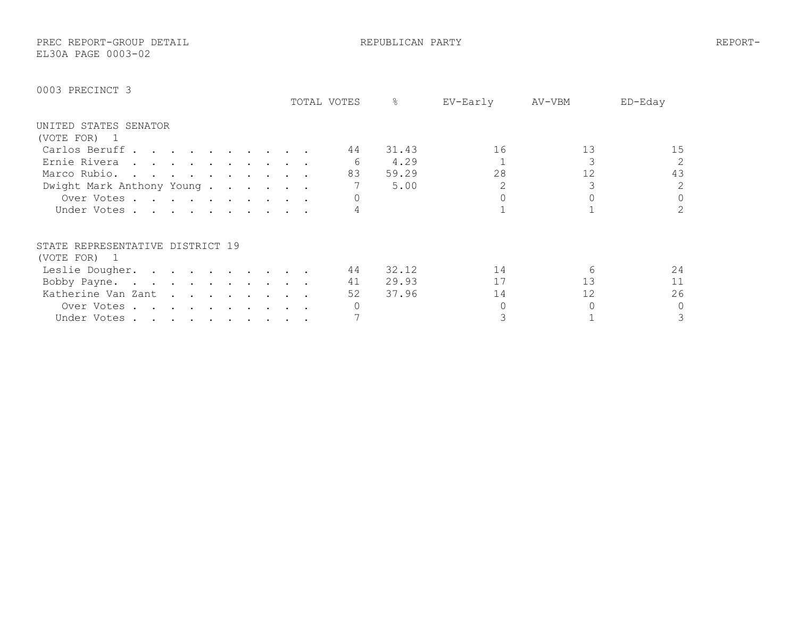PREC REPORT-GROUP DETAIL REPUBLICAN PARTY REPORT-EL30A PAGE 0003-02

|                                                                                                                                                                                                                                               | TOTAL VOTES | ℅     | EV-Early | AV-VBM            | ED-Eday |
|-----------------------------------------------------------------------------------------------------------------------------------------------------------------------------------------------------------------------------------------------|-------------|-------|----------|-------------------|---------|
| UNITED STATES SENATOR                                                                                                                                                                                                                         |             |       |          |                   |         |
| (VOTE FOR) 1                                                                                                                                                                                                                                  |             |       |          |                   |         |
| Carlos Beruff                                                                                                                                                                                                                                 | 44          | 31.43 | 16       | 13                | 15      |
| Ernie Rivera<br>. The contract of the contract of the contract of the contract of the contract of the contract of the contract of the contract of the contract of the contract of the contract of the contract of the contract of the contrac |             | 4.29  |          |                   | 2       |
| Marco Rubio.                                                                                                                                                                                                                                  | 83          | 59.29 | 28       | $12 \overline{ }$ | 43      |
| Dwight Mark Anthony Young                                                                                                                                                                                                                     |             | 5.00  |          |                   | 2       |
| Over Votes                                                                                                                                                                                                                                    |             |       |          |                   | 0       |
| Under Votes                                                                                                                                                                                                                                   |             |       |          |                   | 2       |
| STATE REPRESENTATIVE DISTRICT 19                                                                                                                                                                                                              |             |       |          |                   |         |
| (VOTE FOR) 1                                                                                                                                                                                                                                  |             |       |          |                   |         |
| Leslie Dougher.                                                                                                                                                                                                                               | 44          | 32.12 | 14       | 6                 | 24      |
| Bobby Payne.<br>the contract of the contract of the contract of the contract of the contract of the contract of the contract of                                                                                                               | 41          | 29.93 | 17       | 13                | 11      |
| Katherine Van Zant                                                                                                                                                                                                                            | 52          | 37.96 | 14       | 12                | 26      |
| Over Votes.<br>the contract of the contract of the contract of the contract of the contract of the contract of the contract of                                                                                                                |             |       |          |                   | 0       |
| Under Votes                                                                                                                                                                                                                                   |             |       |          |                   | 3       |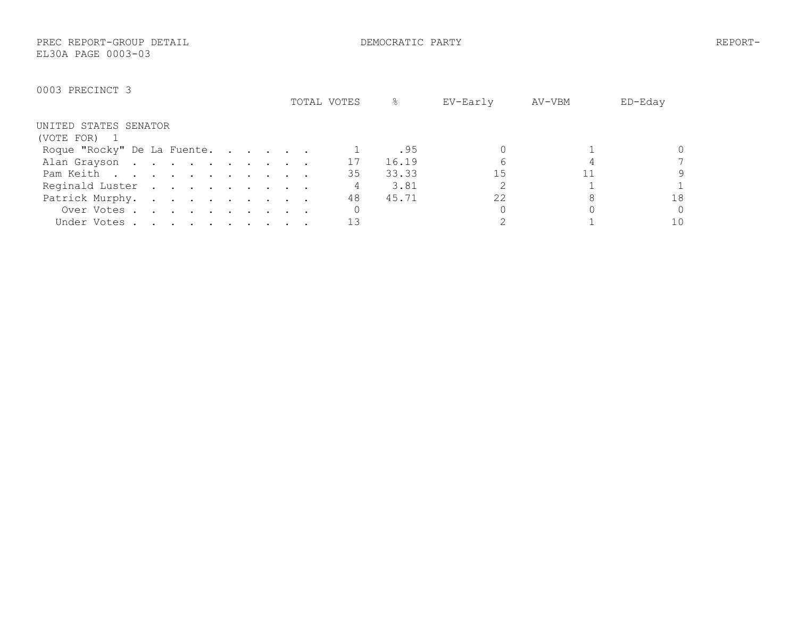PREC REPORT-GROUP DETAIL DEMOCRATIC PARTY REPORT-EL30A PAGE 0003-03

|                                                                                                        | TOTAL VOTES | ိင    | EV-Early | AV-VBM | ED-Eday |
|--------------------------------------------------------------------------------------------------------|-------------|-------|----------|--------|---------|
| UNITED STATES SENATOR                                                                                  |             |       |          |        |         |
| (VOTE FOR)                                                                                             |             |       |          |        |         |
| Roque "Rocky" De La Fuente.                                                                            |             | .95   |          |        |         |
| Alan Grayson                                                                                           | 17          | 16.19 |          |        |         |
| Pam Keith                                                                                              | 35          | 33.33 | 15       |        | 9       |
| Reginald Luster                                                                                        |             | 3.81  |          |        |         |
| Patrick Murphy.                                                                                        | 48          | 45.71 | 22       |        | 18      |
| Over Votes.<br>$\mathbf{r}$ , $\mathbf{r}$ , $\mathbf{r}$ , $\mathbf{r}$ , $\mathbf{r}$ , $\mathbf{r}$ |             |       |          |        | 0       |
| Under Votes                                                                                            |             |       |          |        | 10      |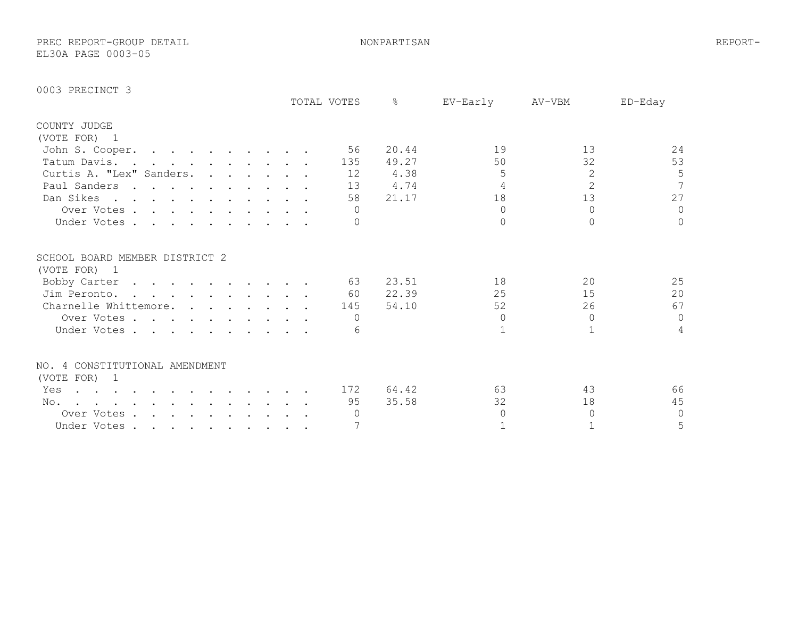PREC REPORT-GROUP DETAIL NONPARTISAN REPORT-EL30A PAGE 0003-05

|                                                                                                                                                                                                                                                                                                                                                                                                                                     | TOTAL VOTES | $\frac{6}{5}$ | EV-Early | AV-VBM         | ED-Eday        |
|-------------------------------------------------------------------------------------------------------------------------------------------------------------------------------------------------------------------------------------------------------------------------------------------------------------------------------------------------------------------------------------------------------------------------------------|-------------|---------------|----------|----------------|----------------|
| COUNTY JUDGE                                                                                                                                                                                                                                                                                                                                                                                                                        |             |               |          |                |                |
| (VOTE FOR) 1                                                                                                                                                                                                                                                                                                                                                                                                                        |             |               |          |                |                |
| John S. Cooper.                                                                                                                                                                                                                                                                                                                                                                                                                     | 56          | 20.44         | 19       | 13             | 24             |
| Tatum Davis.                                                                                                                                                                                                                                                                                                                                                                                                                        | 135         | 49.27         | 50       | 32             | 53             |
| Curtis A. "Lex" Sanders.                                                                                                                                                                                                                                                                                                                                                                                                            | 12          | 4.38          | 5        | $\overline{2}$ | 5              |
| Paul Sanders                                                                                                                                                                                                                                                                                                                                                                                                                        | 13          | 4.74          |          | $\overline{2}$ | $\overline{7}$ |
| Dan Sikes                                                                                                                                                                                                                                                                                                                                                                                                                           | 58          | 21.17         | 18       | 13             | 27             |
| Over Votes                                                                                                                                                                                                                                                                                                                                                                                                                          |             |               | $\cap$   | $\cap$         | $\Omega$       |
| Under Votes                                                                                                                                                                                                                                                                                                                                                                                                                         |             |               |          | $\Omega$       | $\Omega$       |
| SCHOOL BOARD MEMBER DISTRICT 2                                                                                                                                                                                                                                                                                                                                                                                                      |             |               |          |                |                |
| (VOTE FOR) 1                                                                                                                                                                                                                                                                                                                                                                                                                        |             |               |          |                |                |
| Bobby Carter                                                                                                                                                                                                                                                                                                                                                                                                                        | 63          | 23.51         | 18       | 20             | 25             |
| Jim Peronto.                                                                                                                                                                                                                                                                                                                                                                                                                        | 60          | 22.39         | 25       | 15             | 20             |
| Charnelle Whittemore.                                                                                                                                                                                                                                                                                                                                                                                                               | 145         | 54.10         | 52       | 26             | 67             |
| Over Votes                                                                                                                                                                                                                                                                                                                                                                                                                          | $\bigcap$   |               | $\Omega$ | $\Omega$       | $\Omega$       |
| Under Votes.                                                                                                                                                                                                                                                                                                                                                                                                                        |             |               |          |                | 4              |
| NO. 4 CONSTITUTIONAL AMENDMENT                                                                                                                                                                                                                                                                                                                                                                                                      |             |               |          |                |                |
| (VOTE FOR) 1                                                                                                                                                                                                                                                                                                                                                                                                                        |             |               |          |                |                |
| Yes<br>$\mathbf{r} = \mathbf{r} + \mathbf{r} + \mathbf{r} + \mathbf{r} + \mathbf{r} + \mathbf{r} + \mathbf{r} + \mathbf{r} + \mathbf{r} + \mathbf{r} + \mathbf{r} + \mathbf{r} + \mathbf{r} + \mathbf{r} + \mathbf{r} + \mathbf{r} + \mathbf{r} + \mathbf{r} + \mathbf{r} + \mathbf{r} + \mathbf{r} + \mathbf{r} + \mathbf{r} + \mathbf{r} + \mathbf{r} + \mathbf{r} + \mathbf{r} + \mathbf{r} + \mathbf{r} + \mathbf{r} + \mathbf$ | 172         | 64.42         | 63       | 43             | 66             |
| No.<br>the contract of the contract of the contract of the contract of the contract of the contract of the contract of                                                                                                                                                                                                                                                                                                              | 95          | 35.58         | 32       | 18             | 45             |
| Over Votes                                                                                                                                                                                                                                                                                                                                                                                                                          |             |               | $\cap$   | $\Omega$       | $\Omega$       |
| Under Votes                                                                                                                                                                                                                                                                                                                                                                                                                         |             |               |          |                | 5              |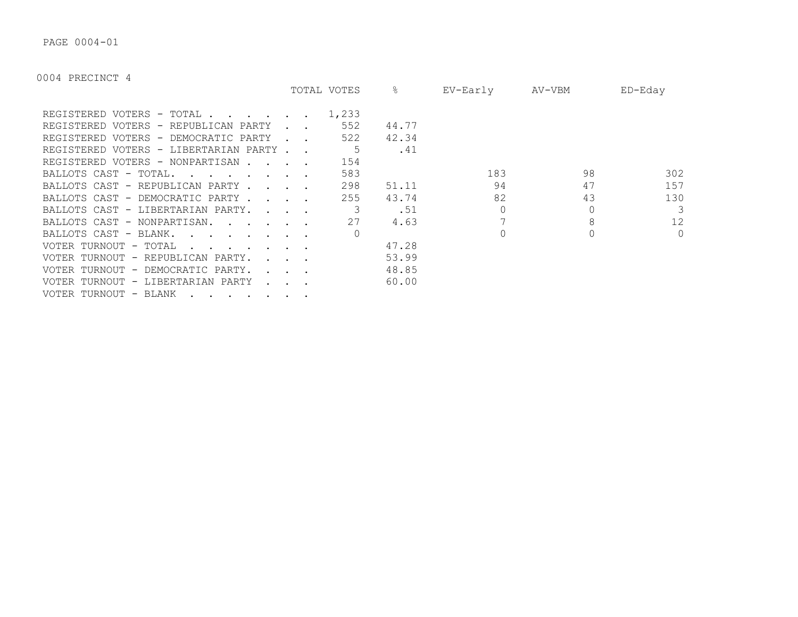PAGE 0004-01

|                                                                                                                  |                                            | TOTAL VOTES | ိဝ    | EV-Early | AV-VBM | ED-Eday |
|------------------------------------------------------------------------------------------------------------------|--------------------------------------------|-------------|-------|----------|--------|---------|
| REGISTERED VOTERS - TOTAL .                                                                                      |                                            | 1,233       |       |          |        |         |
| REGISTERED VOTERS - REPUBLICAN PARTY                                                                             |                                            | 552         | 44.77 |          |        |         |
| REGISTERED VOTERS - DEMOCRATIC PARTY                                                                             |                                            | 522         | 42.34 |          |        |         |
| REGISTERED VOTERS - LIBERTARIAN PARTY.                                                                           |                                            | 5           | .41   |          |        |         |
| REGISTERED VOTERS - NONPARTISAN.<br>$\sim$ $\sim$ $\sim$                                                         |                                            | 154         |       |          |        |         |
| BALLOTS CAST - TOTAL.<br>$\mathbf{r}$ , $\mathbf{r}$ , $\mathbf{r}$ , $\mathbf{r}$ , $\mathbf{r}$ , $\mathbf{r}$ |                                            | 583         |       | 183      | 98     | 302     |
| BALLOTS CAST - REPUBLICAN PARTY.                                                                                 | <b><i>Committee State State</i></b>        | 298         | 51.11 | 94       | 47     | 157     |
| BALLOTS CAST - DEMOCRATIC PARTY.                                                                                 | $\mathbf{r}$ , $\mathbf{r}$ , $\mathbf{r}$ | 255         | 43.74 | 82       | 43     | 130     |
| BALLOTS CAST - LIBERTARIAN PARTY.                                                                                | $\cdot$ $\cdot$ $\cdot$ $\cdot$            |             | .51   |          |        | 3       |
| BALLOTS CAST - NONPARTISAN.                                                                                      |                                            | 27          | 4.63  |          | 8      | 12      |
| BALLOTS CAST - BLANK.<br>$\sim$ $\sim$ $\sim$ $\sim$ $\sim$ $\sim$                                               |                                            |             |       |          |        | $\circ$ |
| VOTER TURNOUT - TOTAL                                                                                            |                                            |             | 47.28 |          |        |         |
| VOTER TURNOUT - REPUBLICAN PARTY.                                                                                |                                            |             | 53.99 |          |        |         |
| VOTER TURNOUT - DEMOCRATIC PARTY.                                                                                |                                            |             | 48.85 |          |        |         |
| VOTER TURNOUT - LIBERTARIAN PARTY                                                                                |                                            |             | 60.00 |          |        |         |
| VOTER TURNOUT - BLANK                                                                                            |                                            |             |       |          |        |         |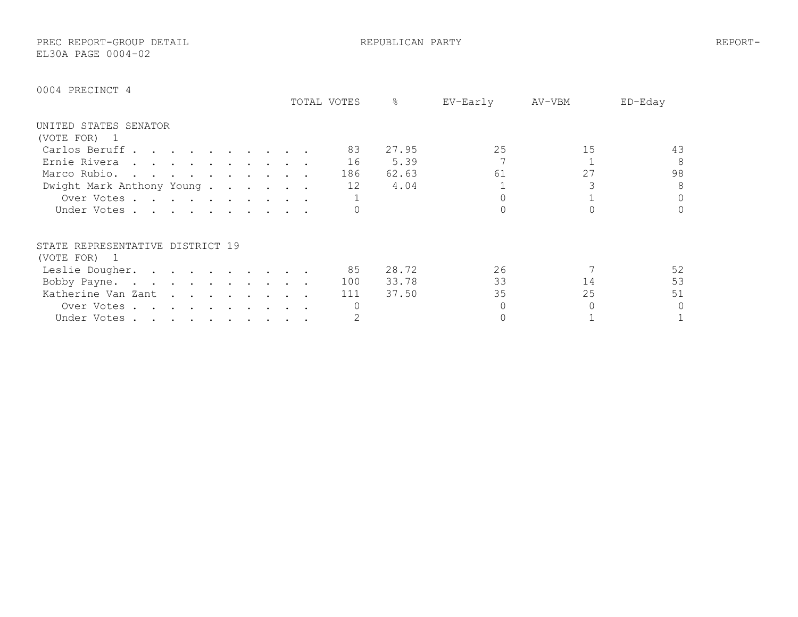PREC REPORT-GROUP DETAIL REPUBLICAN PARTY REPORT-EL30A PAGE 0004-02

|                                                                                                                                 |               | TOTAL VOTES | ⊱     | EV-Early | AV-VBM | $ED$ –Eday |
|---------------------------------------------------------------------------------------------------------------------------------|---------------|-------------|-------|----------|--------|------------|
| UNITED STATES SENATOR                                                                                                           |               |             |       |          |        |            |
| (VOTE FOR)                                                                                                                      |               |             |       |          |        |            |
| Carlos Beruff                                                                                                                   |               | 83          | 27.95 | 25       | 15     | 43         |
| Ernie Rivera<br>the contract of the contract of the contract of the contract of the contract of the contract of the contract of |               | 16          | 5.39  |          |        | 8          |
| Marco Rubio.                                                                                                                    |               | 186         | 62.63 | 61       | 27     | 98         |
| Dwight Mark Anthony Young                                                                                                       |               | 12          | 4.04  |          |        | 8          |
| Over Votes                                                                                                                      |               |             |       |          |        | $\Omega$   |
| Under Votes                                                                                                                     |               |             |       |          |        | $\Omega$   |
| STATE REPRESENTATIVE DISTRICT 19                                                                                                |               |             |       |          |        |            |
| (VOTE FOR)<br>$\overline{1}$                                                                                                    |               |             |       |          |        |            |
| Leslie Dougher.<br>$\mathcal{L}(\mathbf{u})$ . The contribution of the contribution of $\mathcal{L}(\mathbf{u})$                |               | 85          | 28.72 | 26       |        | 52         |
| Bobby Payne.                                                                                                                    |               | 100         | 33.78 | 33       | 14     | 53         |
| Katherine Van Zant                                                                                                              |               | 111         | 37.50 | 35       | 25     | 51         |
| Over Votes.<br>$\cdot$                                                                                                          |               |             |       |          |        | $\Omega$   |
| Under Votes                                                                                                                     | $\sim$ $\sim$ |             |       |          |        |            |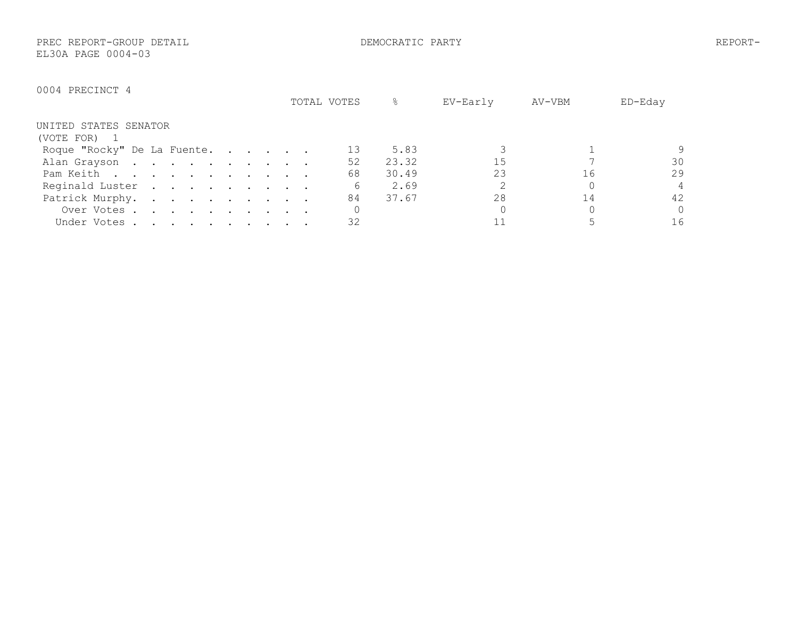PREC REPORT-GROUP DETAIL DEMOCRATIC PARTY REPORT-EL30A PAGE 0004-03

|                             | TOTAL VOTES | &     | EV-Early | AV-VBM | ED-Eday        |
|-----------------------------|-------------|-------|----------|--------|----------------|
| UNITED STATES SENATOR       |             |       |          |        |                |
| (VOTE FOR)                  |             |       |          |        |                |
| Roque "Rocky" De La Fuente. |             | 5.83  |          |        |                |
| Alan Grayson                | 52          | 23.32 | 15       |        | 30             |
| Pam Keith                   | 68          | 30.49 | 23       | 16     | 29             |
| Reginald Luster             | 6           | 2.69  |          |        | $\overline{4}$ |
| Patrick Murphy.             | 84          | 37.67 | 28       |        | 42             |
| Over Votes                  |             |       |          |        | $\Omega$       |
| Under Votes                 | 32          |       |          |        | 16             |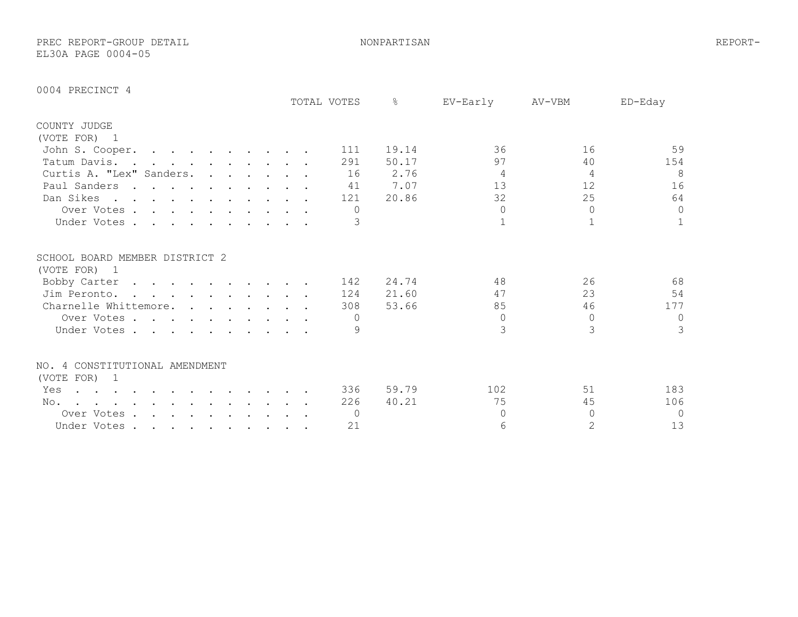PREC REPORT-GROUP DETAIL NONPARTISAN REPORT-EL30A PAGE 0004-05

|                                                                                                                              |                                                                                                                                                                                                                                   |  |  |  | TOTAL VOTES | $\frac{6}{5}$ | EV-Early      | AV-VBM         | ED-Eday      |
|------------------------------------------------------------------------------------------------------------------------------|-----------------------------------------------------------------------------------------------------------------------------------------------------------------------------------------------------------------------------------|--|--|--|-------------|---------------|---------------|----------------|--------------|
| COUNTY JUDGE                                                                                                                 |                                                                                                                                                                                                                                   |  |  |  |             |               |               |                |              |
| (VOTE FOR) 1                                                                                                                 |                                                                                                                                                                                                                                   |  |  |  |             |               |               |                |              |
| John S. Cooper.                                                                                                              |                                                                                                                                                                                                                                   |  |  |  | 111         | 19.14         | 36            | 16             | 59           |
| Tatum Davis.                                                                                                                 |                                                                                                                                                                                                                                   |  |  |  | 291         | 50.17         | 97            | 40             | 154          |
| Curtis A. "Lex" Sanders.                                                                                                     |                                                                                                                                                                                                                                   |  |  |  | 16          | 2.76          | 4             | 4              | 8            |
| Paul Sanders                                                                                                                 | $\mathbf{r}$ , and $\mathbf{r}$ , and $\mathbf{r}$ , and $\mathbf{r}$ , and $\mathbf{r}$                                                                                                                                          |  |  |  | 41          | 7.07          | 13            | 12             | 16           |
| Dan Sikes                                                                                                                    |                                                                                                                                                                                                                                   |  |  |  | 121         | 20.86         | 32            | 25             | 64           |
| Over Votes                                                                                                                   |                                                                                                                                                                                                                                   |  |  |  | $\Omega$    |               | $\Omega$      | $\Omega$       | $\circ$      |
| Under Votes                                                                                                                  |                                                                                                                                                                                                                                   |  |  |  | 3           |               |               |                | $\mathbf{1}$ |
| SCHOOL BOARD MEMBER DISTRICT 2                                                                                               |                                                                                                                                                                                                                                   |  |  |  |             |               |               |                |              |
| (VOTE FOR) 1                                                                                                                 |                                                                                                                                                                                                                                   |  |  |  |             |               |               |                |              |
| Bobby Carter                                                                                                                 | . The contract of the contract of the contract of the contract of the contract of the contract of the contract of the contract of the contract of the contract of the contract of the contract of the contract of the contrac     |  |  |  | 142         | 24.74         | 48            | 26             | 68           |
| Jim Peronto.                                                                                                                 | $\mathbf{r}$ . The contract of the contract of the contract of the contract of the contract of the contract of the contract of the contract of the contract of the contract of the contract of the contract of the contract of th |  |  |  | 124         | 21.60         | 47            | 23             | 54           |
| Charnelle Whittemore.                                                                                                        |                                                                                                                                                                                                                                   |  |  |  | 308         | 53.66         | 85            | 46             | 177          |
| Over Votes                                                                                                                   |                                                                                                                                                                                                                                   |  |  |  | $\bigcap$   |               | $\Omega$      | $\Omega$       | $\circ$      |
| Under Votes                                                                                                                  |                                                                                                                                                                                                                                   |  |  |  |             |               | $\mathcal{R}$ | 3              | 3            |
| NO. 4 CONSTITUTIONAL AMENDMENT                                                                                               |                                                                                                                                                                                                                                   |  |  |  |             |               |               |                |              |
| (VOTE FOR) 1                                                                                                                 |                                                                                                                                                                                                                                   |  |  |  |             |               |               |                |              |
| Yes<br>the contract of the contract of the contract of the contract of the contract of the contract of the contract of       |                                                                                                                                                                                                                                   |  |  |  | 336         | 59.79         | 102           | 51             | 183          |
| No.<br>$\mathbf{r}$ , $\mathbf{r}$ , $\mathbf{r}$ , $\mathbf{r}$ , $\mathbf{r}$ , $\mathbf{r}$ , $\mathbf{r}$ , $\mathbf{r}$ |                                                                                                                                                                                                                                   |  |  |  | 226         | 40.21         | 75            | 45             | 106          |
| Over Votes                                                                                                                   |                                                                                                                                                                                                                                   |  |  |  | $\bigcap$   |               | ∩             | $\cap$         | $\Omega$     |
| Under Votes                                                                                                                  |                                                                                                                                                                                                                                   |  |  |  | 21          |               | 6             | $\overline{2}$ | 13           |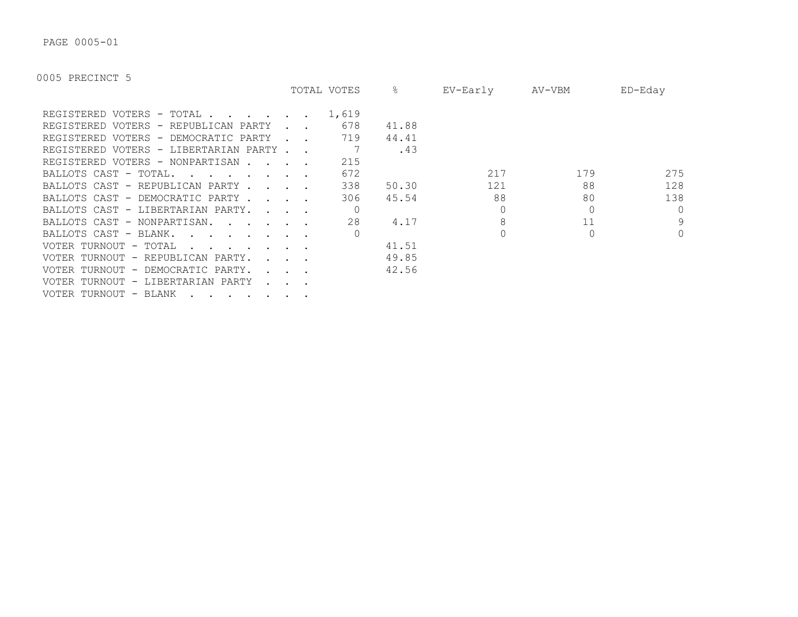PAGE 0005-01

|                                                                                                                                                                                                                                                               |                                                              | TOTAL VOTES | ိဝ    | EV-Early | AV-VBM | ED-Eday  |
|---------------------------------------------------------------------------------------------------------------------------------------------------------------------------------------------------------------------------------------------------------------|--------------------------------------------------------------|-------------|-------|----------|--------|----------|
| REGISTERED VOTERS - TOTAL .<br>$\mathbf{r}$ , $\mathbf{r}$ , $\mathbf{r}$ , $\mathbf{r}$                                                                                                                                                                      |                                                              | 1,619       |       |          |        |          |
| REGISTERED VOTERS - REPUBLICAN PARTY                                                                                                                                                                                                                          |                                                              | 678         | 41.88 |          |        |          |
| REGISTERED VOTERS - DEMOCRATIC PARTY                                                                                                                                                                                                                          |                                                              | 719         | 44.41 |          |        |          |
| REGISTERED VOTERS - LIBERTARIAN PARTY                                                                                                                                                                                                                         |                                                              |             | .43   |          |        |          |
| REGISTERED VOTERS - NONPARTISAN.<br>$\mathbf{r}$ . The set of $\mathbf{r}$                                                                                                                                                                                    |                                                              | 215         |       |          |        |          |
| BALLOTS CAST - TOTAL.<br>$\mathbf{r}$ . The set of the set of the set of the set of the set of the set of the set of the set of the set of the set of the set of the set of the set of the set of the set of the set of the set of the set of the set of t    |                                                              | 672         |       | 217      | 179    | 275      |
| BALLOTS CAST - REPUBLICAN PARTY                                                                                                                                                                                                                               |                                                              | 338         | 50.30 | 121      | 88     | 128      |
| BALLOTS CAST - DEMOCRATIC PARTY.                                                                                                                                                                                                                              | $\sim$ $\sim$ $\sim$ $\sim$                                  | 306         | 45.54 | 88       | 80     | 138      |
| BALLOTS CAST - LIBERTARIAN PARTY.                                                                                                                                                                                                                             | $\sim$ $\sim$ $\sim$ $\sim$                                  |             |       |          |        | $\Omega$ |
| BALLOTS CAST - NONPARTISAN.                                                                                                                                                                                                                                   |                                                              | 28          | 4.17  |          | 11     | 9        |
| BALLOTS CAST - BLANK.<br><u>and the second contract of the second contract of the second contract of the second contract of the second contract of the second contract of the second contract of the second contract of the second contract of the second</u> |                                                              |             |       |          |        | $\Omega$ |
| VOTER TURNOUT - TOTAL<br>$\mathbf{r}$ . The set of $\mathbf{r}$ is the set of $\mathbf{r}$                                                                                                                                                                    |                                                              |             | 41.51 |          |        |          |
| VOTER TURNOUT - REPUBLICAN PARTY.                                                                                                                                                                                                                             | $\mathbf{r} = \mathbf{r} = \mathbf{r}$                       |             | 49.85 |          |        |          |
| VOTER TURNOUT - DEMOCRATIC PARTY.                                                                                                                                                                                                                             | $\mathbf{L} = \mathbf{L} \mathbf{L} + \mathbf{L} \mathbf{L}$ |             | 42.56 |          |        |          |
| VOTER TURNOUT - LIBERTARIAN PARTY                                                                                                                                                                                                                             |                                                              |             |       |          |        |          |
| VOTER TURNOUT - BLANK                                                                                                                                                                                                                                         |                                                              |             |       |          |        |          |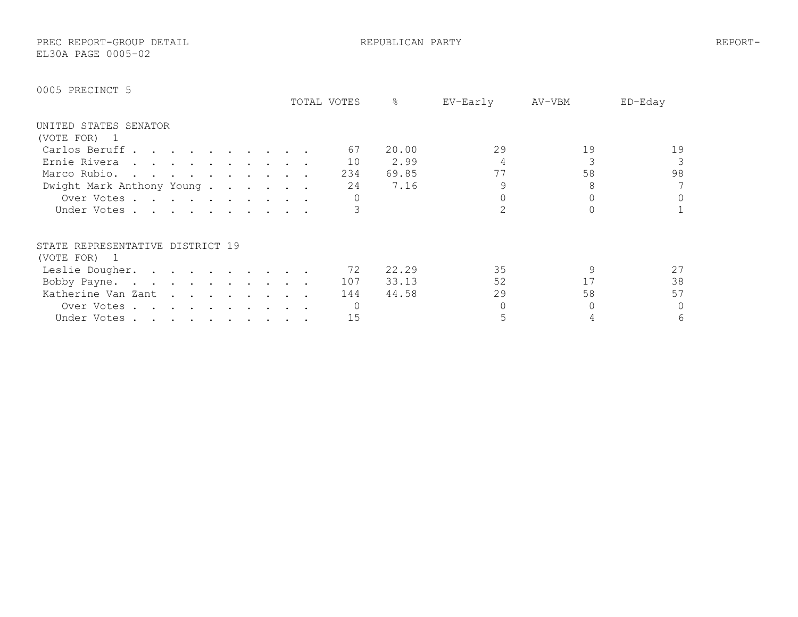PREC REPORT-GROUP DETAIL REPUBLICAN PARTY REPORT-EL30A PAGE 0005-02

|                                  | TOTAL VOTES | &     | EV-Early | AV-VBM | ED-Eday |
|----------------------------------|-------------|-------|----------|--------|---------|
| UNITED STATES SENATOR            |             |       |          |        |         |
| (VOTE FOR)<br>- 1                |             |       |          |        |         |
| Carlos Beruff                    | 67          | 20.00 | 29       | 19     | 19      |
| Ernie Rivera                     | 10          | 2.99  |          |        |         |
| Marco Rubio.                     | 234         | 69.85 | 77       | 58     | 98      |
| Dwight Mark Anthony Young        | 24          | 7.16  |          |        | 7       |
| Over Votes                       |             |       |          |        | 0       |
| Under Votes.                     |             |       |          |        |         |
| STATE REPRESENTATIVE DISTRICT 19 |             |       |          |        |         |
| (VOTE FOR) 1                     |             |       |          |        |         |
| Leslie Dougher.                  | 72          | 22.29 | 35       |        | 27      |
| Bobby Payne.                     | 107         | 33.13 | 52       | 17     | 38      |
| Katherine Van Zant               | 144         | 44.58 | 29       | 58     | 57      |
| Over Votes.<br>$\cdot$           |             |       |          |        | 0       |
| Under Votes                      | 15          |       |          |        | 6       |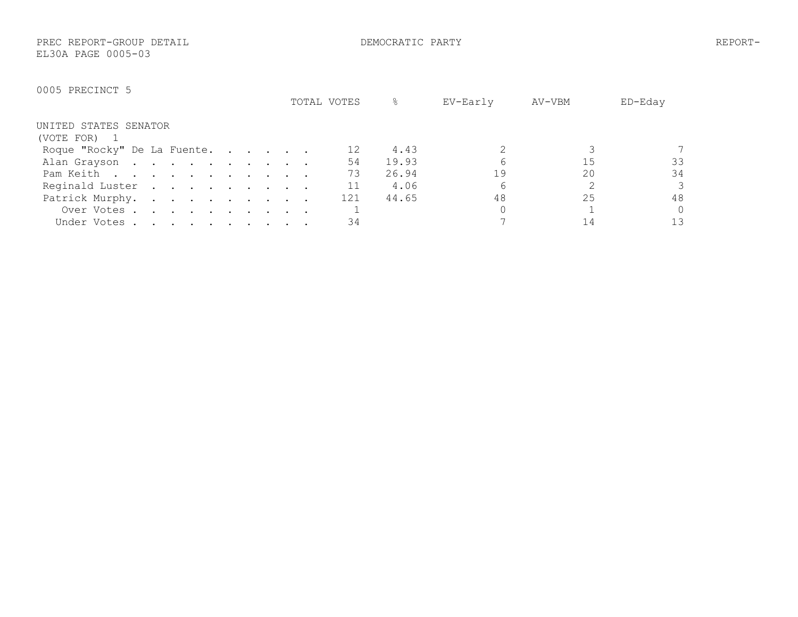PREC REPORT-GROUP DETAIL DEMOCRATIC PARTY REPORT-EL30A PAGE 0005-03

|                             | TOTAL VOTES | &            | EV-Early | AV-VBM | ED-Eday  |
|-----------------------------|-------------|--------------|----------|--------|----------|
| UNITED STATES SENATOR       |             |              |          |        |          |
| (VOTE FOR)                  |             |              |          |        |          |
| Roque "Rocky" De La Fuente. |             | 4.43         |          |        |          |
| Alan Grayson                |             | 54<br>19.93  |          | 15     | 33       |
| Pam Keith                   |             | 73<br>26.94  | 19       | 20     | 34       |
| Reginald Luster             |             | 11<br>4.06   | 6        |        | 3        |
| Patrick Murphy.             |             | 121<br>44.65 | 48       | 25     | 48       |
| Over Votes                  |             |              |          |        | $\Omega$ |
| Under Votes                 |             | 34           |          |        | 13       |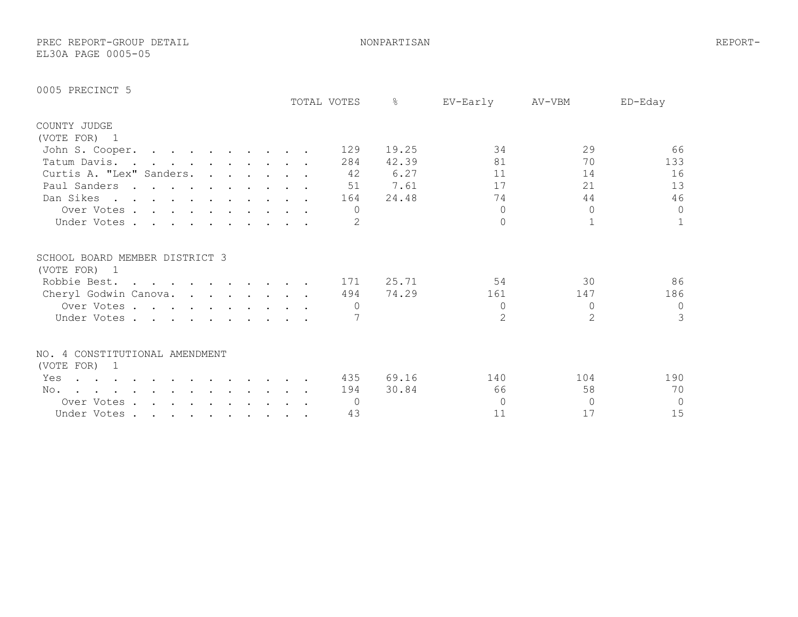PREC REPORT-GROUP DETAIL NONPARTISAN REPORT-EL30A PAGE 0005-05

|                                                                                                                                                                                                                                          |  |  |  |  |  | TOTAL VOTES    | $\frac{6}{2}$ | EV-Early      | AV-VBM   | $ED-Edav$    |
|------------------------------------------------------------------------------------------------------------------------------------------------------------------------------------------------------------------------------------------|--|--|--|--|--|----------------|---------------|---------------|----------|--------------|
| COUNTY JUDGE                                                                                                                                                                                                                             |  |  |  |  |  |                |               |               |          |              |
| (VOTE FOR) 1                                                                                                                                                                                                                             |  |  |  |  |  |                |               |               |          |              |
| John S. Cooper.                                                                                                                                                                                                                          |  |  |  |  |  | 129            | 19.25         | 34            | 29       | 66           |
| Tatum Davis.                                                                                                                                                                                                                             |  |  |  |  |  | 284            | 42.39         | 81            | 70       | 133          |
| Curtis A. "Lex" Sanders.                                                                                                                                                                                                                 |  |  |  |  |  | 42             | 6.27          | 11            | 14       | 16           |
| Paul Sanders                                                                                                                                                                                                                             |  |  |  |  |  | 51             | 7.61          | 17            | 21       | 13           |
| Dan Sikes                                                                                                                                                                                                                                |  |  |  |  |  | 164            | 24.48         | 74            | 44       | 46           |
| Over Votes                                                                                                                                                                                                                               |  |  |  |  |  | $\Omega$       |               | $\Omega$      | $\Omega$ | $\circ$      |
| Under Votes                                                                                                                                                                                                                              |  |  |  |  |  |                |               | $\Omega$      |          | $\mathbf{1}$ |
| SCHOOL BOARD MEMBER DISTRICT 3                                                                                                                                                                                                           |  |  |  |  |  |                |               |               |          |              |
| (VOTE FOR) 1                                                                                                                                                                                                                             |  |  |  |  |  |                |               |               |          |              |
| Robbie Best.                                                                                                                                                                                                                             |  |  |  |  |  | 171            | 25.71         | 54            | 30       | 86           |
| Cheryl Godwin Canova.                                                                                                                                                                                                                    |  |  |  |  |  | 494            | 74.29         | 161           | 147      | 186          |
| Over Votes                                                                                                                                                                                                                               |  |  |  |  |  |                |               | $\Omega$      | $\Omega$ | $\circ$      |
| Under Votes                                                                                                                                                                                                                              |  |  |  |  |  |                |               | $\mathcal{L}$ | 2        | 3            |
| NO. 4 CONSTITUTIONAL AMENDMENT                                                                                                                                                                                                           |  |  |  |  |  |                |               |               |          |              |
| (VOTE FOR) 1                                                                                                                                                                                                                             |  |  |  |  |  |                |               |               |          |              |
| Yes<br>$\mathbf{r}$ . The set of the set of the set of the set of the set of the set of the set of the set of the set of the set of the set of the set of the set of the set of the set of the set of the set of the set of the set of t |  |  |  |  |  | 435            | 69.16         | 140           | 104      | 190          |
| No.<br>. The contract of the contract of the contract of the contract of the contract of the contract of the contract of the contract of the contract of the contract of the contract of the contract of the contract of the contrac     |  |  |  |  |  | 194            | 30.84         | 66            | 58       | 70           |
| Over Votes                                                                                                                                                                                                                               |  |  |  |  |  | $\overline{0}$ |               | $\Omega$      | $\Omega$ | $\circ$      |
| Under Votes                                                                                                                                                                                                                              |  |  |  |  |  | 43             |               | 11            | 17       | 15           |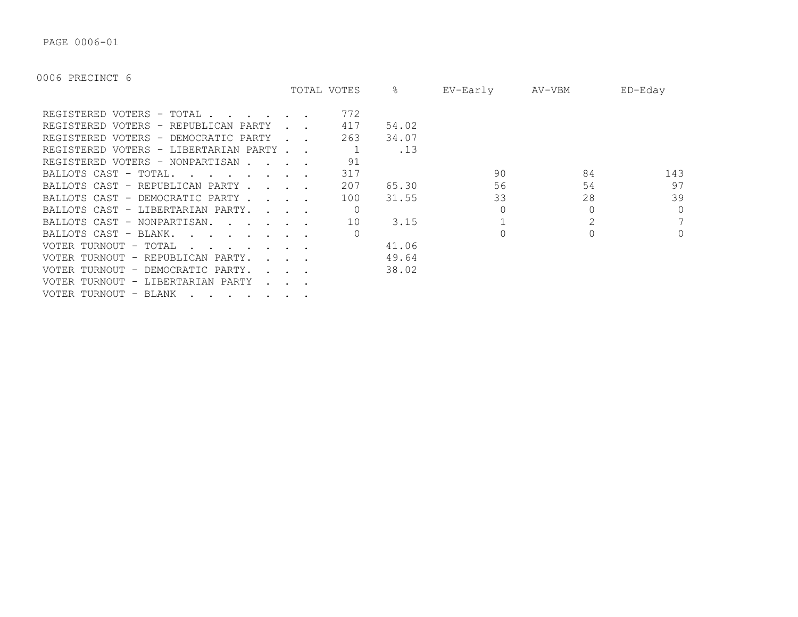PAGE 0006-01

|                                                                                  |                                     | TOTAL VOTES | ိဝ    | EV-Early | AV-VBM | $ED$ –Edav |
|----------------------------------------------------------------------------------|-------------------------------------|-------------|-------|----------|--------|------------|
| REGISTERED VOTERS - TOTAL                                                        |                                     | 772         |       |          |        |            |
| REGISTERED VOTERS - REPUBLICAN PARTY                                             |                                     | 417         | 54.02 |          |        |            |
| REGISTERED VOTERS - DEMOCRATIC PARTY                                             |                                     | 263         | 34.07 |          |        |            |
| REGISTERED VOTERS - LIBERTARIAN PARTY.                                           |                                     |             | .13   |          |        |            |
| REGISTERED VOTERS - NONPARTISAN.                                                 |                                     | 91          |       |          |        |            |
| BALLOTS CAST - TOTAL.<br>$\sim$ $\sim$ $\sim$ $\sim$ $\sim$ $\sim$ $\sim$ $\sim$ |                                     | 317         |       | 90       | 84     | 143        |
| BALLOTS CAST - REPUBLICAN PARTY.                                                 | <b><i>Committee State State</i></b> | 207         | 65.30 | 56       | 54     | 97         |
| BALLOTS CAST - DEMOCRATIC PARTY.                                                 | $\sim$ $\sim$ $\sim$                | 100         | 31.55 | 33       | 28     | 39         |
| BALLOTS CAST - LIBERTARIAN PARTY.                                                | $\sim$ $\sim$ $\sim$ $\sim$         |             |       |          |        | $\Omega$   |
| BALLOTS CAST - NONPARTISAN.                                                      |                                     | 10          | 3.15  |          |        | 7          |
| BALLOTS CAST - BLANK.<br>$\sim$ $\sim$ $\sim$ $\sim$ $\sim$ $\sim$               |                                     |             |       |          |        | $\circ$    |
| VOTER TURNOUT - TOTAL                                                            |                                     |             | 41.06 |          |        |            |
| VOTER TURNOUT - REPUBLICAN PARTY.                                                |                                     |             | 49.64 |          |        |            |
| VOTER TURNOUT - DEMOCRATIC PARTY.                                                |                                     |             | 38.02 |          |        |            |
| VOTER TURNOUT - LIBERTARIAN PARTY                                                |                                     |             |       |          |        |            |
| VOTER TURNOUT - BLANK                                                            |                                     |             |       |          |        |            |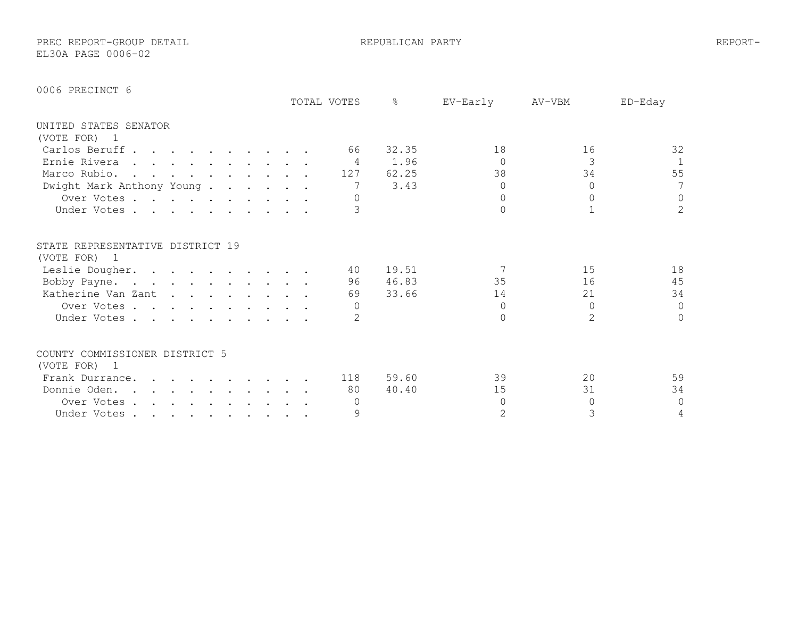PREC REPORT-GROUP DETAIL REPUBLICAN PARTY REPORT-EL30A PAGE 0006-02

| 0006 PRECINCT 6 |
|-----------------|
|-----------------|

|                                                  |  |  |                                                                       |  |  | TOTAL VOTES | ⊱     | EV-Early | AV-VBM         | ED-Eday        |
|--------------------------------------------------|--|--|-----------------------------------------------------------------------|--|--|-------------|-------|----------|----------------|----------------|
| UNITED STATES SENATOR                            |  |  |                                                                       |  |  |             |       |          |                |                |
| (VOTE FOR)<br>$\overline{1}$                     |  |  |                                                                       |  |  |             |       |          |                |                |
| Carlos Beruff                                    |  |  |                                                                       |  |  | 66          | 32.35 | 18       | 16             | 32             |
| Ernie Rivera                                     |  |  |                                                                       |  |  | 4           | 1.96  | $\Omega$ | 3              | $\mathbf{1}$   |
| Marco Rubio.                                     |  |  |                                                                       |  |  | 127         | 62.25 | 38       | 34             | 55             |
| Dwight Mark Anthony Young.                       |  |  |                                                                       |  |  |             | 3.43  | $\Omega$ | $\Omega$       | 7              |
| Over Votes                                       |  |  |                                                                       |  |  |             |       | $\Omega$ | $\Omega$       | 0              |
| Under Votes                                      |  |  |                                                                       |  |  |             |       | $\cap$   |                | $\overline{2}$ |
| STATE REPRESENTATIVE DISTRICT 19<br>(VOTE FOR) 1 |  |  |                                                                       |  |  |             |       |          |                |                |
| Leslie Dougher.                                  |  |  |                                                                       |  |  | 40          | 19.51 |          | 15             | 18             |
| Bobby Payne.                                     |  |  |                                                                       |  |  | 96          | 46.83 | 35       | 16             | 45             |
| Katherine Van Zant                               |  |  |                                                                       |  |  | 69          | 33.66 | 14       | 21             | 34             |
| Over Votes                                       |  |  |                                                                       |  |  |             |       | $\Omega$ | $\Omega$       | $\mathbf{0}$   |
|                                                  |  |  |                                                                       |  |  |             |       | $\Omega$ | $\overline{2}$ | $\circ$        |
| Under Votes.                                     |  |  |                                                                       |  |  |             |       |          |                |                |
| COUNTY COMMISSIONER DISTRICT 5                   |  |  |                                                                       |  |  |             |       |          |                |                |
| (VOTE FOR) 1                                     |  |  |                                                                       |  |  |             |       |          |                |                |
| Frank Durrance.                                  |  |  |                                                                       |  |  | 118         | 59.60 | 39       | 20             | 59             |
| Donnie Oden                                      |  |  | $\mathbf{r}$ , and $\mathbf{r}$ , and $\mathbf{r}$ , and $\mathbf{r}$ |  |  | 80          | 40.40 | 15       | 31             | 34             |
| Over Votes                                       |  |  |                                                                       |  |  |             |       | $\Omega$ | $\Omega$       | $\circ$        |
| Under Votes                                      |  |  |                                                                       |  |  | 9           |       | 2        | 3              | $\sqrt{4}$     |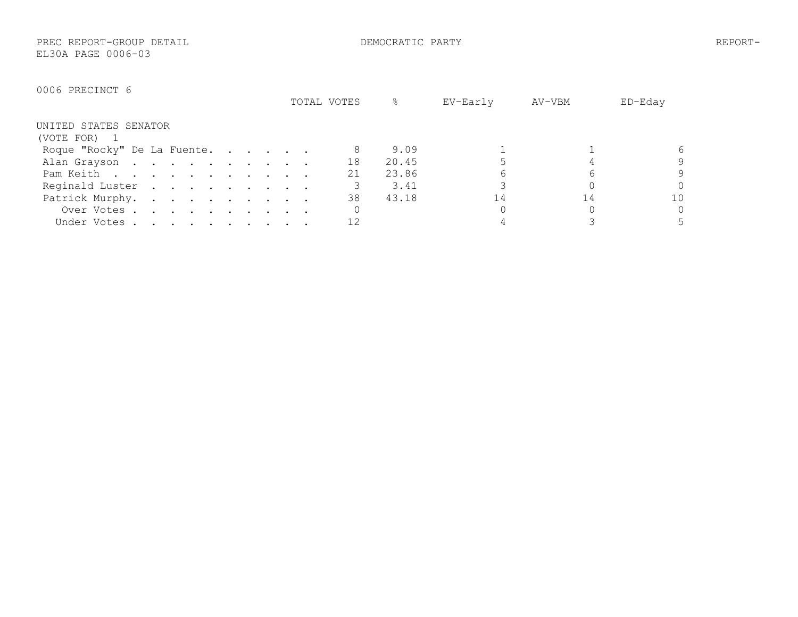PREC REPORT-GROUP DETAIL DEMOCRATIC PARTY REPORT-EL30A PAGE 0006-03

|                             | TOTAL VOTES |    | 옹     | EV-Early | AV-VBM | ED-Eday  |
|-----------------------------|-------------|----|-------|----------|--------|----------|
| UNITED STATES SENATOR       |             |    |       |          |        |          |
| (VOTE FOR) 1                |             |    |       |          |        |          |
| Roque "Rocky" De La Fuente. |             |    | 9.09  |          |        | 6        |
| Alan Grayson                |             | 18 | 20.45 |          |        | 9        |
| Pam Keith                   |             | 21 | 23.86 |          |        | 9        |
| Reginald Luster             |             |    | 3.41  |          |        | Ω        |
| Patrick Murphy.             |             | 38 | 43.18 | 14       | 14     | 10       |
| Over Votes                  |             |    |       |          |        | $\Omega$ |
| Under Votes                 |             |    |       |          |        |          |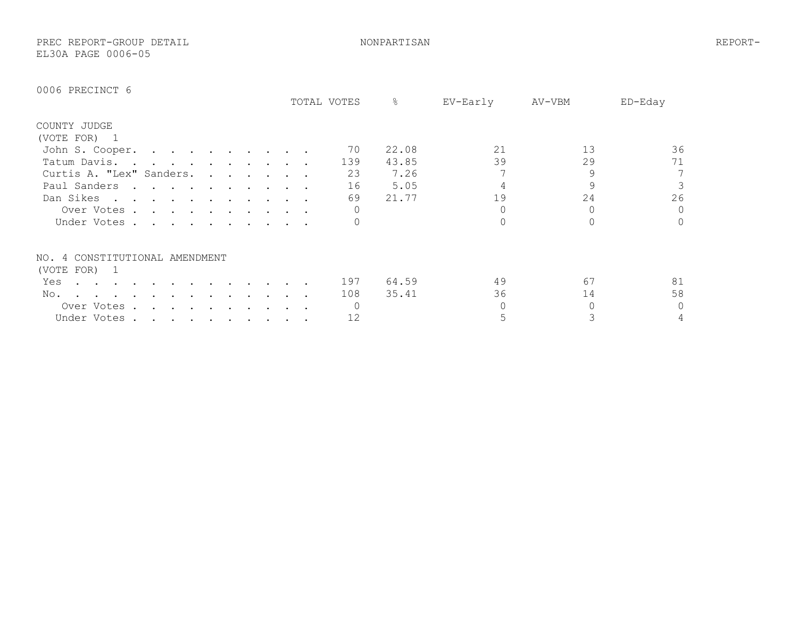PREC REPORT-GROUP DETAIL NONPARTISAN REPORT-EL30A PAGE 0006-05

|                                |        |                                                                                                                                                                                                                                   |  |                                                                                                                                                                                                                                   |           |                                                           |  | TOTAL VOTES | %     | EV-Early | AV-VBM | ED-Eday |
|--------------------------------|--------|-----------------------------------------------------------------------------------------------------------------------------------------------------------------------------------------------------------------------------------|--|-----------------------------------------------------------------------------------------------------------------------------------------------------------------------------------------------------------------------------------|-----------|-----------------------------------------------------------|--|-------------|-------|----------|--------|---------|
| COUNTY JUDGE                   |        |                                                                                                                                                                                                                                   |  |                                                                                                                                                                                                                                   |           |                                                           |  |             |       |          |        |         |
| (VOTE FOR) 1                   |        |                                                                                                                                                                                                                                   |  |                                                                                                                                                                                                                                   |           |                                                           |  |             |       |          |        |         |
| John S. Cooper.                |        |                                                                                                                                                                                                                                   |  |                                                                                                                                                                                                                                   |           |                                                           |  | 70          | 22.08 | 21       | 13     | 36      |
| Tatum Davis.                   |        |                                                                                                                                                                                                                                   |  | $\mathbf{r}$ . The contract of the contract of the contract of the contract of the contract of the contract of the contract of the contract of the contract of the contract of the contract of the contract of the contract of th |           |                                                           |  | 139         | 43.85 | 39       | 29     | 71      |
| Curtis A. "Lex" Sanders.       |        |                                                                                                                                                                                                                                   |  |                                                                                                                                                                                                                                   |           | $\mathbf{r} = \mathbf{r}$ , and $\mathbf{r} = \mathbf{r}$ |  | 23          | 7.26  |          | 9      | 7       |
| Paul Sanders                   | $\sim$ | $\sim$ $\sim$ $\sim$                                                                                                                                                                                                              |  |                                                                                                                                                                                                                                   |           |                                                           |  | 16          | 5.05  |          |        |         |
| Dan Sikes                      |        | $\sim$ $\sim$ $\sim$ $\sim$                                                                                                                                                                                                       |  |                                                                                                                                                                                                                                   |           |                                                           |  | 69          | 21.77 | 19       | 24     | 26      |
| Over Votes .                   |        | $\mathbf{r}$ . The contract of the contract of the contract of the contract of the contract of the contract of the contract of the contract of the contract of the contract of the contract of the contract of the contract of th |  |                                                                                                                                                                                                                                   |           |                                                           |  |             |       |          |        | $\circ$ |
| Under Votes                    |        |                                                                                                                                                                                                                                   |  |                                                                                                                                                                                                                                   |           |                                                           |  |             |       |          |        | 0       |
| NO. 4 CONSTITUTIONAL AMENDMENT |        |                                                                                                                                                                                                                                   |  |                                                                                                                                                                                                                                   |           |                                                           |  |             |       |          |        |         |
| (VOTE FOR)<br>$\mathbf{1}$     |        |                                                                                                                                                                                                                                   |  |                                                                                                                                                                                                                                   |           |                                                           |  |             |       |          |        |         |
| Yes                            |        |                                                                                                                                                                                                                                   |  |                                                                                                                                                                                                                                   |           |                                                           |  | 197         | 64.59 | 49       | 67     | 81      |
| No.                            |        |                                                                                                                                                                                                                                   |  |                                                                                                                                                                                                                                   |           |                                                           |  | 108         | 35.41 | 36       | 14     | 58      |
| Over Votes.                    |        |                                                                                                                                                                                                                                   |  |                                                                                                                                                                                                                                   |           |                                                           |  |             |       |          |        | 0       |
| Under Votes.                   |        | $\mathcal{A}$ , and $\mathcal{A}$ , and $\mathcal{A}$ , and $\mathcal{A}$                                                                                                                                                         |  |                                                                                                                                                                                                                                   | $\bullet$ |                                                           |  | 12          |       |          |        | 4       |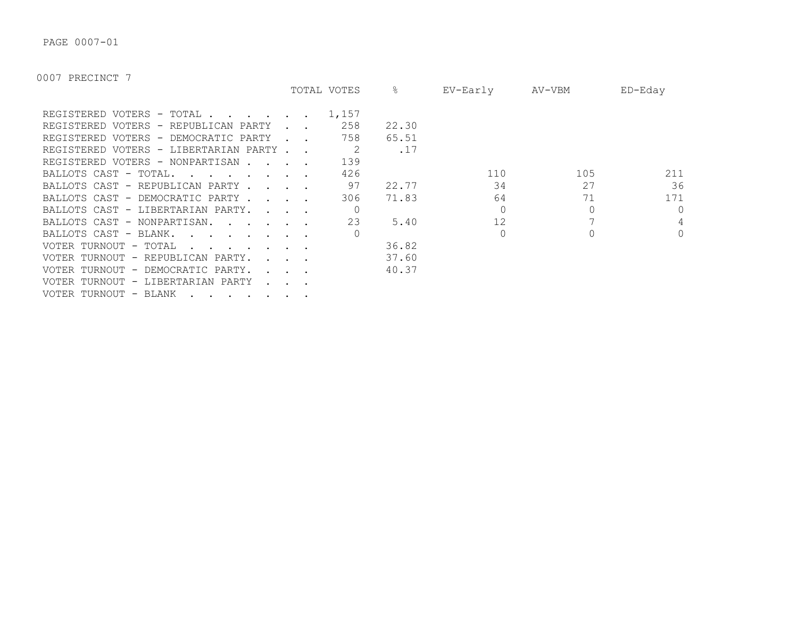PAGE 0007-01

|                                                                                                                  | TOTAL VOTES | &     | EV-Early | AV-VBM | ED-Eday  |
|------------------------------------------------------------------------------------------------------------------|-------------|-------|----------|--------|----------|
| REGISTERED VOTERS - TOTAL                                                                                        | 1,157       |       |          |        |          |
| REGISTERED VOTERS - REPUBLICAN PARTY                                                                             | 258         | 22.30 |          |        |          |
| REGISTERED VOTERS - DEMOCRATIC PARTY                                                                             | 758         | 65.51 |          |        |          |
| REGISTERED VOTERS - LIBERTARIAN PARTY.                                                                           |             | .17   |          |        |          |
| REGISTERED VOTERS - NONPARTISAN                                                                                  | 139         |       |          |        |          |
| BALLOTS CAST - TOTAL.<br>$\mathbf{r}$ , $\mathbf{r}$ , $\mathbf{r}$ , $\mathbf{r}$ , $\mathbf{r}$ , $\mathbf{r}$ | 426         |       | 110      | 105    | 211      |
| BALLOTS CAST - REPUBLICAN PARTY.<br>$\sim$ $\sim$ $\sim$                                                         | 97          | 22.77 | 34       | 27     | 36       |
| BALLOTS CAST - DEMOCRATIC PARTY.<br>$\mathbf{r}$ and $\mathbf{r}$                                                | 306         | 71.83 | 64       | 71     | 171      |
| BALLOTS CAST - LIBERTARIAN PARTY.<br>$\sim$ $\sim$ $\sim$ $\sim$                                                 |             |       |          |        | $\Omega$ |
| BALLOTS CAST - NONPARTISAN.                                                                                      | 23          | 5.40  | 12       |        | 4        |
| BALLOTS CAST - BLANK.                                                                                            |             |       | $\Omega$ |        | $\Omega$ |
| VOTER TURNOUT - TOTAL                                                                                            |             | 36.82 |          |        |          |
| VOTER TURNOUT - REPUBLICAN PARTY.                                                                                |             | 37.60 |          |        |          |
| VOTER TURNOUT - DEMOCRATIC PARTY.                                                                                |             | 40.37 |          |        |          |
| VOTER TURNOUT - LIBERTARIAN PARTY                                                                                |             |       |          |        |          |
| VOTER TURNOUT - BLANK                                                                                            |             |       |          |        |          |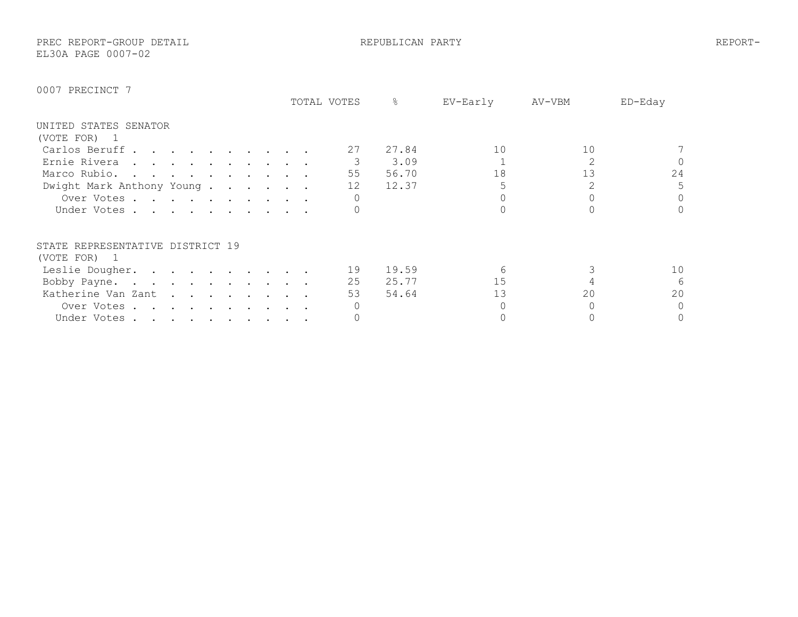PREC REPORT-GROUP DETAIL REPUBLICAN PARTY REPORT-EL30A PAGE 0007-02

|                                                                                                                                | TOTAL VOTES | 옹     | EV-Early | AV-VBM | ED-Eday  |
|--------------------------------------------------------------------------------------------------------------------------------|-------------|-------|----------|--------|----------|
| UNITED STATES SENATOR                                                                                                          |             |       |          |        |          |
| (VOTE FOR) 1                                                                                                                   |             |       |          |        |          |
| Carlos Beruff                                                                                                                  | 27          | 27.84 | 10       | 10     |          |
| Ernie Rivera                                                                                                                   |             | 3.09  |          |        | $\Omega$ |
| Marco Rubio.                                                                                                                   | 55          | 56.70 | 18       | 13     | 24       |
| Dwight Mark Anthony Young                                                                                                      | 12          | 12.37 |          |        | 5        |
| Over Votes                                                                                                                     |             |       |          |        | $\Omega$ |
| Under Votes                                                                                                                    |             |       |          |        | $\Omega$ |
| STATE REPRESENTATIVE DISTRICT 19                                                                                               |             |       |          |        |          |
| (VOTE FOR) 1                                                                                                                   |             |       |          |        |          |
| Leslie Dougher.                                                                                                                | 19          | 19.59 |          |        | 10       |
| Bobby Payne.                                                                                                                   | 25          | 25.77 | 15       |        | 6        |
| Katherine Van Zant                                                                                                             | 53          | 54.64 | 13       | 20     | 20       |
| Over Votes.<br>the contract of the contract of the contract of the contract of the contract of the contract of the contract of |             |       |          |        | 0        |
| Under Votes                                                                                                                    |             |       |          |        | 0        |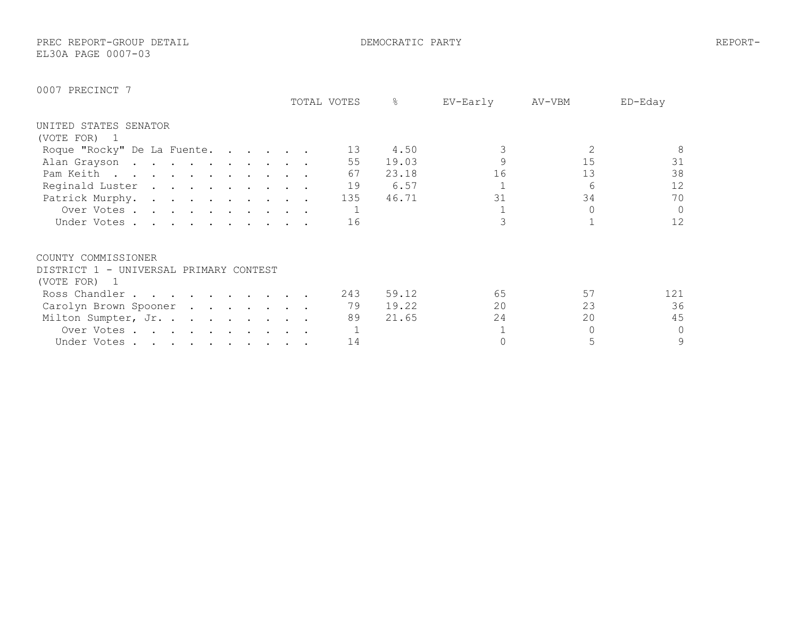PREC REPORT-GROUP DETAIL DEMOCRATIC PARTY REPORT-

EL30A PAGE 0007-03

|                                        |  |  | TOTAL VOTES | 옹     | EV-Early | AV-VBM | ED-Eday  |
|----------------------------------------|--|--|-------------|-------|----------|--------|----------|
| UNITED STATES SENATOR                  |  |  |             |       |          |        |          |
| (VOTE FOR)                             |  |  |             |       |          |        |          |
| Roque "Rocky" De La Fuente.            |  |  | 13          | 4.50  |          |        | 8        |
| Alan Grayson                           |  |  | 55          | 19.03 |          | 15     | 31       |
| Pam Keith                              |  |  | 67          | 23.18 | 16       | 13     | 38       |
| Reginald Luster                        |  |  | 19          | 6.57  |          | 6      | 12       |
| Patrick Murphy.                        |  |  | 135         | 46.71 | 31       | 34     | 70       |
| Over Votes                             |  |  |             |       |          | 0      | $\Omega$ |
| Under Votes                            |  |  | 16          |       |          |        | 12       |
| COUNTY COMMISSIONER                    |  |  |             |       |          |        |          |
| DISTRICT 1 - UNIVERSAL PRIMARY CONTEST |  |  |             |       |          |        |          |
| (VOTE FOR)<br>$\overline{\phantom{0}}$ |  |  |             |       |          |        |          |
| Ross Chandler                          |  |  | 243         | 59.12 | 65       | 57     | 121      |
| Carolyn Brown Spooner                  |  |  | 79          | 19.22 | 20       | 23     | 36       |
| Milton Sumpter, Jr.                    |  |  | 89          | 21.65 | 24       | 20     | 45       |
| Over Votes                             |  |  |             |       |          |        | $\circ$  |
| Under Votes                            |  |  | 14          |       |          |        | 9        |
|                                        |  |  |             |       |          |        |          |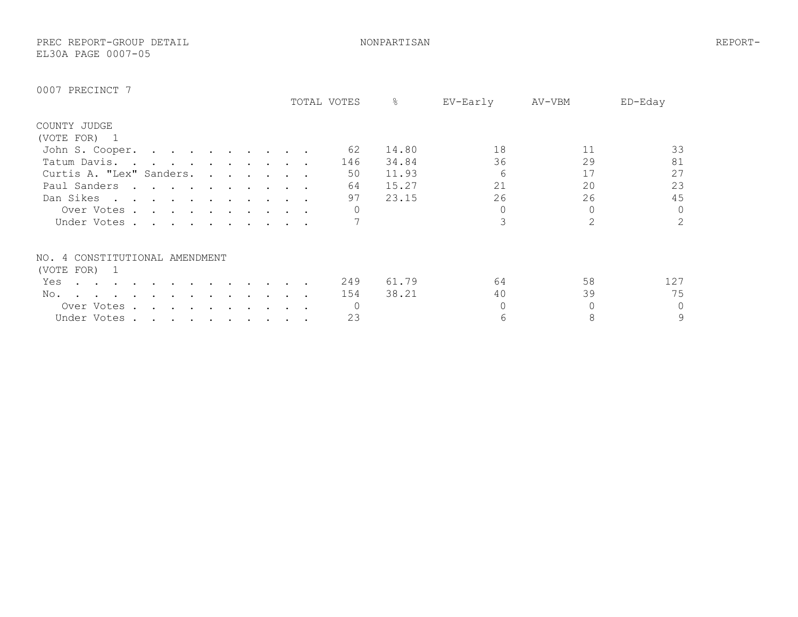PREC REPORT-GROUP DETAIL NONPARTISAN REPORT-EL30A PAGE 0007-05

|                                |                                                                                                                                                                                                                                   |  |  |  |  | TOTAL VOTES | ိဝ    | EV-Early | AV-VBM        | ED-Eday        |
|--------------------------------|-----------------------------------------------------------------------------------------------------------------------------------------------------------------------------------------------------------------------------------|--|--|--|--|-------------|-------|----------|---------------|----------------|
| COUNTY JUDGE                   |                                                                                                                                                                                                                                   |  |  |  |  |             |       |          |               |                |
| (VOTE FOR) 1                   |                                                                                                                                                                                                                                   |  |  |  |  |             |       |          |               |                |
| John S. Cooper.                | the contract of the contract of the contract of the contract of the contract of the contract of the contract of                                                                                                                   |  |  |  |  | 62          | 14.80 | 18       | 11            | 33             |
| Tatum Davis                    | $\mathbf{r}$ . The contract of the contract of the contract of the contract of the contract of the contract of the contract of the contract of the contract of the contract of the contract of the contract of the contract of th |  |  |  |  | 146         | 34.84 | 36       | 29            | 81             |
| Curtis A. "Lex" Sanders.       |                                                                                                                                                                                                                                   |  |  |  |  | 50          | 11.93 | 6        | 17            | 27             |
| Paul Sanders                   | $\mathbf{r}$ . The contract of the contract of the contract of the contract of the contract of the contract of the contract of the contract of the contract of the contract of the contract of the contract of the contract of th |  |  |  |  | 64          | 15.27 | 21       | 20            | 23             |
| Dan Sikes                      |                                                                                                                                                                                                                                   |  |  |  |  | 97          | 23.15 | 26       | 26            | 45             |
| Over Votes.                    | $\mathbf{r}$ , and $\mathbf{r}$ , and $\mathbf{r}$ , and $\mathbf{r}$ , and $\mathbf{r}$ , and $\mathbf{r}$                                                                                                                       |  |  |  |  |             |       |          | 0             | $\circ$        |
| Under Votes                    |                                                                                                                                                                                                                                   |  |  |  |  |             |       |          | $\mathcal{P}$ | $\overline{2}$ |
| NO. 4 CONSTITUTIONAL AMENDMENT |                                                                                                                                                                                                                                   |  |  |  |  |             |       |          |               |                |
| (VOTE FOR) 1                   |                                                                                                                                                                                                                                   |  |  |  |  |             |       |          |               |                |
| Yes                            |                                                                                                                                                                                                                                   |  |  |  |  | 249         | 61.79 | 64       | 58            | 127            |
| No.                            |                                                                                                                                                                                                                                   |  |  |  |  | 154         | 38.21 | 40       | 39            | 75             |
| Over Votes.                    |                                                                                                                                                                                                                                   |  |  |  |  |             |       |          |               | $\circ$        |
| Under Votes.                   | $\mathcal{L}(\mathbf{r})$ , and $\mathcal{L}(\mathbf{r})$ , and $\mathcal{L}(\mathbf{r})$ , and $\mathcal{L}(\mathbf{r})$                                                                                                         |  |  |  |  | 23          |       | 6        | 8             | 9              |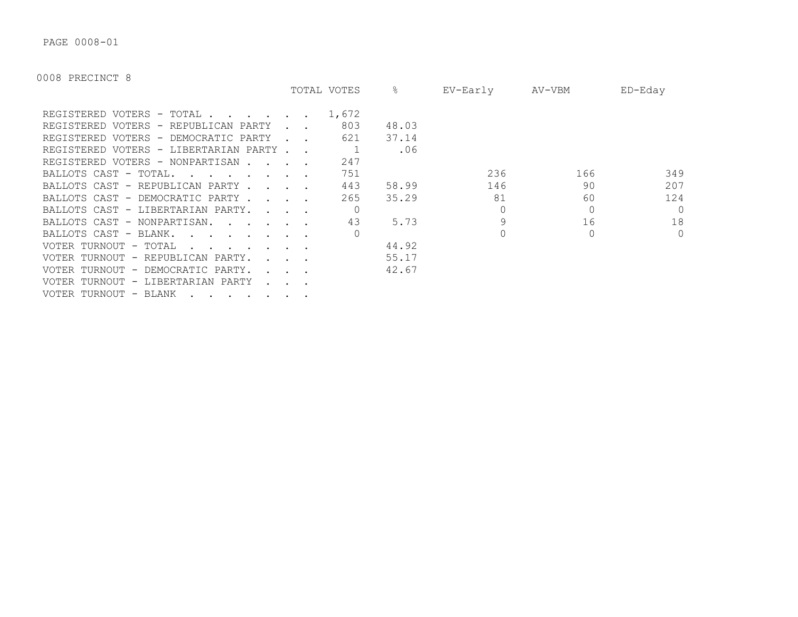PAGE 0008-01

|                                                                                                                                                                                                                                                            |                                            | TOTAL VOTES | ိဝ    | EV-Early | AV-VBM | ED-Eday  |
|------------------------------------------------------------------------------------------------------------------------------------------------------------------------------------------------------------------------------------------------------------|--------------------------------------------|-------------|-------|----------|--------|----------|
| REGISTERED VOTERS - TOTAL                                                                                                                                                                                                                                  |                                            | 1,672       |       |          |        |          |
| REGISTERED VOTERS - REPUBLICAN PARTY                                                                                                                                                                                                                       |                                            | 803         | 48.03 |          |        |          |
| REGISTERED VOTERS - DEMOCRATIC PARTY                                                                                                                                                                                                                       |                                            | 621         | 37.14 |          |        |          |
| REGISTERED VOTERS - LIBERTARIAN PARTY                                                                                                                                                                                                                      |                                            |             | .06   |          |        |          |
| REGISTERED VOTERS - NONPARTISAN.<br>$\mathbf{r}$ . The set of $\mathbf{r}$                                                                                                                                                                                 |                                            | 247         |       |          |        |          |
| BALLOTS CAST - TOTAL.<br>$\mathbf{r}$ . The set of the set of the set of the set of the set of the set of the set of the set of the set of the set of the set of the set of the set of the set of the set of the set of the set of the set of the set of t |                                            | 751         |       | 236      | 166    | 349      |
| BALLOTS CAST - REPUBLICAN PARTY                                                                                                                                                                                                                            |                                            | 443         | 58.99 | 146      | 90     | 207      |
| BALLOTS CAST - DEMOCRATIC PARTY.                                                                                                                                                                                                                           | $\mathbf{r}$ , $\mathbf{r}$ , $\mathbf{r}$ | 265         | 35.29 | 81       | 60     | 124      |
| BALLOTS CAST - LIBERTARIAN PARTY.<br>$\mathbf{r}$ , $\mathbf{r}$ , $\mathbf{r}$ , $\mathbf{r}$                                                                                                                                                             |                                            |             |       |          |        | $\Omega$ |
| BALLOTS CAST - NONPARTISAN.                                                                                                                                                                                                                                |                                            | 43          | 5.73  |          | 16     | 18       |
| BALLOTS CAST - BLANK.<br>$\mathbf{r}$ . The contract of the contract of $\mathbf{r}$                                                                                                                                                                       |                                            |             |       |          |        | $\circ$  |
| VOTER TURNOUT - TOTAL<br>$\mathbf{r}$ . The set of $\mathbf{r}$ is the set of $\mathbf{r}$                                                                                                                                                                 |                                            |             | 44.92 |          |        |          |
| VOTER TURNOUT - REPUBLICAN PARTY.                                                                                                                                                                                                                          | $\mathbf{r} = \mathbf{r} = \mathbf{r}$     |             | 55.17 |          |        |          |
| VOTER TURNOUT - DEMOCRATIC PARTY.                                                                                                                                                                                                                          |                                            |             | 42.67 |          |        |          |
| VOTER TURNOUT - LIBERTARIAN PARTY                                                                                                                                                                                                                          |                                            |             |       |          |        |          |
| VOTER TURNOUT - BLANK                                                                                                                                                                                                                                      |                                            |             |       |          |        |          |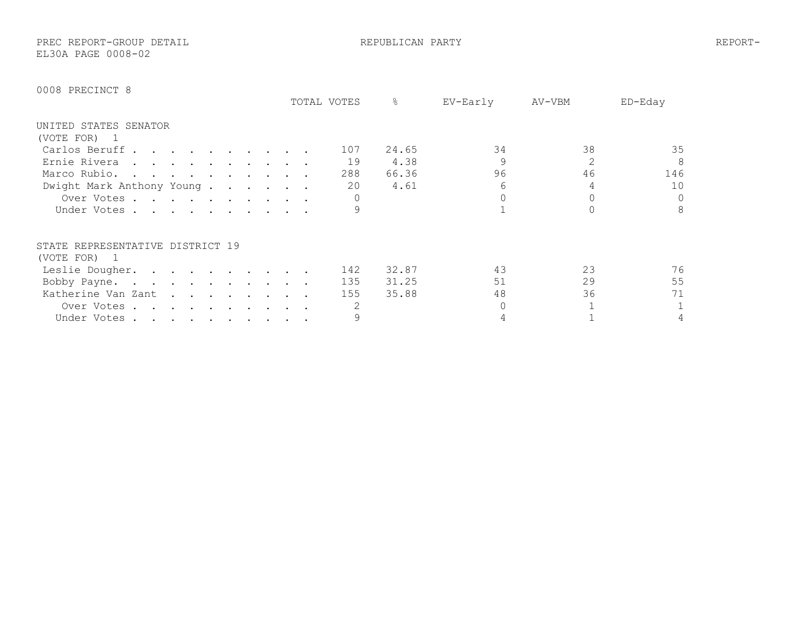PREC REPORT-GROUP DETAIL REPUBLICAN PARTY REPORT-EL30A PAGE 0008-02

|                                  |                                                                                                                 |  |  |  |  | TOTAL VOTES | ⊱     | EV-Early | AV-VBM | $ED-Edav$    |
|----------------------------------|-----------------------------------------------------------------------------------------------------------------|--|--|--|--|-------------|-------|----------|--------|--------------|
| UNITED STATES SENATOR            |                                                                                                                 |  |  |  |  |             |       |          |        |              |
| (VOTE FOR) 1                     |                                                                                                                 |  |  |  |  |             |       |          |        |              |
| Carlos Beruff                    |                                                                                                                 |  |  |  |  | 107         | 24.65 | 34       | 38     | 35           |
| Ernie Rivera                     |                                                                                                                 |  |  |  |  | 19          | 4.38  | 9        |        | 8            |
| Marco Rubio.                     |                                                                                                                 |  |  |  |  | 288         | 66.36 | 96       | 46     | 146          |
| Dwight Mark Anthony Young        |                                                                                                                 |  |  |  |  | 20          | 4.61  |          |        | 10           |
| Over Votes                       |                                                                                                                 |  |  |  |  |             |       |          |        | $\circ$      |
| Under Votes                      |                                                                                                                 |  |  |  |  |             |       |          |        | 8            |
| STATE REPRESENTATIVE DISTRICT 19 |                                                                                                                 |  |  |  |  |             |       |          |        |              |
| (VOTE FOR) 1                     |                                                                                                                 |  |  |  |  |             |       |          |        |              |
| Leslie Dougher.                  |                                                                                                                 |  |  |  |  | 142         | 32.87 | 43       | 23     | 76           |
| Bobby Payne.                     |                                                                                                                 |  |  |  |  | 135         | 31.25 | 51       | 29     | 55           |
| Katherine Van Zant               |                                                                                                                 |  |  |  |  | 155         | 35.88 | 48       | 36     | 71           |
| Over Votes.                      | the contract of the contract of the contract of the contract of the contract of the contract of the contract of |  |  |  |  |             |       |          |        | $\mathbf{1}$ |
| Under Votes                      |                                                                                                                 |  |  |  |  |             |       |          |        | 4            |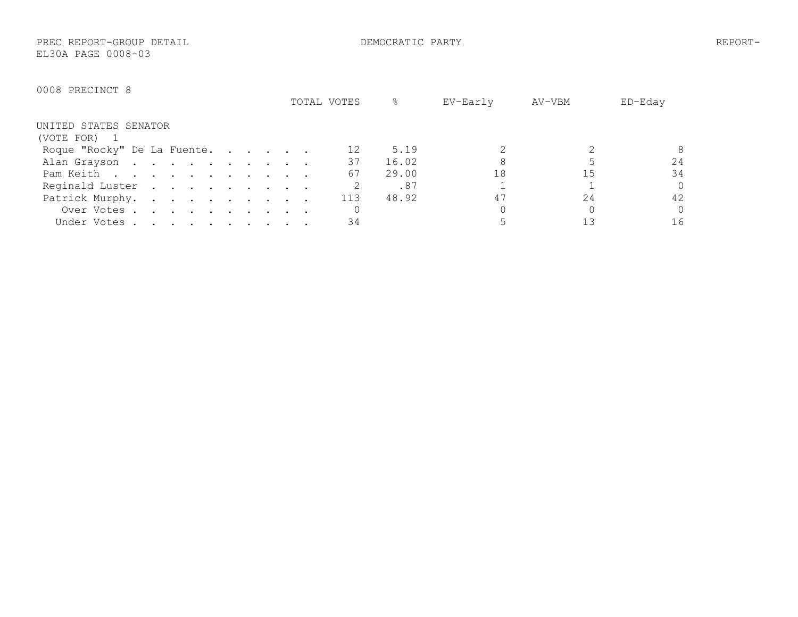PREC REPORT-GROUP DETAIL DEMOCRATIC PARTY REPORT-EL30A PAGE 0008-03

|                             | TOTAL VOTES | 옹     | EV-Early | AV-VBM | ED-Eday  |
|-----------------------------|-------------|-------|----------|--------|----------|
| UNITED STATES SENATOR       |             |       |          |        |          |
| (VOTE FOR) 1                |             |       |          |        |          |
| Roque "Rocky" De La Fuente. |             | 5.19  |          |        | 8        |
| Alan Grayson                | 37          | 16.02 |          |        | 24       |
| Pam Keith                   | 67          | 29.00 | 18       | 15     | 34       |
| Reginald Luster             |             | .87   |          |        | $\Omega$ |
| Patrick Murphy.             | 113         | 48.92 | 47       | 2.4    | 42       |
| Over Votes                  |             |       |          |        | $\Omega$ |
| Under Votes                 | 34          |       |          |        | 16       |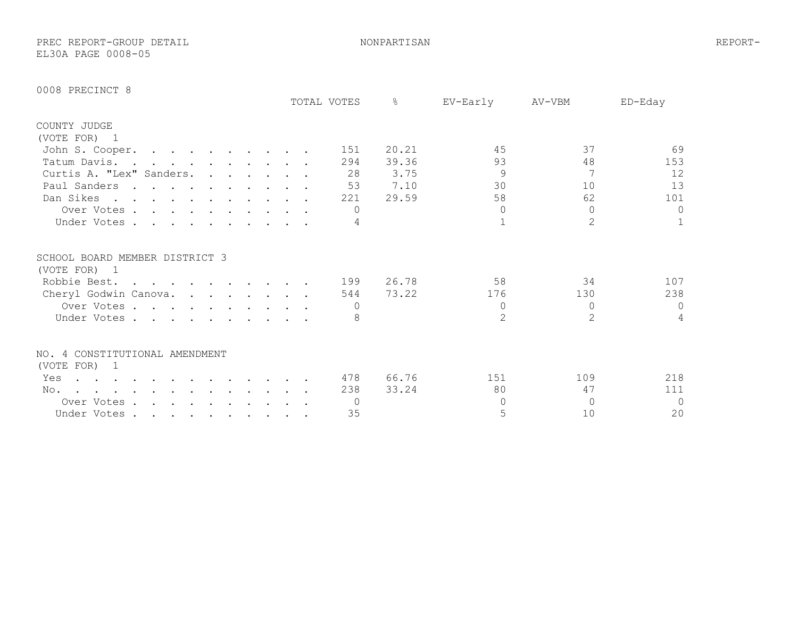PREC REPORT-GROUP DETAIL NONPARTISAN REPORT-EL30A PAGE 0008-05

|  | 0008 PRECINCT 8 |  |
|--|-----------------|--|
|--|-----------------|--|

|                                                                                                                                                                                                                                                  |                                                                                                                 |  |  |  |  | TOTAL VOTES | $\approx$ | EV-Early      | AV-VBM   | ED-Eday      |
|--------------------------------------------------------------------------------------------------------------------------------------------------------------------------------------------------------------------------------------------------|-----------------------------------------------------------------------------------------------------------------|--|--|--|--|-------------|-----------|---------------|----------|--------------|
| COUNTY JUDGE                                                                                                                                                                                                                                     |                                                                                                                 |  |  |  |  |             |           |               |          |              |
| (VOTE FOR) 1                                                                                                                                                                                                                                     |                                                                                                                 |  |  |  |  |             |           |               |          |              |
| John S. Cooper.                                                                                                                                                                                                                                  |                                                                                                                 |  |  |  |  | 151         | 20.21     | 45            | 37       | 69           |
| Tatum Davis.                                                                                                                                                                                                                                     |                                                                                                                 |  |  |  |  | 294         | 39.36     | 93            | 48       | 153          |
| Curtis A. "Lex" Sanders.                                                                                                                                                                                                                         |                                                                                                                 |  |  |  |  | 28          | 3.75      | 9             |          | 12           |
| Paul Sanders                                                                                                                                                                                                                                     |                                                                                                                 |  |  |  |  | 53          | 7.10      | 30            | 10       | 13           |
| Dan Sikes                                                                                                                                                                                                                                        |                                                                                                                 |  |  |  |  | 221         | 29.59     | 58            | 62       | 101          |
| Over Votes                                                                                                                                                                                                                                       |                                                                                                                 |  |  |  |  | $\cap$      |           | $\Omega$      | $\Omega$ | 0            |
| Under Votes                                                                                                                                                                                                                                      |                                                                                                                 |  |  |  |  |             |           |               | 2        | $\mathbf{1}$ |
| SCHOOL BOARD MEMBER DISTRICT 3                                                                                                                                                                                                                   |                                                                                                                 |  |  |  |  |             |           |               |          |              |
| (VOTE FOR) 1                                                                                                                                                                                                                                     |                                                                                                                 |  |  |  |  |             |           |               |          |              |
| Robbie Best.                                                                                                                                                                                                                                     |                                                                                                                 |  |  |  |  | 199         | 26.78     | 58            | 34       | 107          |
| Cheryl Godwin Canova.                                                                                                                                                                                                                            |                                                                                                                 |  |  |  |  | 544         | 73.22     | 176           | 130      | 238          |
| Over Votes                                                                                                                                                                                                                                       |                                                                                                                 |  |  |  |  |             |           | $\circ$       | $\Omega$ | $\mathbf{0}$ |
| Under Votes                                                                                                                                                                                                                                      |                                                                                                                 |  |  |  |  |             |           | $\mathcal{L}$ | 2        | 4            |
| NO. 4 CONSTITUTIONAL AMENDMENT                                                                                                                                                                                                                   |                                                                                                                 |  |  |  |  |             |           |               |          |              |
| (VOTE FOR) 1                                                                                                                                                                                                                                     |                                                                                                                 |  |  |  |  |             |           |               |          |              |
| Yes<br>$\mathcal{A}^{\mathcal{A}}$ . The contribution of the contribution of the contribution of the contribution of the contribution of the contribution of the contribution of the contribution of the contribution of the contribution of the |                                                                                                                 |  |  |  |  | 478         | 66.76     | 151           | 109      | 218          |
| No.<br>and a series of the contract of the contract of the contract of the contract of the contract of the contract of<br>$\sim$                                                                                                                 |                                                                                                                 |  |  |  |  | 238         | 33.24     | 80            | 47       | 111          |
| Over Votes.                                                                                                                                                                                                                                      | the contract of the contract of the contract of the contract of the contract of the contract of the contract of |  |  |  |  | $\bigcap$   |           | $\Omega$      | $\cap$   | $\mathbf{0}$ |
| Under Votes.                                                                                                                                                                                                                                     | the contract of the contract of the contract of the contract of the contract of the contract of the contract of |  |  |  |  | 35          |           | 5             | 10       | 20           |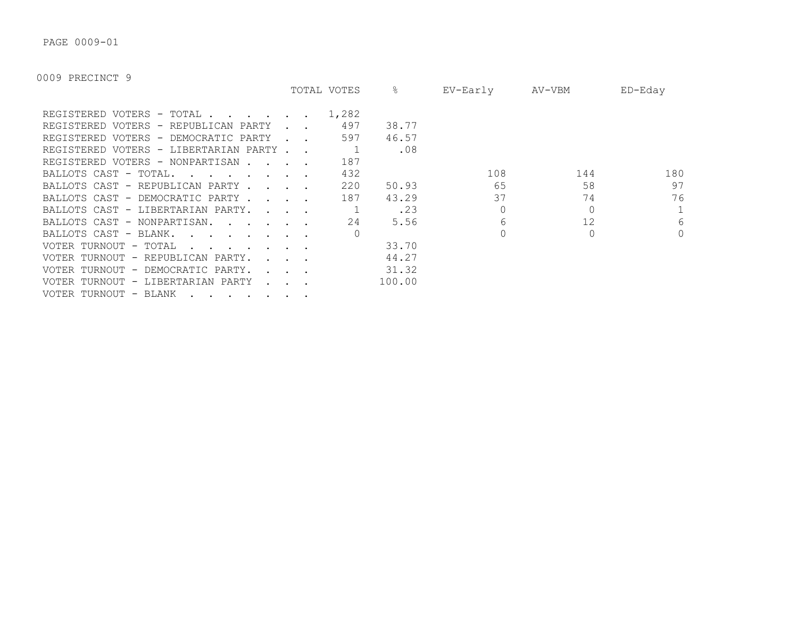PAGE 0009-01

|                                                                                                   |                             | TOTAL VOTES | &      | EV-Early | AV-VBM | $ED$ –Eday   |
|---------------------------------------------------------------------------------------------------|-----------------------------|-------------|--------|----------|--------|--------------|
| REGISTERED VOTERS - TOTAL .                                                                       |                             | 1,282       |        |          |        |              |
| REGISTERED VOTERS - REPUBLICAN PARTY                                                              |                             | 497         | 38.77  |          |        |              |
| REGISTERED VOTERS - DEMOCRATIC PARTY                                                              |                             | 597         | 46.57  |          |        |              |
| REGISTERED VOTERS - LIBERTARIAN PARTY.                                                            |                             |             | .08    |          |        |              |
| REGISTERED VOTERS - NONPARTISAN.                                                                  |                             | 187         |        |          |        |              |
| BALLOTS CAST - TOTAL.<br>$\mathbf{r}$ , $\mathbf{r}$ , $\mathbf{r}$ , $\mathbf{r}$ , $\mathbf{r}$ |                             | 432         |        | 108      | 144    | 180          |
| BALLOTS CAST - REPUBLICAN PARTY.                                                                  | $\sim$ $\sim$ $\sim$ $\sim$ | 220         | 50.93  | 65       | 58     | 97           |
| BALLOTS CAST - DEMOCRATIC PARTY.                                                                  |                             | 187         | 43.29  | 37       | 74     | 76           |
| BALLOTS CAST - LIBERTARIAN PARTY.                                                                 | $\sim$ $\sim$ $\sim$ $\sim$ |             | .23    |          |        | $\mathbf{1}$ |
| BALLOTS CAST - NONPARTISAN.                                                                       |                             | 24          | 5.56   | 6        | 12     | 6            |
| BALLOTS CAST - BLANK.<br>$\sim$ $\sim$ $\sim$ $\sim$ $\sim$                                       |                             |             |        |          |        | $\circ$      |
| VOTER TURNOUT - TOTAL                                                                             |                             |             | 33.70  |          |        |              |
| VOTER TURNOUT - REPUBLICAN PARTY.                                                                 |                             |             | 44.27  |          |        |              |
| VOTER TURNOUT - DEMOCRATIC PARTY.                                                                 |                             |             | 31.32  |          |        |              |
| VOTER TURNOUT - LIBERTARIAN PARTY<br>$\mathbf{L} = \mathbf{L}$                                    |                             |             | 100.00 |          |        |              |
| VOTER TURNOUT - BLANK                                                                             |                             |             |        |          |        |              |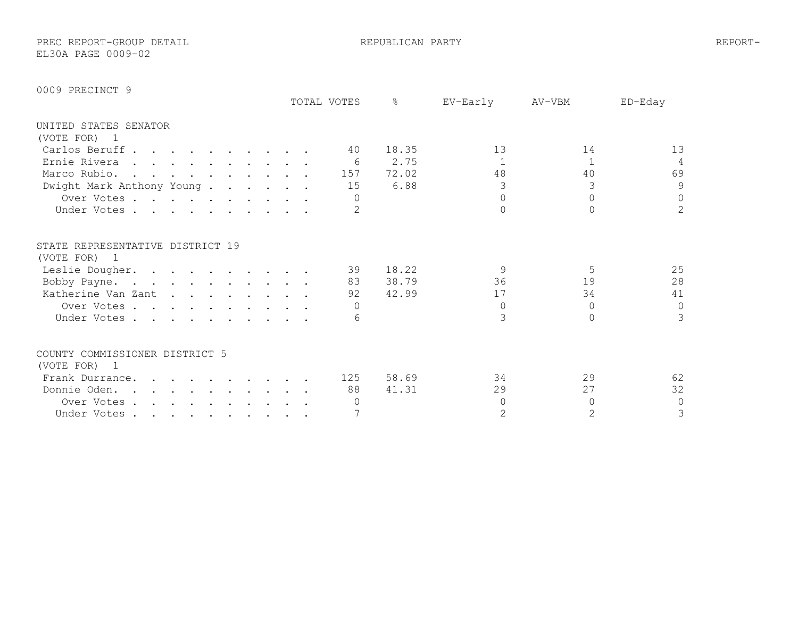PREC REPORT-GROUP DETAIL REPUBLICAN PARTY REPORT-EL30A PAGE 0009-02

|                                        |  |  |  |  | TOTAL VOTES | ⊱     | EV-Early       | AV-VBM | ED-Eday        |
|----------------------------------------|--|--|--|--|-------------|-------|----------------|--------|----------------|
| UNITED STATES SENATOR                  |  |  |  |  |             |       |                |        |                |
| (VOTE FOR) 1                           |  |  |  |  |             |       |                |        |                |
| Carlos Beruff                          |  |  |  |  | 40          | 18.35 | 13             | 14     | 13             |
| Ernie Rivera                           |  |  |  |  | - 6         | 2.75  |                |        | 4              |
| Marco Rubio.                           |  |  |  |  | 157         | 72.02 | 48             | 40     | 69             |
| Dwight Mark Anthony Young.             |  |  |  |  | 15          | 6.88  |                | 3      | 9              |
| Over Votes                             |  |  |  |  |             |       | $\cap$         |        | $\mathbf 0$    |
| Under Votes                            |  |  |  |  | 2           |       |                |        | $\overline{2}$ |
| STATE REPRESENTATIVE DISTRICT 19       |  |  |  |  |             |       |                |        |                |
| (VOTE FOR) 1                           |  |  |  |  | 39          | 18.22 | $\mathsf{Q}$   | .5     | 25             |
| Leslie Dougher.                        |  |  |  |  | 83          | 38.79 | 36             | 19     | 28             |
| Bobby Payne.                           |  |  |  |  | 92          | 42.99 | 17             | 34     | 41             |
| Katherine Van Zant                     |  |  |  |  |             |       | $\Omega$       | $\cap$ | $\circ$        |
| Over Votes                             |  |  |  |  |             |       |                |        |                |
| Under Votes                            |  |  |  |  | 6           |       |                | O.     | 3              |
| COUNTY COMMISSIONER DISTRICT 5         |  |  |  |  |             |       |                |        |                |
| (VOTE FOR)<br>$\overline{\phantom{0}}$ |  |  |  |  |             |       |                |        |                |
| Frank Durrance.                        |  |  |  |  | 125         | 58.69 | 34             | 29     | 62             |
| Donnie Oden.                           |  |  |  |  | 88          | 41.31 | 29             | 27     | 32             |
| Over Votes                             |  |  |  |  |             |       | $\Omega$       | $\cap$ | 0              |
| Under Votes                            |  |  |  |  |             |       | $\overline{2}$ | 2      | 3              |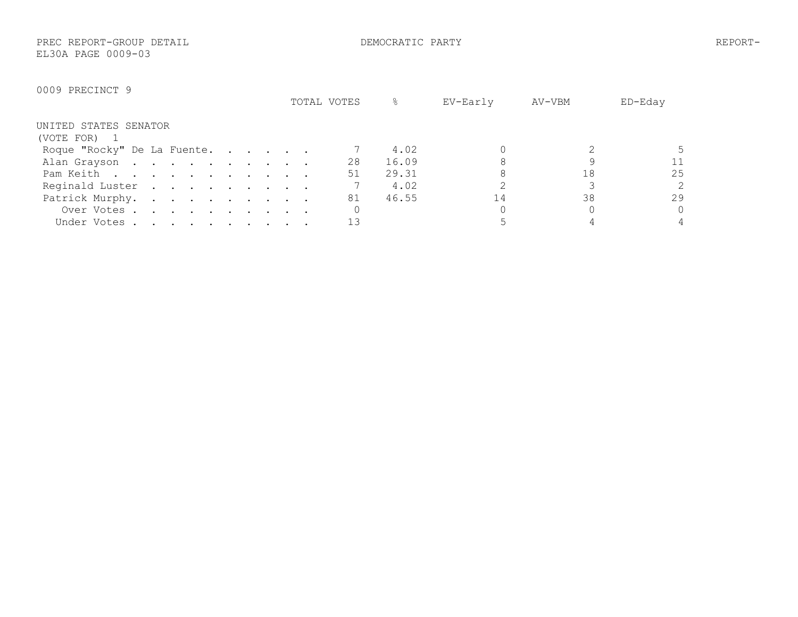PREC REPORT-GROUP DETAIL DEMOCRATIC PARTY REPORT-EL30A PAGE 0009-03

|                             | TOTAL VOTES | &     | EV-Early | AV-VBM | ED-Eday        |
|-----------------------------|-------------|-------|----------|--------|----------------|
| UNITED STATES SENATOR       |             |       |          |        |                |
| (VOTE FOR) 1                |             |       |          |        |                |
| Roque "Rocky" De La Fuente. |             | 4.02  |          |        |                |
| Alan Grayson                | 28          | 16.09 |          |        | 11             |
| Pam Keith                   | 51          | 29.31 |          | 18     | 25             |
| Reginald Luster             |             | 4.02  |          |        | $\overline{2}$ |
| Patrick Murphy.             | 81          | 46.55 | 14       | 38     | 29             |
| Over Votes                  |             |       |          |        | $\Omega$       |
| Under Votes                 |             |       |          |        |                |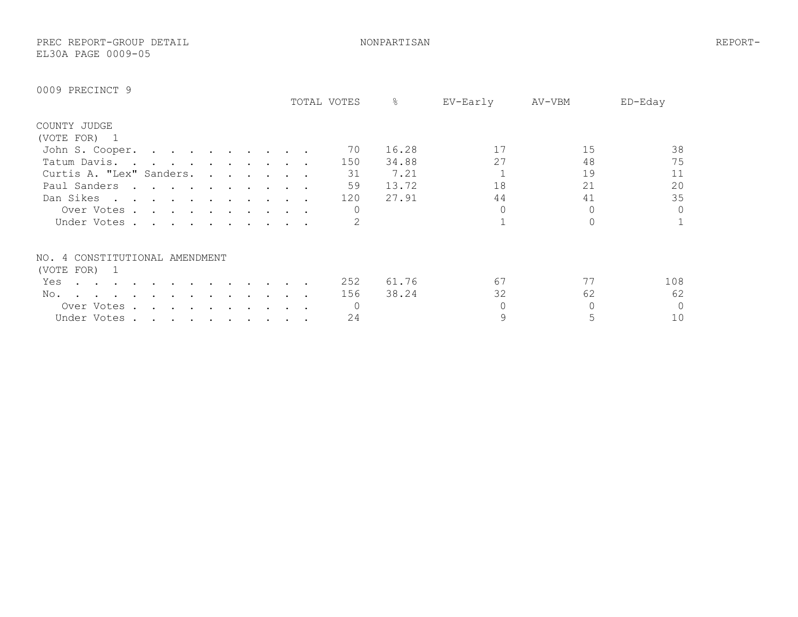PREC REPORT-GROUP DETAIL NONPARTISAN REPORT-EL30A PAGE 0009-05

|                                                                                                                                                                                                                                                    |                                                                                                                                                                                                                                   |  |  |  |  | TOTAL VOTES | ⊱     | EV-Early | AV-VBM | ED-Eday        |
|----------------------------------------------------------------------------------------------------------------------------------------------------------------------------------------------------------------------------------------------------|-----------------------------------------------------------------------------------------------------------------------------------------------------------------------------------------------------------------------------------|--|--|--|--|-------------|-------|----------|--------|----------------|
| COUNTY JUDGE                                                                                                                                                                                                                                       |                                                                                                                                                                                                                                   |  |  |  |  |             |       |          |        |                |
| (VOTE FOR) 1                                                                                                                                                                                                                                       |                                                                                                                                                                                                                                   |  |  |  |  |             |       |          |        |                |
| John S. Cooper.                                                                                                                                                                                                                                    | the contract of the contract of the contract of the contract of the contract of the contract of the contract of                                                                                                                   |  |  |  |  | 70          | 16.28 | 17       | 15     | 38             |
| Tatum Davis                                                                                                                                                                                                                                        | $\mathbf{r}$ . The contract of the contract of the contract of the contract of the contract of the contract of the contract of the contract of the contract of the contract of the contract of the contract of the contract of th |  |  |  |  | 150         | 34.88 | 27       | 48     | 75             |
| Curtis A. "Lex" Sanders.                                                                                                                                                                                                                           |                                                                                                                                                                                                                                   |  |  |  |  | 31          | 7.21  |          | 19     | 11             |
| Paul Sanders                                                                                                                                                                                                                                       | $\mathbf{r}$ , $\mathbf{r}$ , $\mathbf{r}$ , $\mathbf{r}$ , $\mathbf{r}$ , $\mathbf{r}$ , $\mathbf{r}$                                                                                                                            |  |  |  |  | 59          | 13.72 | 18       | 21     | 20             |
| Dan Sikes<br>$\mathbf{a}$ and $\mathbf{a}$ are a set of the set of the set of the set of the set of the set of the set of the set of the set of the set of the set of the set of the set of the set of the set of the set of the set of the set of |                                                                                                                                                                                                                                   |  |  |  |  | 120         | 27.91 | 44       | 41     | 35             |
| Over Votes .                                                                                                                                                                                                                                       | $\mathbf{r}$ . The contract of the contract of the contract of the contract of the contract of the contract of the contract of the contract of the contract of the contract of the contract of the contract of the contract of th |  |  |  |  |             |       |          |        | $\circ$        |
| Under Votes                                                                                                                                                                                                                                        |                                                                                                                                                                                                                                   |  |  |  |  |             |       |          |        | 1              |
| NO. 4 CONSTITUTIONAL AMENDMENT                                                                                                                                                                                                                     |                                                                                                                                                                                                                                   |  |  |  |  |             |       |          |        |                |
| (VOTE FOR) 1                                                                                                                                                                                                                                       |                                                                                                                                                                                                                                   |  |  |  |  |             |       |          |        |                |
| Yes                                                                                                                                                                                                                                                |                                                                                                                                                                                                                                   |  |  |  |  | 252         | 61.76 | 67       | 77     | 108            |
| No.                                                                                                                                                                                                                                                |                                                                                                                                                                                                                                   |  |  |  |  | 156         | 38.24 | 32       | 62     | 62             |
| Over Votes.                                                                                                                                                                                                                                        |                                                                                                                                                                                                                                   |  |  |  |  |             |       |          |        | $\overline{0}$ |
| Under Votes.                                                                                                                                                                                                                                       | $\mathcal{A}(\mathbf{z})$ , and $\mathcal{A}(\mathbf{z})$ , and $\mathcal{A}(\mathbf{z})$ , and                                                                                                                                   |  |  |  |  | 24          |       |          |        | 10             |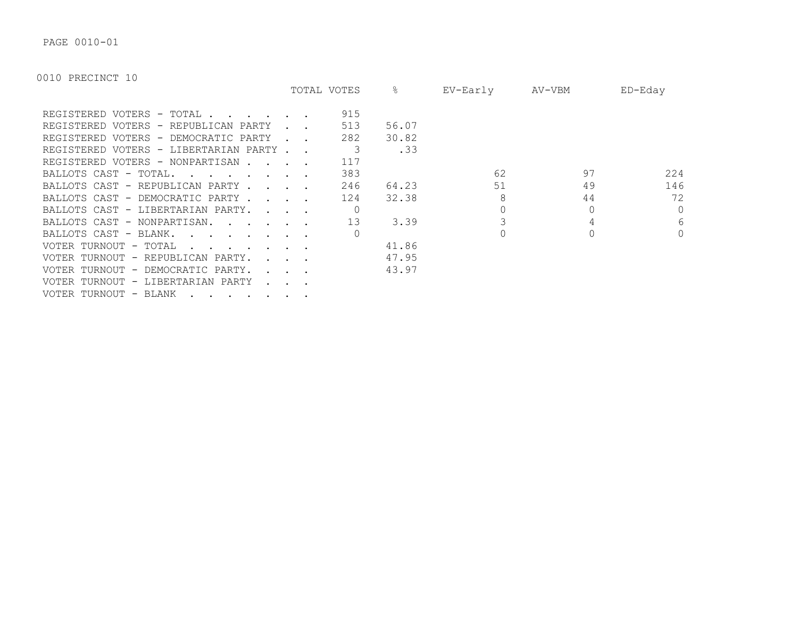PAGE 0010-01

|                                                                                                   |                                                           | TOTAL VOTES | ိဝ    | EV-Early | AV-VBM | $ED$ –Eday |
|---------------------------------------------------------------------------------------------------|-----------------------------------------------------------|-------------|-------|----------|--------|------------|
| REGISTERED VOTERS - TOTAL                                                                         |                                                           | 915         |       |          |        |            |
| REGISTERED VOTERS - REPUBLICAN PARTY                                                              |                                                           | 513         | 56.07 |          |        |            |
| REGISTERED VOTERS - DEMOCRATIC PARTY                                                              |                                                           | 282         | 30.82 |          |        |            |
| REGISTERED VOTERS - LIBERTARIAN PARTY.                                                            |                                                           |             | .33   |          |        |            |
| REGISTERED VOTERS - NONPARTISAN.                                                                  |                                                           | 117         |       |          |        |            |
| BALLOTS CAST - TOTAL.<br>$\mathbf{r}$ , $\mathbf{r}$ , $\mathbf{r}$ , $\mathbf{r}$ , $\mathbf{r}$ |                                                           | 383         |       | 62       | 97     | 224        |
| BALLOTS CAST - REPUBLICAN PARTY.                                                                  | $\mathbf{r}$ , $\mathbf{r}$ , $\mathbf{r}$ , $\mathbf{r}$ | 246         | 64.23 | 51       | 49     | 146        |
| BALLOTS CAST - DEMOCRATIC PARTY.                                                                  | $\sim$ $\sim$ $\sim$                                      | 124         | 32.38 | 8        | 44     | 72         |
| BALLOTS CAST - LIBERTARIAN PARTY.                                                                 | $\sim$ $\sim$ $\sim$ $\sim$                               |             |       |          |        | $\Omega$   |
| BALLOTS CAST - NONPARTISAN.                                                                       |                                                           | 13          | 3.39  |          |        | 6          |
| BALLOTS CAST - BLANK.<br>$\mathbf{r}$ . The set of $\mathbf{r}$ is the set of $\mathbf{r}$        |                                                           |             |       |          |        | $\Omega$   |
| VOTER TURNOUT - TOTAL                                                                             |                                                           |             | 41.86 |          |        |            |
| VOTER TURNOUT - REPUBLICAN PARTY.                                                                 |                                                           |             | 47.95 |          |        |            |
| VOTER TURNOUT - DEMOCRATIC PARTY.                                                                 |                                                           |             | 43.97 |          |        |            |
| VOTER TURNOUT - LIBERTARIAN PARTY                                                                 |                                                           |             |       |          |        |            |
| VOTER TURNOUT - BLANK                                                                             |                                                           |             |       |          |        |            |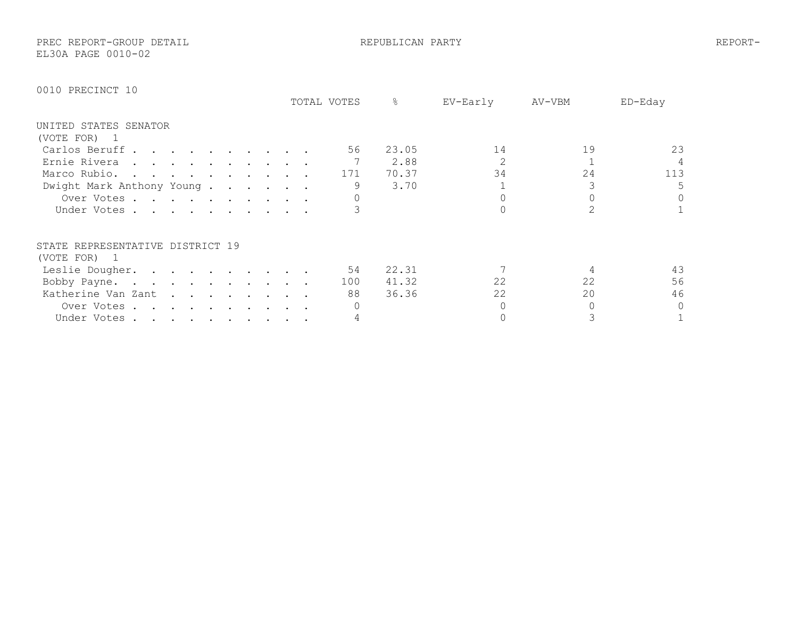PREC REPORT-GROUP DETAIL REPUBLICAN PARTY REPORT-

EL30A PAGE 0010-02

|                                                                                                                                 | TOTAL VOTES | န္    | EV-Early | AV-VBM | ED-Eday |
|---------------------------------------------------------------------------------------------------------------------------------|-------------|-------|----------|--------|---------|
| UNITED STATES SENATOR                                                                                                           |             |       |          |        |         |
| (VOTE FOR) 1                                                                                                                    |             |       |          |        |         |
| Carlos Beruff                                                                                                                   | 56          | 23.05 | 14       | 19     | 23      |
| Ernie Rivera<br>the contract of the contract of the contract of the contract of the contract of the contract of the contract of |             | 2.88  |          |        | 4       |
| Marco Rubio.                                                                                                                    | 171         | 70.37 | 34       | 24     | 113     |
| Dwight Mark Anthony Young                                                                                                       | 9           | 3.70  |          |        | 5       |
| Over Votes                                                                                                                      |             |       |          |        | $\circ$ |
| Under Votes                                                                                                                     |             |       |          |        |         |
| STATE REPRESENTATIVE DISTRICT 19                                                                                                |             |       |          |        |         |
| (VOTE FOR) 1                                                                                                                    |             |       |          |        |         |
| Leslie Dougher.                                                                                                                 | 54          | 22.31 |          |        | 43      |
| Bobby Payne.                                                                                                                    | 100         | 41.32 | 22       | 22     | 56      |
| Katherine Van Zant                                                                                                              | 88          | 36.36 | 22       | 20     | 46      |
| Over Votes.<br>the contract of the contract of the                                                                              |             |       |          |        | $\circ$ |
| Under Votes                                                                                                                     |             |       |          |        |         |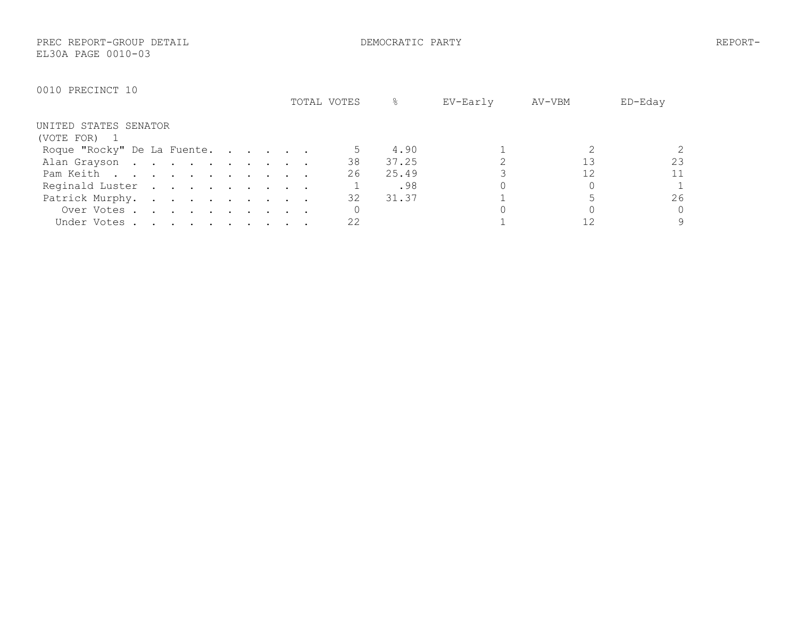PREC REPORT-GROUP DETAIL DEMOCRATIC PARTY REPORT-EL30A PAGE 0010-03

|                             | TOTAL VOTES | &     | EV-Early | AV-VBM | ED-Eday  |
|-----------------------------|-------------|-------|----------|--------|----------|
| UNITED STATES SENATOR       |             |       |          |        |          |
| (VOTE FOR) 1                |             |       |          |        |          |
| Roque "Rocky" De La Fuente. |             | 4.90  |          |        |          |
| Alan Grayson                | 38          | 37.25 |          |        | 23       |
| Pam Keith                   | 26          | 25.49 |          | 12     | 11       |
| Reginald Luster             |             | .98   |          |        |          |
| Patrick Murphy.             | 32          | 31.37 |          |        | 26       |
| Over Votes                  |             |       |          |        | $\Omega$ |
| Under Votes                 | 22          |       |          |        | 9        |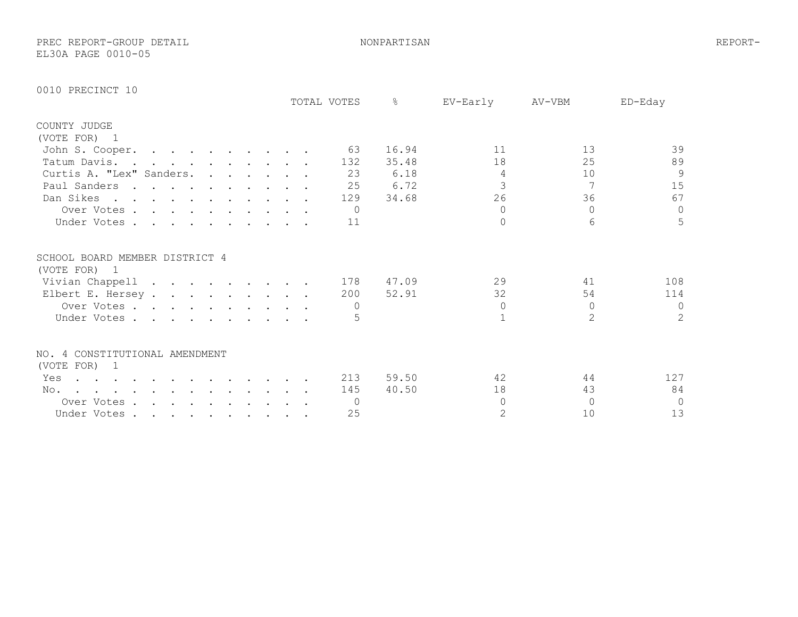PREC REPORT-GROUP DETAIL NONPARTISAN REPORT-EL30A PAGE 0010-05

| TOTAL VOTES                                                                                                                                                                                                                                             | $\approx$<br>EV-Early<br>AV-VBM<br>ED-Eday |
|---------------------------------------------------------------------------------------------------------------------------------------------------------------------------------------------------------------------------------------------------------|--------------------------------------------|
| COUNTY JUDGE                                                                                                                                                                                                                                            |                                            |
| (VOTE FOR) 1                                                                                                                                                                                                                                            |                                            |
| John S. Cooper.<br>63                                                                                                                                                                                                                                   | 39<br>13<br>16.94<br>11                    |
| 132<br>Tatum Davis. .<br>$\mathbf{r}$ , $\mathbf{r}$ , $\mathbf{r}$ , $\mathbf{r}$ , $\mathbf{r}$ , $\mathbf{r}$                                                                                                                                        | 89<br>18<br>25<br>35.48                    |
| Curtis A. "Lex" Sanders.<br>23                                                                                                                                                                                                                          | $\overline{9}$<br>6.18<br>10<br>4          |
| Paul Sanders<br>25                                                                                                                                                                                                                                      | 3<br>15<br>7<br>6.72                       |
| Dan Sikes<br>129                                                                                                                                                                                                                                        | 67<br>26<br>36<br>34.68                    |
| Over Votes<br>$\bigcap$                                                                                                                                                                                                                                 | $\circ$<br>$\bigcap$<br>$\Omega$           |
| Under Votes<br>11                                                                                                                                                                                                                                       | 5<br>$\Omega$<br>6                         |
| SCHOOL BOARD MEMBER DISTRICT 4<br>(VOTE FOR) 1                                                                                                                                                                                                          |                                            |
| Vivian Chappell<br>178                                                                                                                                                                                                                                  | 29<br>41<br>108<br>47.09                   |
| Elbert E. Hersey<br>200                                                                                                                                                                                                                                 | 52.91<br>32<br>54<br>114                   |
| Over Votes                                                                                                                                                                                                                                              | $\mathbf{0}$<br>$\Omega$<br>$\bigcap$      |
| Under Votes                                                                                                                                                                                                                                             | $\overline{2}$<br>2                        |
| NO. 4 CONSTITUTIONAL AMENDMENT                                                                                                                                                                                                                          |                                            |
| (VOTE FOR) 1                                                                                                                                                                                                                                            |                                            |
| 213<br>Yes<br>$\mathcal{A}^{\mathcal{A}}$ . The contribution of the contribution of the contribution of the contribution of the contribution of the contribution of the contribution of the contribution of the contribution of the contribution of the | 42<br>44<br>127<br>59.50                   |
| 145<br>No.                                                                                                                                                                                                                                              | 84<br>18<br>43<br>40.50                    |
| Over Votes.<br>$\Omega$<br>the contract of the contract of the contract of the contract of the contract of the contract of the contract of                                                                                                              | $\circ$<br>$\cap$<br>$\Omega$              |
| 25<br>Under Votes.<br>$\mathbf{r}$ , and $\mathbf{r}$ , and $\mathbf{r}$ , and $\mathbf{r}$                                                                                                                                                             | 2<br>13<br>10                              |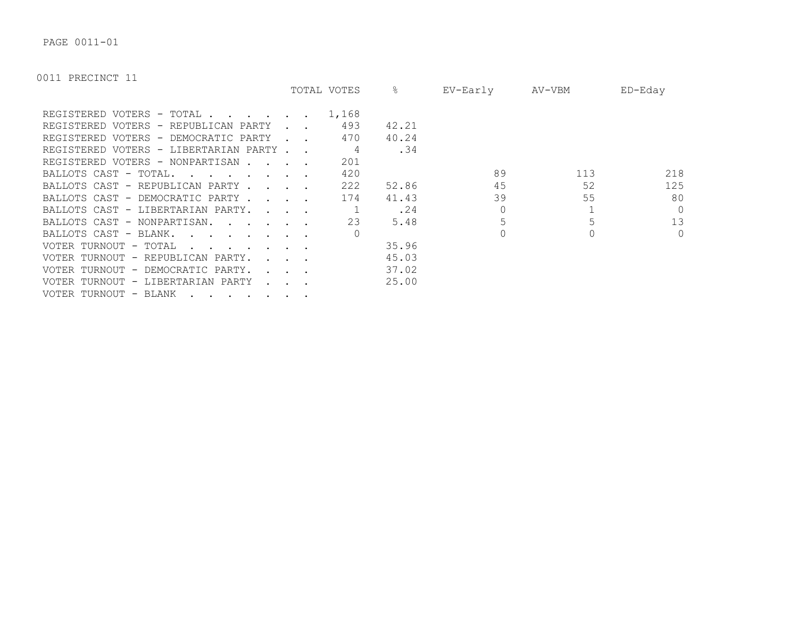PAGE 0011-01

|                                                                                                   |                                                           | TOTAL VOTES | &     | EV-Early | AV-VBM | $ED$ –Eday |
|---------------------------------------------------------------------------------------------------|-----------------------------------------------------------|-------------|-------|----------|--------|------------|
| REGISTERED VOTERS - TOTAL                                                                         |                                                           | 1,168       |       |          |        |            |
| REGISTERED VOTERS - REPUBLICAN PARTY                                                              |                                                           | 493         | 42.21 |          |        |            |
| REGISTERED VOTERS - DEMOCRATIC PARTY                                                              |                                                           | 470         | 40.24 |          |        |            |
| REGISTERED VOTERS - LIBERTARIAN PARTY.                                                            |                                                           | 4           | .34   |          |        |            |
| REGISTERED VOTERS - NONPARTISAN                                                                   |                                                           | 201         |       |          |        |            |
| BALLOTS CAST - TOTAL.<br>$\mathbf{r}$ , $\mathbf{r}$ , $\mathbf{r}$ , $\mathbf{r}$ , $\mathbf{r}$ |                                                           | 420         |       | 89       | 113    | 218        |
| BALLOTS CAST - REPUBLICAN PARTY.                                                                  | $\mathbf{r}$ , $\mathbf{r}$ , $\mathbf{r}$ , $\mathbf{r}$ | 222         | 52.86 | 45       | 52     | 125        |
| BALLOTS CAST - DEMOCRATIC PARTY.                                                                  | $\mathbf{r}$ , $\mathbf{r}$ , $\mathbf{r}$                | 174         | 41.43 | 39       | 55     | 80         |
| BALLOTS CAST - LIBERTARIAN PARTY.                                                                 | $\sim$ $\sim$ $\sim$ $\sim$                               |             | .24   |          |        | $\Omega$   |
| BALLOTS CAST - NONPARTISAN.                                                                       |                                                           | 23          | 5.48  |          |        | 13         |
| BALLOTS CAST - BLANK.                                                                             |                                                           |             |       |          |        | $\circ$    |
| VOTER TURNOUT - TOTAL                                                                             |                                                           |             | 35.96 |          |        |            |
| VOTER TURNOUT - REPUBLICAN PARTY.                                                                 |                                                           |             | 45.03 |          |        |            |
| VOTER TURNOUT - DEMOCRATIC PARTY.                                                                 |                                                           |             | 37.02 |          |        |            |
| VOTER TURNOUT - LIBERTARIAN PARTY                                                                 |                                                           |             | 25.00 |          |        |            |
| VOTER TURNOUT - BLANK                                                                             |                                                           |             |       |          |        |            |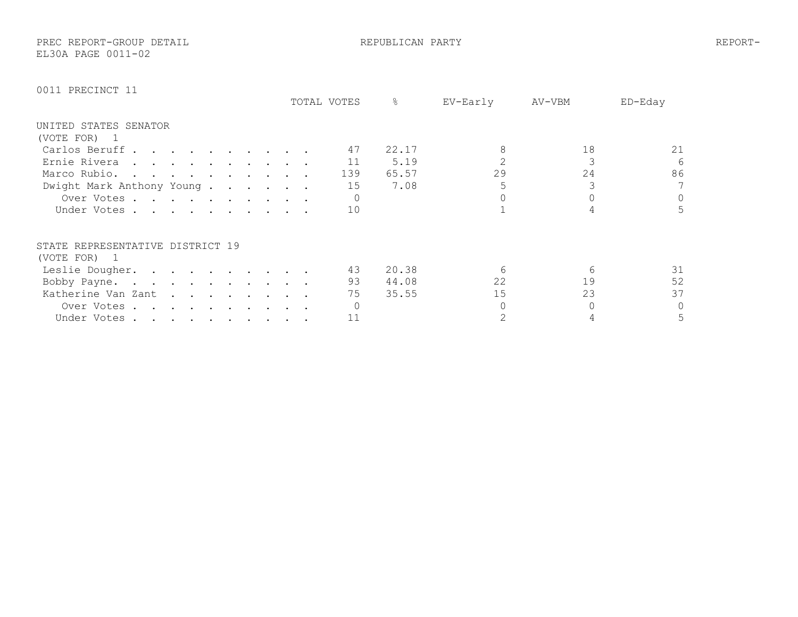PREC REPORT-GROUP DETAIL REPUBLICAN PARTY REPORT-EL30A PAGE 0011-02

|                                                                                      | TOTAL VOTES | ⋇<br>EV-Early | AV-VBM   | $ED-Edav$ |
|--------------------------------------------------------------------------------------|-------------|---------------|----------|-----------|
| UNITED STATES SENATOR                                                                |             |               |          |           |
| (VOTE FOR)<br>$\mathbf{1}$                                                           |             |               |          |           |
| Carlos Beruff                                                                        | 47          | 22.17         | 18       | 21        |
| Ernie Rivera                                                                         | 11          | 5.19          |          | 6         |
| Marco Rubio.                                                                         | 139         | 65.57         | 29<br>24 | 86        |
| Dwight Mark Anthony Young                                                            | 15          | 7.08          |          | 7         |
| Over Votes                                                                           |             |               |          | 0         |
| Under Votes.                                                                         | 10          |               |          |           |
| STATE REPRESENTATIVE DISTRICT 19                                                     |             |               |          |           |
| (VOTE FOR) 1                                                                         |             |               |          |           |
| Leslie Dougher.                                                                      | 43          | 20.38         | 6        | 31        |
| Bobby Payne.                                                                         | 93          | 44.08         | 22<br>19 | 52        |
| Katherine Van Zant                                                                   | 75          | 35.55         | 23<br>15 | 37        |
| Over Votes.<br>$\mathbf{r}$ , and $\mathbf{r}$ , and $\mathbf{r}$ , and $\mathbf{r}$ |             |               |          | 0         |
| Under Votes                                                                          | 11          |               |          | 5         |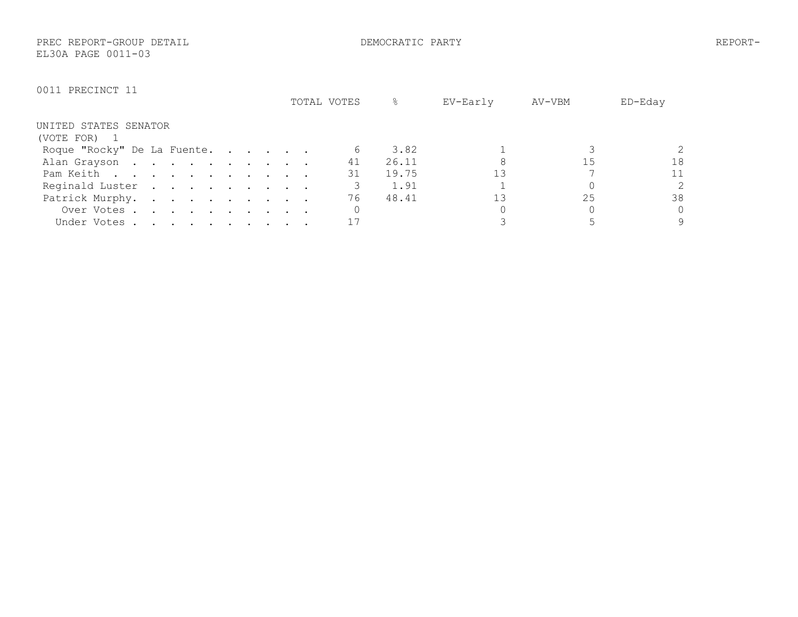PREC REPORT-GROUP DETAIL DEMOCRATIC PARTY REPORT-EL30A PAGE 0011-03

|                                                                                                          | TOTAL VOTES | &<br>EV-Early | AV-VBM | ED-Eday        |
|----------------------------------------------------------------------------------------------------------|-------------|---------------|--------|----------------|
| UNITED STATES SENATOR                                                                                    |             |               |        |                |
| (VOTE FOR) 1                                                                                             |             |               |        |                |
| Roque "Rocky" De La Fuente.                                                                              |             | 3.82          |        |                |
| Alan Grayson                                                                                             | 41          | 26.11         | 15     | 18             |
| Pam Keith                                                                                                | 31          | 19.75         |        | 11             |
| Reginald Luster                                                                                          |             | 1.91          |        | $\overline{2}$ |
| Patrick Murphy.                                                                                          | 76          | 48.41         | 25     | 38             |
| Over Votes .<br>$\mathbf{r}$ , and $\mathbf{r}$ , and $\mathbf{r}$ , and $\mathbf{r}$ , and $\mathbf{r}$ |             |               |        | $\Omega$       |
| Under Votes                                                                                              |             |               |        | 9              |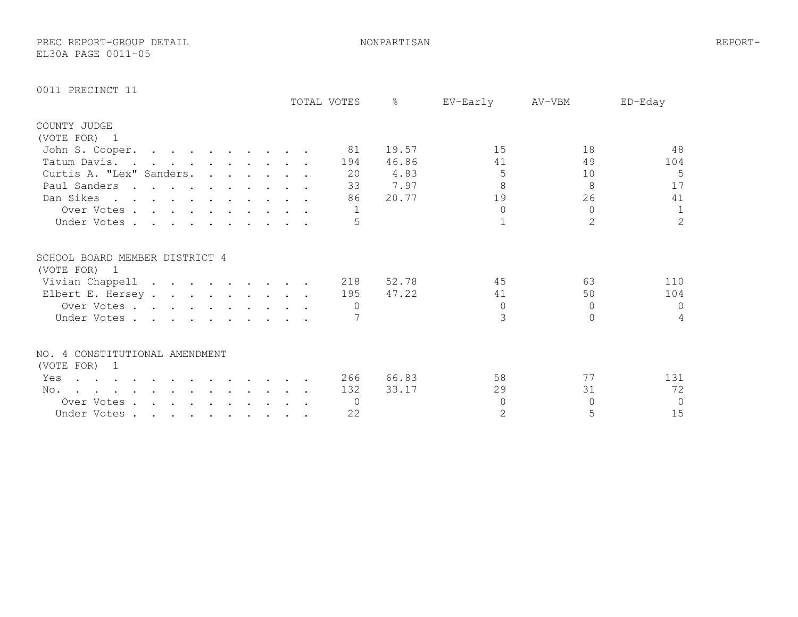PREC REPORT-GROUP DETAIL NONPARTISAN REPORT-EL30A PAGE 0011-05

| TOTAL VOTES                                                                                                                   | $\approx$<br>EV-Early | AV-VBM<br>ED-Eday              |
|-------------------------------------------------------------------------------------------------------------------------------|-----------------------|--------------------------------|
| COUNTY JUDGE                                                                                                                  |                       |                                |
| (VOTE FOR) 1                                                                                                                  |                       |                                |
| John S. Cooper.<br>81                                                                                                         | 15<br>19.57           | 48<br>18                       |
| Tatum Davis.<br>194                                                                                                           | 46.86<br>41           | 49<br>104                      |
| Curtis A. "Lex" Sanders.<br>20                                                                                                | 4.83<br>5             | 5<br>10                        |
| Paul Sanders<br>33                                                                                                            | 8<br>7.97             | 17<br>8                        |
| Dan Sikes<br>86                                                                                                               | 19<br>20.77           | 26<br>41                       |
| Over Votes                                                                                                                    | $\Omega$              | $\Omega$<br>$\mathbf{1}$       |
| Under Votes                                                                                                                   |                       | $\overline{2}$<br>$\mathbf{2}$ |
| SCHOOL BOARD MEMBER DISTRICT 4<br>(VOTE FOR) 1                                                                                |                       |                                |
| Vivian Chappell<br>218                                                                                                        | 45<br>52.78           | 63<br>110                      |
| Elbert E. Hersey<br>195                                                                                                       | 47.22<br>41           | 104<br>50                      |
| Over Votes                                                                                                                    | 0                     | $\circ$<br>$\Omega$            |
| Under Votes                                                                                                                   | 3                     | 4<br>$\Omega$                  |
| NO. 4 CONSTITUTIONAL AMENDMENT                                                                                                |                       |                                |
| (VOTE FOR) 1                                                                                                                  |                       |                                |
| 266<br>Yes<br>$\mathbf{r}$ , and $\mathbf{r}$ , and $\mathbf{r}$ , and $\mathbf{r}$ , and $\mathbf{r}$ , and $\mathbf{r}$     | 58<br>66.83           | 77<br>131                      |
| 132<br>No.<br>the contract of the contract of the contract of the contract of the contract of the contract of the contract of | 33.17<br>29           | 72<br>31                       |
| Over Votes<br>$\overline{0}$                                                                                                  | $\Omega$              | $\Omega$<br>$\Omega$           |
| 22<br>Under Votes                                                                                                             | $\overline{2}$        | 15<br>5                        |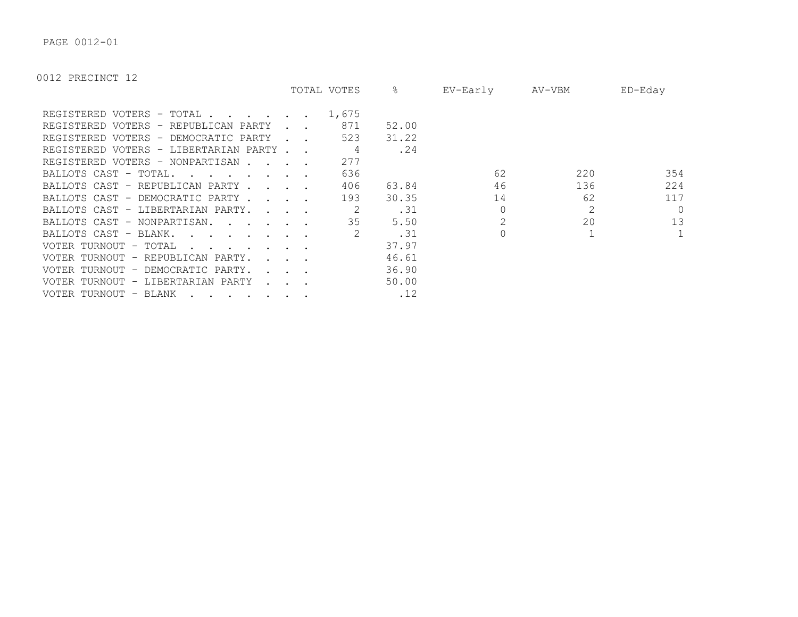PAGE 0012-01

|                                                                                                                                                                                                                                                            |                                                              | TOTAL VOTES    | &     | EV-Early | AV-VBM | ED-Eday      |
|------------------------------------------------------------------------------------------------------------------------------------------------------------------------------------------------------------------------------------------------------------|--------------------------------------------------------------|----------------|-------|----------|--------|--------------|
| REGISTERED VOTERS - TOTAL.<br>$\mathbf{r}$ , $\mathbf{r}$ , $\mathbf{r}$ , $\mathbf{r}$                                                                                                                                                                    |                                                              | 1,675          |       |          |        |              |
| REGISTERED VOTERS - REPUBLICAN PARTY                                                                                                                                                                                                                       |                                                              | 871            | 52.00 |          |        |              |
| REGISTERED VOTERS - DEMOCRATIC PARTY                                                                                                                                                                                                                       |                                                              | 523            | 31.22 |          |        |              |
| REGISTERED VOTERS - LIBERTARIAN PARTY                                                                                                                                                                                                                      |                                                              |                | .24   |          |        |              |
| REGISTERED VOTERS - NONPARTISAN                                                                                                                                                                                                                            |                                                              | 277            |       |          |        |              |
| BALLOTS CAST - TOTAL.<br>$\mathbf{r}$ , $\mathbf{r}$ , $\mathbf{r}$ , $\mathbf{r}$ , $\mathbf{r}$ , $\mathbf{r}$                                                                                                                                           |                                                              | 636            |       | 62       | 220    | 354          |
| BALLOTS CAST - REPUBLICAN PARTY                                                                                                                                                                                                                            |                                                              | 406            | 63.84 | 46       | 136    | 224          |
| BALLOTS CAST - DEMOCRATIC PARTY.<br>$\sim$ $\sim$ $\sim$ $\sim$                                                                                                                                                                                            |                                                              | 193            | 30.35 | 14       | 62     | 117          |
| BALLOTS CAST - LIBERTARIAN PARTY.<br>$\mathcal{L}$ and $\mathcal{L}$ and $\mathcal{L}$                                                                                                                                                                     |                                                              |                | .31   |          | 2      | $\Omega$     |
| BALLOTS CAST - NONPARTISAN.                                                                                                                                                                                                                                |                                                              | 35             | 5.50  |          | 20     | 13           |
| BALLOTS CAST - BLANK.<br>$\mathbf{r}$ . The contract of the contract of the contract of the contract of the contract of the contract of the contract of the contract of the contract of the contract of the contract of the contract of the contract of th |                                                              | $\overline{2}$ | .31   |          |        | $\mathbf{1}$ |
| VOTER TURNOUT - TOTAL<br>$\mathbf{r}$ . The set of $\mathbf{r}$ is the set of $\mathbf{r}$                                                                                                                                                                 |                                                              |                | 37.97 |          |        |              |
| VOTER TURNOUT - REPUBLICAN PARTY.<br>$\mathbf{r}$ and $\mathbf{r}$ and $\mathbf{r}$                                                                                                                                                                        |                                                              |                | 46.61 |          |        |              |
| VOTER TURNOUT - DEMOCRATIC PARTY.                                                                                                                                                                                                                          |                                                              |                | 36.90 |          |        |              |
| VOTER TURNOUT - LIBERTARIAN PARTY                                                                                                                                                                                                                          | $\mathbf{L} = \mathbf{L} \mathbf{L} + \mathbf{L} \mathbf{L}$ |                | 50.00 |          |        |              |
| VOTER TURNOUT - BLANK                                                                                                                                                                                                                                      |                                                              |                | .12   |          |        |              |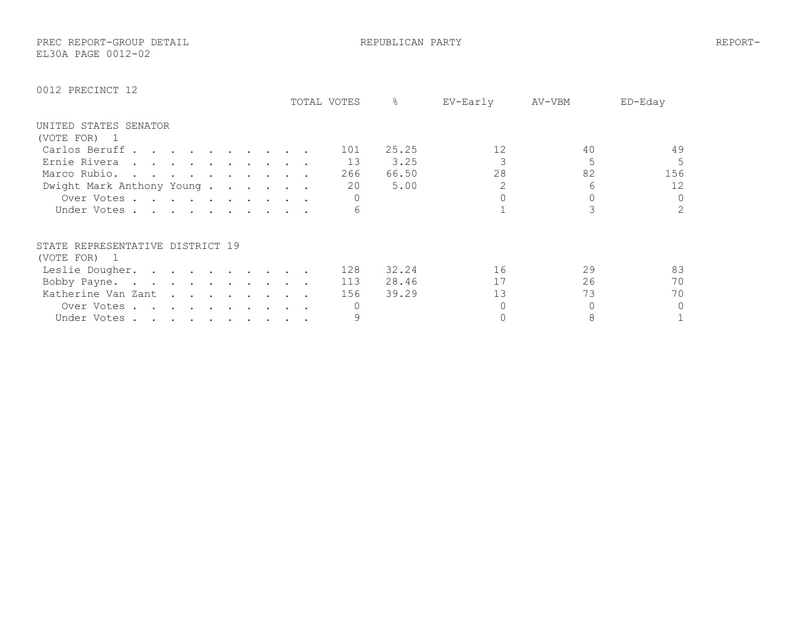PREC REPORT-GROUP DETAIL REPUBLICAN PARTY REPORT-EL30A PAGE 0012-02

|                                  |  |                                                                                                                                                                                                                               |  |  |  | TOTAL VOTES | ⊱     | EV-Early | AV-VBM | ED-Eday      |
|----------------------------------|--|-------------------------------------------------------------------------------------------------------------------------------------------------------------------------------------------------------------------------------|--|--|--|-------------|-------|----------|--------|--------------|
| UNITED STATES SENATOR            |  |                                                                                                                                                                                                                               |  |  |  |             |       |          |        |              |
| (VOTE FOR) 1                     |  |                                                                                                                                                                                                                               |  |  |  |             |       |          |        |              |
| Carlos Beruff                    |  |                                                                                                                                                                                                                               |  |  |  | 101         | 25.25 | 12       | 40     | 49           |
| Ernie Rivera                     |  |                                                                                                                                                                                                                               |  |  |  | 13          | 3.25  |          |        | 5            |
| Marco Rubio.                     |  |                                                                                                                                                                                                                               |  |  |  | 266         | 66.50 | 28       | 82     | 156          |
| Dwight Mark Anthony Young        |  |                                                                                                                                                                                                                               |  |  |  | 20          | 5.00  |          | 6      | 12           |
| Over Votes                       |  |                                                                                                                                                                                                                               |  |  |  |             |       |          |        | $\mathbf{0}$ |
| Under Votes.                     |  |                                                                                                                                                                                                                               |  |  |  | 6           |       |          |        | 2            |
| STATE REPRESENTATIVE DISTRICT 19 |  |                                                                                                                                                                                                                               |  |  |  |             |       |          |        |              |
| (VOTE FOR) 1                     |  |                                                                                                                                                                                                                               |  |  |  |             |       |          |        |              |
| Leslie Dougher.                  |  |                                                                                                                                                                                                                               |  |  |  | 128         | 32.24 | 16       | 29     | 83           |
| Bobby Payne.                     |  |                                                                                                                                                                                                                               |  |  |  | 113         | 28.46 | 17       | 26     | 70           |
| Katherine Van Zant               |  |                                                                                                                                                                                                                               |  |  |  | 156         | 39.29 | 13       | 73     | 70           |
| Over Votes.                      |  | . The contract of the contract of the contract of the contract of the contract of the contract of the contract of the contract of the contract of the contract of the contract of the contract of the contract of the contrac |  |  |  |             |       |          |        | $\circ$      |
| Under Votes                      |  |                                                                                                                                                                                                                               |  |  |  |             |       |          | 8      |              |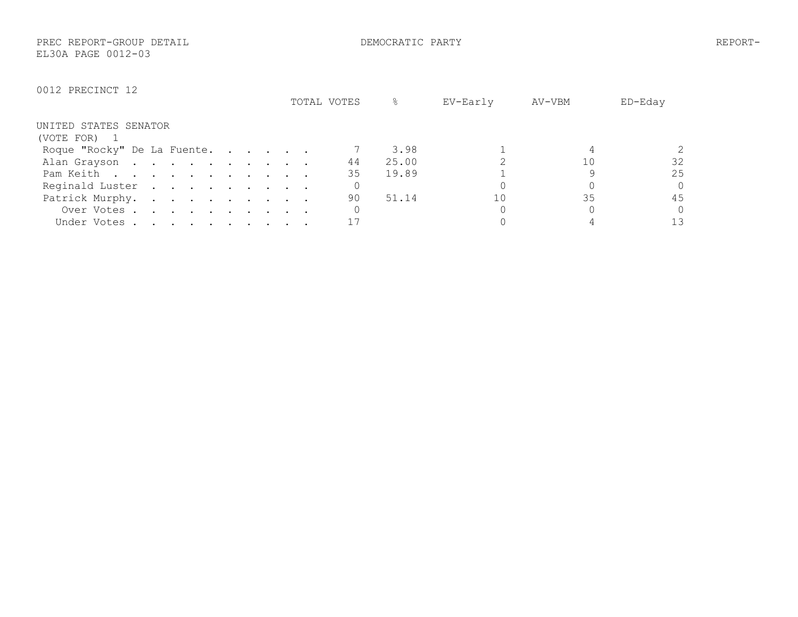PREC REPORT-GROUP DETAIL DEMOCRATIC PARTY REPORT-EL30A PAGE 0012-03

|                                                                                                          | TOTAL VOTES | ⊱     | EV-Early | AV-VBM | ED-Eday  |
|----------------------------------------------------------------------------------------------------------|-------------|-------|----------|--------|----------|
| UNITED STATES SENATOR                                                                                    |             |       |          |        |          |
| (VOTE FOR) 1                                                                                             |             |       |          |        |          |
| Roque "Rocky" De La Fuente.                                                                              |             | 3.98  |          |        | 2        |
| Alan Grayson                                                                                             | 44          | 25.00 |          |        | 32       |
| Pam Keith                                                                                                | 35          | 19.89 |          |        | 25       |
| Reginald Luster                                                                                          |             |       |          |        | $\Omega$ |
| Patrick Murphy.                                                                                          | 90          | 51.14 | 1 ೧      | 35     | 45       |
| Over Votes                                                                                               |             |       |          |        | $\Omega$ |
| Under Votes.<br>$\mathbf{r}$ , and $\mathbf{r}$ , and $\mathbf{r}$ , and $\mathbf{r}$ , and $\mathbf{r}$ |             |       |          |        | 1 3      |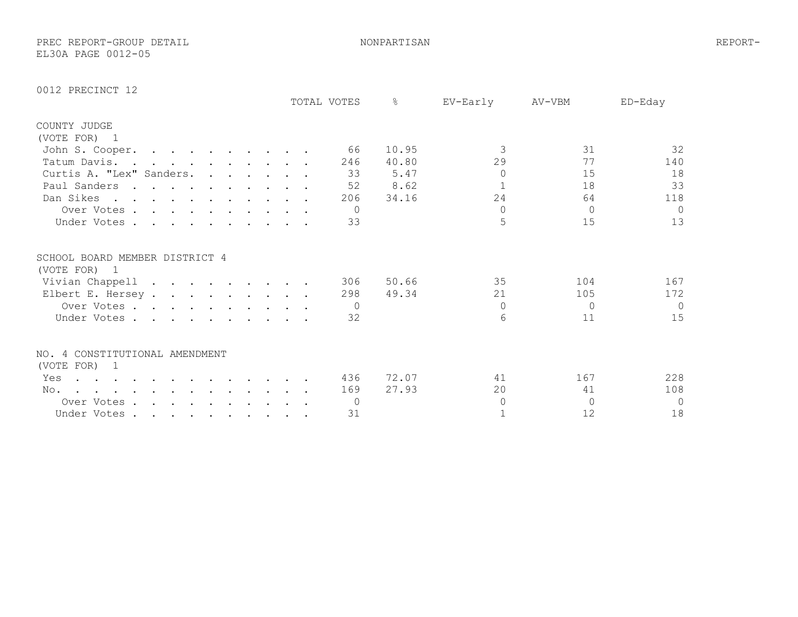PREC REPORT-GROUP DETAIL NONPARTISAN REPORT-EL30A PAGE 0012-05

|                                                                                                                                                                                                                                                                  | TOTAL VOTES    | $\frac{6}{5}$<br>EV-Early | AV-VBM    | ED-Eday    |
|------------------------------------------------------------------------------------------------------------------------------------------------------------------------------------------------------------------------------------------------------------------|----------------|---------------------------|-----------|------------|
| COUNTY JUDGE                                                                                                                                                                                                                                                     |                |                           |           |            |
| (VOTE FOR) 1                                                                                                                                                                                                                                                     |                |                           |           |            |
| John S. Cooper.<br>. The contract of the contract of the contract of $\mathcal{O}(1)$                                                                                                                                                                            | 66             | 3<br>10.95                | 31        | 32         |
| Tatum Davis<br>$\mathbf{r}$ , and $\mathbf{r}$ , and $\mathbf{r}$ , and $\mathbf{r}$                                                                                                                                                                             | 246            | 29<br>40.80               | 77        | 140        |
| Curtis A. "Lex" Sanders.                                                                                                                                                                                                                                         | 33             | 5.47<br>$\circ$           | 15        | 18         |
| Paul Sanders                                                                                                                                                                                                                                                     | 52             | 8.62                      | 18        | 33         |
| Dan Sikes                                                                                                                                                                                                                                                        | 206            | 24<br>34.16               | 64        | 118        |
| Over Votes.<br>$\mathbf{r}$ , $\mathbf{r}$ , $\mathbf{r}$ , $\mathbf{r}$ , $\mathbf{r}$ , $\mathbf{r}$                                                                                                                                                           | $\Omega$       | $\Omega$                  | $\Omega$  | $\Omega$   |
| Under Votes                                                                                                                                                                                                                                                      | 33             | 5                         | 15        | 13         |
| SCHOOL BOARD MEMBER DISTRICT 4<br>(VOTE FOR) 1                                                                                                                                                                                                                   |                |                           |           |            |
| Vivian Chappell                                                                                                                                                                                                                                                  | 306            | 35<br>50.66               | 104       | 167        |
| Elbert E. Hersey                                                                                                                                                                                                                                                 | 298            | 49.34<br>21               | 105       | 172        |
| Over Votes                                                                                                                                                                                                                                                       | $\Omega$       | $\Omega$                  | $\Omega$  | $\bigcirc$ |
| Under Votes                                                                                                                                                                                                                                                      | 32             | 6                         | 11        | 15         |
| NO. 4 CONSTITUTIONAL AMENDMENT<br>(VOTE FOR) 1                                                                                                                                                                                                                   |                |                           |           |            |
| Yes<br>$\cdot$                                                                                                                                                                                                                                                   | 436            | 72.07<br>41               | 167       | 228        |
| No.<br>$\ddot{\phantom{a}}$ . The contract of the contract of the contract of the contract of the contract of the contract of the contract of the contract of the contract of the contract of the contract of the contract of the contract of<br><b>Contract</b> | 169            | 27.93<br>20               | 41        | 108        |
| Over Votes                                                                                                                                                                                                                                                       | $\overline{0}$ | $\Omega$                  | $\bigcap$ | $\Omega$   |
| Under Votes                                                                                                                                                                                                                                                      | 31             |                           | 12        | 18         |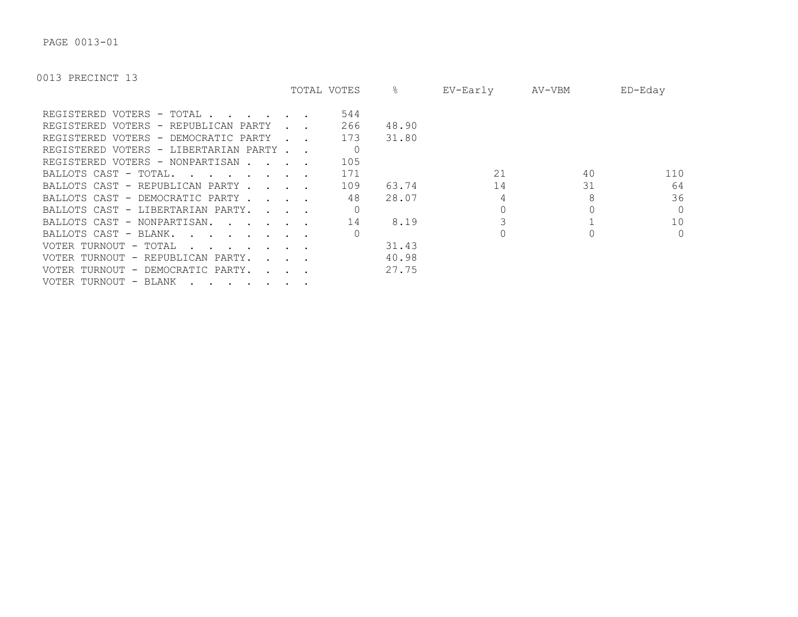PAGE 0013-01

|                                                                           |                                     | TOTAL VOTES | &     | EV-Early | AV-VBM | ED-Eday        |
|---------------------------------------------------------------------------|-------------------------------------|-------------|-------|----------|--------|----------------|
| REGISTERED VOTERS - TOTAL.                                                |                                     | 544         |       |          |        |                |
| REGISTERED VOTERS - REPUBLICAN PARTY                                      |                                     | 266         | 48.90 |          |        |                |
| REGISTERED VOTERS - DEMOCRATIC PARTY                                      |                                     | 173         | 31.80 |          |        |                |
| REGISTERED VOTERS - LIBERTARIAN PARTY.                                    |                                     | $\Omega$    |       |          |        |                |
| REGISTERED VOTERS - NONPARTISAN.                                          |                                     | 105         |       |          |        |                |
| BALLOTS CAST - TOTAL.<br>and the state of the state of the                |                                     | 171         |       | 21       | 40     | 110            |
| BALLOTS CAST - REPUBLICAN PARTY.                                          | and the contract of the contract of | 109         | 63.74 | 14       | 31     | 64             |
| BALLOTS CAST - DEMOCRATIC PARTY.                                          |                                     | 48          | 28.07 |          | 8      | 36             |
| BALLOTS CAST - LIBERTARIAN PARTY.                                         |                                     |             |       |          |        | $\Omega$       |
| BALLOTS CAST - NONPARTISAN.<br>$\mathbf{r}$ , $\mathbf{r}$ , $\mathbf{r}$ |                                     | 14          | 8.19  |          |        | 10             |
| BALLOTS CAST - BLANK.                                                     |                                     |             |       |          |        | $\overline{0}$ |
| VOTER TURNOUT - TOTAL                                                     |                                     |             | 31.43 |          |        |                |
| VOTER TURNOUT - REPUBLICAN PARTY.                                         |                                     |             | 40.98 |          |        |                |
| VOTER TURNOUT - DEMOCRATIC PARTY.                                         |                                     |             | 27.75 |          |        |                |
| VOTER TURNOUT - BLANK                                                     |                                     |             |       |          |        |                |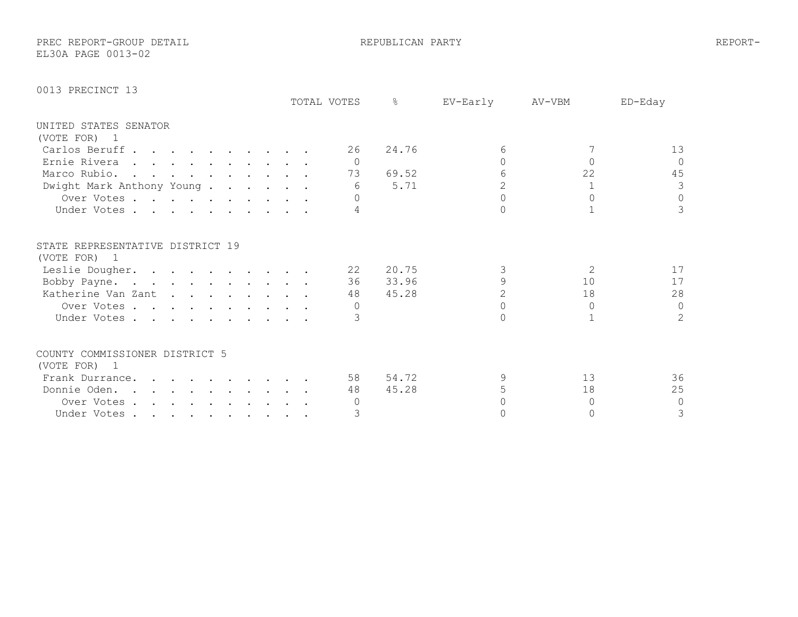PREC REPORT-GROUP DETAIL REPUBLICAN PARTY REPORT-

EL30A PAGE 0013-02

|                                                  |  |  |  |  | TOTAL VOTES | ⊱     | EV-Early | AV-VBM         | $ED-Edav$      |
|--------------------------------------------------|--|--|--|--|-------------|-------|----------|----------------|----------------|
| UNITED STATES SENATOR                            |  |  |  |  |             |       |          |                |                |
| (VOTE FOR) 1                                     |  |  |  |  |             |       |          |                |                |
| Carlos Beruff                                    |  |  |  |  | 26          | 24.76 | 6        |                | 13             |
| Ernie Rivera                                     |  |  |  |  | $\bigcap$   |       |          |                | $\Omega$       |
| Marco Rubio.                                     |  |  |  |  | 73          | 69.52 |          | 22             | 45             |
| Dwight Mark Anthony Young                        |  |  |  |  | 6           | 5.71  |          |                | 3              |
| Over Votes                                       |  |  |  |  |             |       |          |                | $\circ$        |
| Under Votes                                      |  |  |  |  |             |       |          |                | $\mathcal{S}$  |
| STATE REPRESENTATIVE DISTRICT 19<br>(VOTE FOR) 1 |  |  |  |  |             |       |          |                |                |
| Leslie Dougher.                                  |  |  |  |  | 22          | 20.75 |          | $\overline{2}$ | 17             |
| Bobby Payne.                                     |  |  |  |  | 36          | 33.96 |          | 10             | 17             |
| Katherine Van Zant                               |  |  |  |  | 48          | 45.28 |          | 18             | 28             |
| Over Votes                                       |  |  |  |  |             |       |          | $\cap$         | $\circ$        |
| Under Votes                                      |  |  |  |  |             |       |          |                | $\overline{2}$ |
| COUNTY COMMISSIONER DISTRICT 5                   |  |  |  |  |             |       |          |                |                |
| (VOTE FOR) 1                                     |  |  |  |  |             |       |          |                |                |
| Frank Durrance.                                  |  |  |  |  | 58          | 54.72 |          | 13             | 36             |
| Donnie Oden.                                     |  |  |  |  | 48          | 45.28 |          | 18             | 25             |
| Over Votes                                       |  |  |  |  |             |       |          |                | $\mathbf{0}$   |
| Under Votes                                      |  |  |  |  |             |       |          |                | 3              |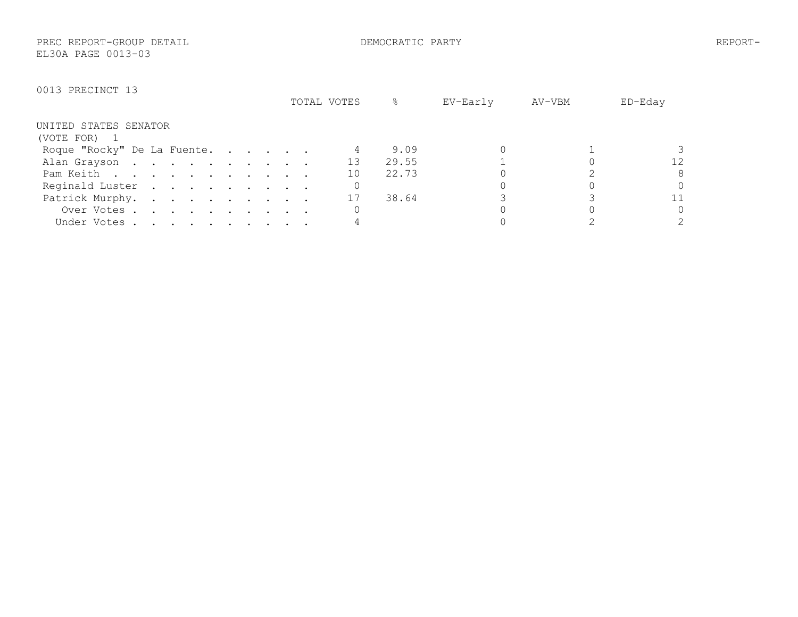PREC REPORT-GROUP DETAIL DEMOCRATIC PARTY REPORT-EL30A PAGE 0013-03

|                             | TOTAL VOTES | ℅     | EV-Early | AV-VBM | ED-Eday |
|-----------------------------|-------------|-------|----------|--------|---------|
| UNITED STATES SENATOR       |             |       |          |        |         |
| (VOTE FOR) 1                |             |       |          |        |         |
| Roque "Rocky" De La Fuente. |             | 9.09  |          |        |         |
| Alan Grayson                | 13          | 29.55 |          |        | 12      |
| Pam Keith                   | 10          | 22.73 |          |        | 8       |
| Reginald Luster             |             |       |          |        | Λ       |
| Patrick Murphy.             | 17          | 38.64 |          |        | 11      |
| Over Votes                  |             |       |          |        | 0       |
| Under Votes                 |             |       |          |        |         |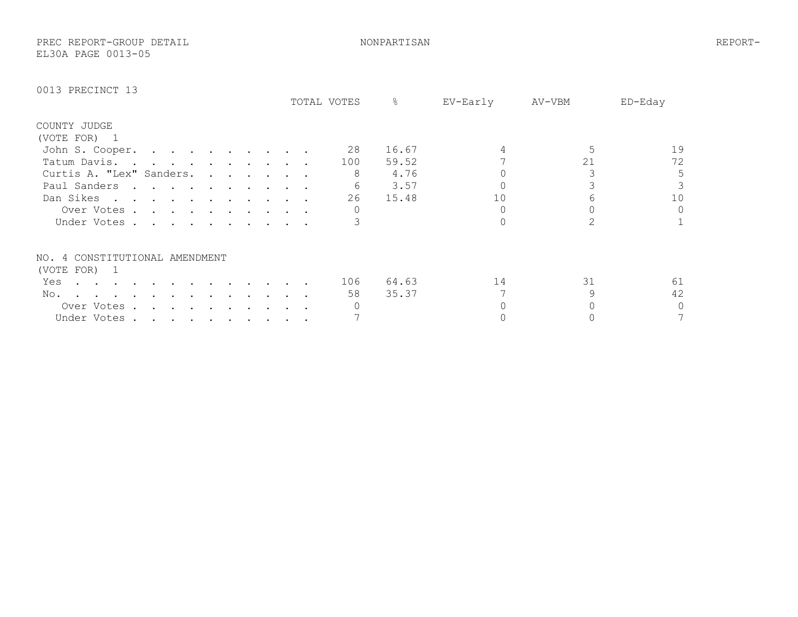PREC REPORT-GROUP DETAIL NONPARTISAN REPORT-EL30A PAGE 0013-05

|                                |                                                                                                                 |  |           |  |  | TOTAL VOTES | g     | EV-Early | AV-VBM | ED-Eday  |
|--------------------------------|-----------------------------------------------------------------------------------------------------------------|--|-----------|--|--|-------------|-------|----------|--------|----------|
| COUNTY JUDGE                   |                                                                                                                 |  |           |  |  |             |       |          |        |          |
| (VOTE FOR) 1                   |                                                                                                                 |  |           |  |  |             |       |          |        |          |
| John S. Cooper.                | the contract of the contract of the contract of the contract of the contract of the contract of the contract of |  |           |  |  | 28          | 16.67 |          |        | 19       |
| Tatum Davis                    | the contract of the contract of the contract of the contract of the contract of the contract of the contract of |  |           |  |  | 100         | 59.52 |          | 21     | 72       |
| Curtis A. "Lex" Sanders.       |                                                                                                                 |  |           |  |  | 8           | 4.76  |          |        | 5        |
| Paul Sanders                   | the contract of the contract of the contract of the contract of the contract of the contract of the contract of |  |           |  |  | 6           | 3.57  |          |        |          |
| Dan Sikes                      |                                                                                                                 |  |           |  |  | 26          | 15.48 | 10       |        | 10       |
| Over Votes.                    | $\mathbf{r}$ , and $\mathbf{r}$ , and $\mathbf{r}$ , and $\mathbf{r}$ , and $\mathbf{r}$                        |  |           |  |  |             |       |          |        | $\Omega$ |
| Under Votes                    |                                                                                                                 |  |           |  |  |             |       |          |        |          |
| NO. 4 CONSTITUTIONAL AMENDMENT |                                                                                                                 |  |           |  |  |             |       |          |        |          |
| (VOTE FOR) 1                   |                                                                                                                 |  |           |  |  |             |       |          |        |          |
| Yes                            |                                                                                                                 |  |           |  |  | 106         | 64.63 | 14       | 31     | 61       |
| No.                            |                                                                                                                 |  |           |  |  | 58          | 35.37 |          |        | 42       |
| Over Votes.                    |                                                                                                                 |  |           |  |  |             |       |          |        | 0        |
| Under Votes.                   | $\mathcal{L}(\mathcal{A})$ . The contribution of the contribution of $\mathcal{A}$                              |  | $\bullet$ |  |  |             |       |          |        |          |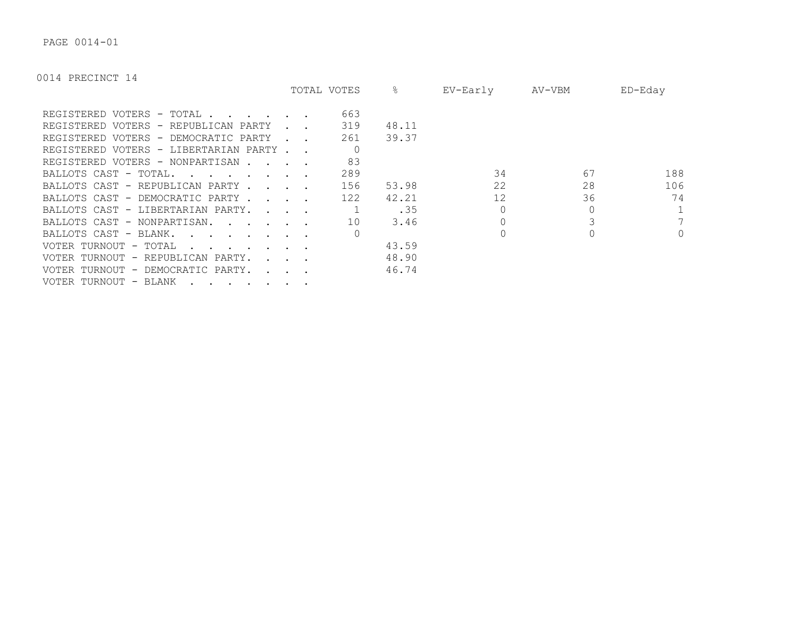PAGE 0014-01

|                                                                                   |                      | TOTAL VOTES | &     | EV-Early | AV-VBM | ED-Eday      |
|-----------------------------------------------------------------------------------|----------------------|-------------|-------|----------|--------|--------------|
| REGISTERED VOTERS - TOTAL.                                                        |                      | 663         |       |          |        |              |
| REGISTERED VOTERS - REPUBLICAN PARTY                                              |                      | 319         | 48.11 |          |        |              |
| REGISTERED VOTERS - DEMOCRATIC PARTY                                              |                      | 261         | 39.37 |          |        |              |
| REGISTERED VOTERS - LIBERTARIAN PARTY.                                            |                      |             |       |          |        |              |
| REGISTERED VOTERS - NONPARTISAN.                                                  |                      | 83          |       |          |        |              |
| BALLOTS CAST - TOTAL.<br>and the state of the state of the                        |                      | 289         |       | 34       | 67     | 188          |
| BALLOTS CAST - REPUBLICAN PARTY.                                                  | $\sim$ $\sim$ $\sim$ | 156         | 53.98 | 22       | 28     | 106          |
| BALLOTS CAST - DEMOCRATIC PARTY.                                                  |                      | 122         | 42.21 | 12       | 36     | 74           |
| BALLOTS CAST - LIBERTARIAN PARTY.                                                 |                      |             | .35   |          |        |              |
| BALLOTS CAST - NONPARTISAN.<br>$\mathbf{r}$ , $\mathbf{r}$ , $\mathbf{r}$         |                      | 10          | 3.46  |          |        |              |
| BALLOTS CAST - BLANK.                                                             |                      |             |       |          |        | $\mathbf{0}$ |
| VOTER TURNOUT - TOTAL                                                             |                      |             | 43.59 |          |        |              |
| VOTER TURNOUT - REPUBLICAN PARTY.                                                 |                      |             | 48.90 |          |        |              |
| VOTER TURNOUT - DEMOCRATIC PARTY.                                                 |                      |             | 46.74 |          |        |              |
| VOTER TURNOUT - BLANK<br>$\cdot$ $\cdot$ $\cdot$ $\cdot$ $\cdot$<br>$\sim$ $\sim$ |                      |             |       |          |        |              |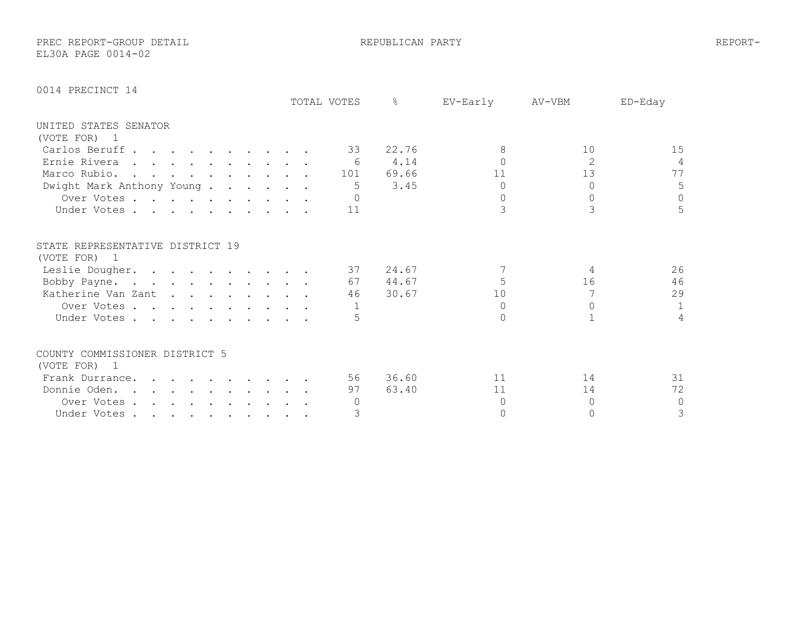PREC REPORT-GROUP DETAIL **Example 20** REPUBLICAN PARTY REPORT-EL30A PAGE 0014-02

|  | 0014 PRECINCT 14 |  |
|--|------------------|--|
|--|------------------|--|

|                                                  |  |  |  |  | TOTAL VOTES | ⊱     | EV-Early | AV-VBM         | ED-Eday        |
|--------------------------------------------------|--|--|--|--|-------------|-------|----------|----------------|----------------|
| UNITED STATES SENATOR                            |  |  |  |  |             |       |          |                |                |
| (VOTE FOR) 1                                     |  |  |  |  |             |       |          |                |                |
| Carlos Beruff                                    |  |  |  |  | 33          | 22.76 | 8        | 10             | 15             |
| Ernie Rivera                                     |  |  |  |  | - 6         | 4.14  |          | $\overline{2}$ | 4              |
| Marco Rubio.                                     |  |  |  |  | 101         | 69.66 | 11       | 13             | 77             |
| Dwight Mark Anthony Young.                       |  |  |  |  | 5           | 3.45  | $\Omega$ |                | 5              |
| Over Votes                                       |  |  |  |  |             |       | $\Omega$ |                | $\circ$        |
| Under Votes                                      |  |  |  |  | 11          |       |          | 3              | 5              |
| STATE REPRESENTATIVE DISTRICT 19<br>(VOTE FOR) 1 |  |  |  |  |             |       |          |                |                |
| Leslie Dougher.                                  |  |  |  |  | 37          | 24.67 |          | 4              | 26             |
| Bobby Payne.                                     |  |  |  |  | 67          | 44.67 |          | 16             | 46             |
| Katherine Van Zant                               |  |  |  |  | 46          | 30.67 | 10       |                | 29             |
| Over Votes                                       |  |  |  |  |             |       | $\cap$   |                | $\mathbf{1}$   |
| Under Votes                                      |  |  |  |  |             |       | ∩        |                | $\overline{4}$ |
|                                                  |  |  |  |  |             |       |          |                |                |
| COUNTY COMMISSIONER DISTRICT 5                   |  |  |  |  |             |       |          |                |                |
| (VOTE FOR) 1                                     |  |  |  |  |             |       |          |                |                |
| Frank Durrance.                                  |  |  |  |  | 56          | 36.60 | 11       | 14             | 31             |
| Donnie Oden.                                     |  |  |  |  | 97          | 63.40 | 11       | 14             | 72             |
| Over Votes                                       |  |  |  |  |             |       | $\cap$   | 0              | 0              |
| Under Votes                                      |  |  |  |  | 3           |       | O        |                | 3              |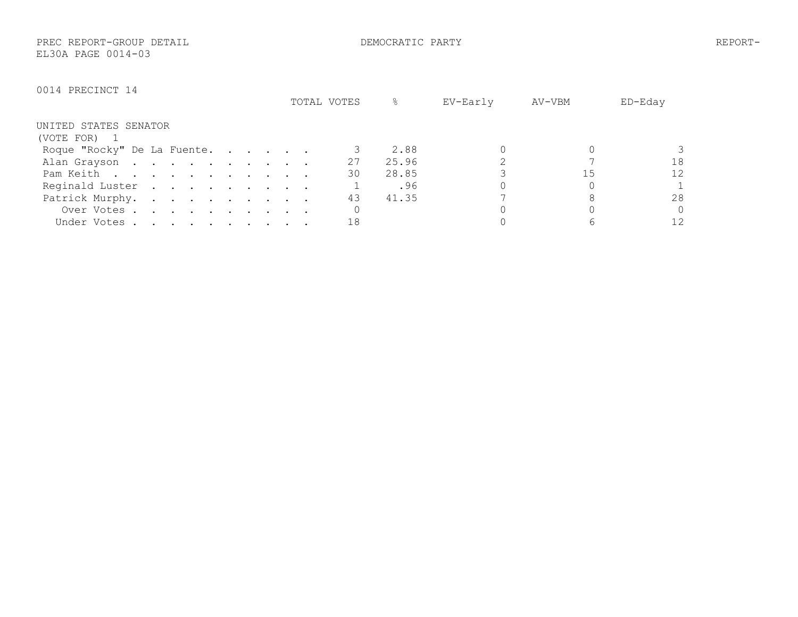PREC REPORT-GROUP DETAIL DEMOCRATIC PARTY REPORT-EL30A PAGE 0014-03

|                             | TOTAL VOTES | ℅     | EV-Early | AV-VBM | ED-Eday  |
|-----------------------------|-------------|-------|----------|--------|----------|
| UNITED STATES SENATOR       |             |       |          |        |          |
| (VOTE FOR) 1                |             |       |          |        |          |
| Roque "Rocky" De La Fuente. |             | 2.88  |          |        |          |
| Alan Grayson                | 27          | 25.96 |          |        | 18       |
| Pam Keith                   | 30          | 28.85 |          | 15     | 12       |
| Reginald Luster             |             | .96   |          |        |          |
| Patrick Murphy.             | 43          | 41.35 |          |        | 28       |
| Over Votes                  |             |       |          |        | $\Omega$ |
| Under Votes                 | 18          |       |          |        | 12       |